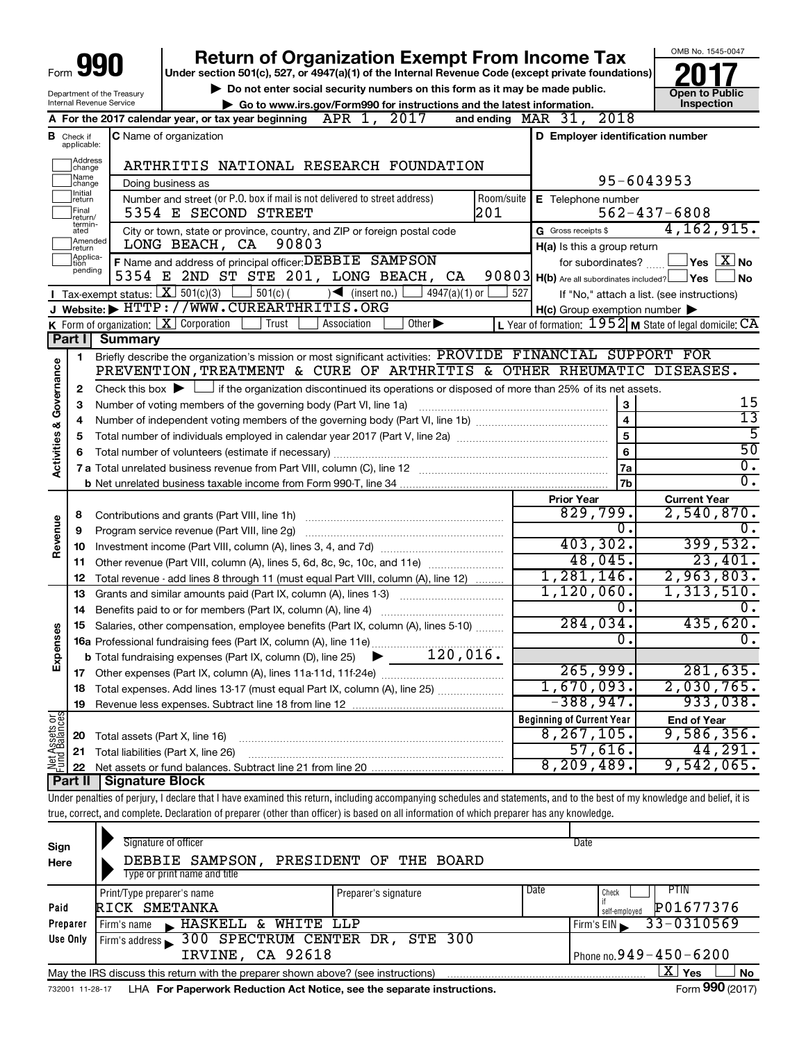| Form |  | חו<br>I |
|------|--|---------|
|------|--|---------|

## **Return of Organization Exempt From Income Tax**

**Under section 501(c), 527, or 4947(a)(1) of the Internal Revenue Code (except private foundations)**

Department of the Treasury Internal Revenue Service

▶ Do not enter social security numbers on this form as it may be made public.<br>● Go to www.irs.gov/Form990 for instructions and the latest information. **Department in the latest** information. **| Go to www.irs.gov/Form990 for instructions and the latest information. Inspection**



|                         |                               | 2017<br>A For the 2017 calendar year, or tax year beginning $APR$ 1,                                                                                                                       | and ending MAR 31, 2018                                                                                          |                                                                      |
|-------------------------|-------------------------------|--------------------------------------------------------------------------------------------------------------------------------------------------------------------------------------------|------------------------------------------------------------------------------------------------------------------|----------------------------------------------------------------------|
|                         | <b>B</b> Check if applicable: | <b>C</b> Name of organization                                                                                                                                                              | D Employer identification number                                                                                 |                                                                      |
|                         | Address<br>change             | ARTHRITIS NATIONAL RESEARCH FOUNDATION                                                                                                                                                     |                                                                                                                  |                                                                      |
|                         | Name<br>change                | Doing business as                                                                                                                                                                          |                                                                                                                  | 95-6043953                                                           |
|                         | Initial<br>return             | Number and street (or P.O. box if mail is not delivered to street address)<br>Room/suite                                                                                                   | E Telephone number                                                                                               |                                                                      |
|                         | Final<br>return/              | 201<br>5354 E SECOND STREET                                                                                                                                                                |                                                                                                                  | $562 - 437 - 6808$                                                   |
|                         | termin-<br>ated               | City or town, state or province, country, and ZIP or foreign postal code                                                                                                                   | G Gross receipts \$                                                                                              | 4, 162, 915.                                                         |
|                         | Amended<br>return             | LONG BEACH, CA<br>90803                                                                                                                                                                    | H(a) Is this a group return                                                                                      |                                                                      |
|                         | Applica-<br>pending           | F Name and address of principal officer: DEBBIE SAMPSON                                                                                                                                    |                                                                                                                  | for subordinates? $\boxed{\phantom{a}}$ Yes $\boxed{\phantom{a}}$ No |
|                         |                               | 5354 E 2ND ST STE 201, LONG BEACH, CA                                                                                                                                                      | 90803 H(b) Are all subordinates included? Ves L                                                                  | ⊿No                                                                  |
|                         |                               | <b>I</b> Tax-exempt status: $\boxed{\mathbf{X}}$ 501(c)(3) $\boxed{\phantom{0}}$ 501(c)(<br>$\sqrt{\frac{1}{1}}$ (insert no.)<br>4947(a)(1) or<br>J Website: FHTTP://WWW.CUREARTHRITIS.ORG | 527                                                                                                              | If "No," attach a list. (see instructions)                           |
|                         |                               | <b>K</b> Form of organization: $\boxed{\mathbf{X}}$ Corporation<br>  Trust<br>Other $\blacktriangleright$<br>Association                                                                   | $H(c)$ Group exemption number $\blacktriangleright$<br>L Year of formation: $1952$ M State of legal domicile: CA |                                                                      |
|                         | Part I                        | <b>Summary</b>                                                                                                                                                                             |                                                                                                                  |                                                                      |
|                         | 1                             | Briefly describe the organization's mission or most significant activities: PROVIDE FINANCIAL SUPPORT FOR                                                                                  |                                                                                                                  |                                                                      |
| Activities & Governance |                               | PREVENTION, TREATMENT & CURE OF ARTHRITIS & OTHER RHEUMATIC DISEASES.                                                                                                                      |                                                                                                                  |                                                                      |
|                         | 2                             | Check this box $\blacktriangleright$ $\Box$ if the organization discontinued its operations or disposed of more than 25% of its net assets.                                                |                                                                                                                  |                                                                      |
|                         | 3                             | Number of voting members of the governing body (Part VI, line 1a)                                                                                                                          | 3                                                                                                                | 15                                                                   |
|                         | 4                             |                                                                                                                                                                                            | $\overline{\mathbf{4}}$                                                                                          | $\overline{13}$                                                      |
|                         | 5                             |                                                                                                                                                                                            | 5                                                                                                                | $\overline{5}$                                                       |
|                         | 6                             |                                                                                                                                                                                            | 6                                                                                                                | $\overline{50}$                                                      |
|                         |                               |                                                                                                                                                                                            | 7a                                                                                                               | $\overline{0}$ .                                                     |
|                         |                               |                                                                                                                                                                                            | 7 <sub>b</sub>                                                                                                   | $\overline{0}$ .                                                     |
|                         |                               |                                                                                                                                                                                            | <b>Prior Year</b>                                                                                                | <b>Current Year</b>                                                  |
|                         | 8                             |                                                                                                                                                                                            | 829,799.                                                                                                         | 2,540,870.                                                           |
| Revenue                 | 9                             |                                                                                                                                                                                            | $\overline{\mathbf{0}}$ .<br>403,302.                                                                            | 0.<br>399,532.                                                       |
|                         |                               |                                                                                                                                                                                            | 48,045.                                                                                                          | 23,401.                                                              |
|                         |                               | 11 Other revenue (Part VIII, column (A), lines 5, 6d, 8c, 9c, 10c, and 11e)                                                                                                                | 1,281,146.                                                                                                       | 2,963,803.                                                           |
|                         | 12<br>13                      | Total revenue - add lines 8 through 11 (must equal Part VIII, column (A), line 12)<br>Grants and similar amounts paid (Part IX, column (A), lines 1-3)                                     | 1,120,060.                                                                                                       | 1,313,510.                                                           |
|                         | 14                            |                                                                                                                                                                                            | Ο.                                                                                                               | $\mathbf 0$ .                                                        |
|                         |                               | 15 Salaries, other compensation, employee benefits (Part IX, column (A), lines 5-10)                                                                                                       | 284,034.                                                                                                         | 435,620.                                                             |
| Expenses                |                               |                                                                                                                                                                                            | Ω.                                                                                                               | 0.                                                                   |
|                         |                               | 120,016.<br><b>b</b> Total fundraising expenses (Part IX, column (D), line 25)<br>▶                                                                                                        |                                                                                                                  |                                                                      |
|                         |                               |                                                                                                                                                                                            | 265,999.                                                                                                         | 281,635.                                                             |
|                         |                               | 18 Total expenses. Add lines 13-17 (must equal Part IX, column (A), line 25)                                                                                                               | 1,670,093.                                                                                                       | 2,030,765.                                                           |
|                         | 19                            |                                                                                                                                                                                            | $-388,947.$                                                                                                      | 933,038.                                                             |
| Assets or               |                               |                                                                                                                                                                                            | <b>Beginning of Current Year</b>                                                                                 | <b>End of Year</b>                                                   |
|                         |                               | 20 Total assets (Part X, line 16)                                                                                                                                                          | 8, 267, 105.                                                                                                     | 9,586,356.                                                           |
| Net<br>-und             | 21                            | Total liabilities (Part X, line 26)                                                                                                                                                        | 57,616.                                                                                                          | 44,291.                                                              |
|                         | 22                            |                                                                                                                                                                                            | 8, 209, 489.                                                                                                     | 9,542,065.                                                           |
|                         |                               | <b>Part II   Signature Block</b>                                                                                                                                                           |                                                                                                                  |                                                                      |

Under penalties of perjury, I declare that I have examined this return, including accompanying schedules and statements, and to the best of my knowledge and belief, it is true, correct, and complete. Declaration of preparer (other than officer) is based on all information of which preparer has any knowledge.

| Sign     | Signature of officer                                                                                                                              |                              | Date                                     |
|----------|---------------------------------------------------------------------------------------------------------------------------------------------------|------------------------------|------------------------------------------|
| Here     | DEBBIE SAMPSON,                                                                                                                                   | PRESIDENT OF THE BOARD       |                                          |
|          | Type or print name and title                                                                                                                      |                              |                                          |
|          | Print/Type preparer's name                                                                                                                        | Date<br>Preparer's signature | PIIN<br>Check                            |
| Paid     | RICK SMETANKA                                                                                                                                     |                              | P01677376<br>self-employed               |
| Preparer | HASKELL & WHITE LLP<br>Firm's name                                                                                                                |                              | $33 - 0310569$<br>Firm's EIN             |
| Use Only | Firm's address 300 SPECTRUM CENTER DR, STE 300                                                                                                    |                              |                                          |
|          | IRVINE, CA 92618                                                                                                                                  |                              | Phone no. $949 - 450 - 6200$             |
|          | May the IRS discuss this return with the preparer shown above? (see instructions)                                                                 |                              | ΧI<br>No<br>Yes                          |
|          | $\mathbf{r}$ , and $\mathbf{r}$ , and $\mathbf{r}$ , and $\mathbf{r}$ , and $\mathbf{r}$ , and $\mathbf{r}$ , and $\mathbf{r}$ , and $\mathbf{r}$ |                              | $000 \div 1$<br>$\overline{\phantom{0}}$ |

732001 11-28-17 LHA For Paperwork Reduction Act Notice, see the separate instructions. Form 990 (2017)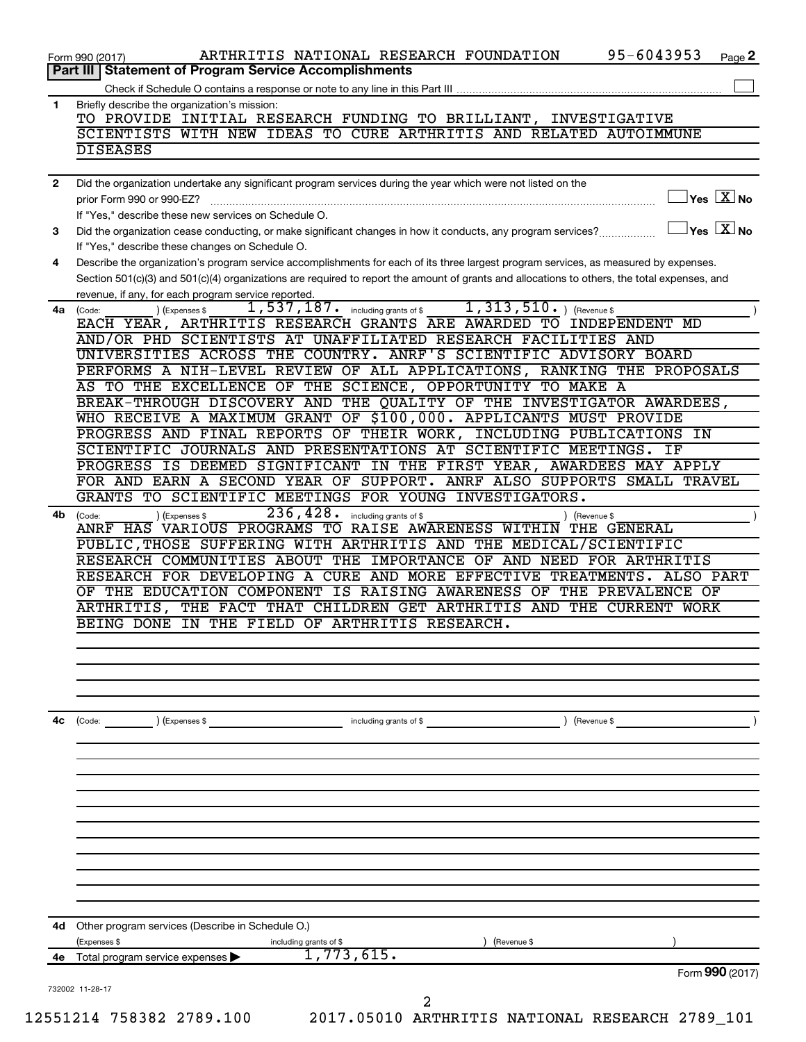|              | 95-6043953<br>ARTHRITIS NATIONAL RESEARCH FOUNDATION<br>Page 2                                                                                                                                                                                                                                                                                                                                                                                                                                                                                                                                                                                                                                                                                                                                                                                                                                                                                                                                                                                                                                                                                                                                                                                                                                                                                                                                                                                                                                                                                                                                                                                                                                                                                                                                                                                                                                                                                                                                                                                                                                                                                                                                                                                                                                                                                                                                                                                 |
|--------------|------------------------------------------------------------------------------------------------------------------------------------------------------------------------------------------------------------------------------------------------------------------------------------------------------------------------------------------------------------------------------------------------------------------------------------------------------------------------------------------------------------------------------------------------------------------------------------------------------------------------------------------------------------------------------------------------------------------------------------------------------------------------------------------------------------------------------------------------------------------------------------------------------------------------------------------------------------------------------------------------------------------------------------------------------------------------------------------------------------------------------------------------------------------------------------------------------------------------------------------------------------------------------------------------------------------------------------------------------------------------------------------------------------------------------------------------------------------------------------------------------------------------------------------------------------------------------------------------------------------------------------------------------------------------------------------------------------------------------------------------------------------------------------------------------------------------------------------------------------------------------------------------------------------------------------------------------------------------------------------------------------------------------------------------------------------------------------------------------------------------------------------------------------------------------------------------------------------------------------------------------------------------------------------------------------------------------------------------------------------------------------------------------------------------------------------------|
|              |                                                                                                                                                                                                                                                                                                                                                                                                                                                                                                                                                                                                                                                                                                                                                                                                                                                                                                                                                                                                                                                                                                                                                                                                                                                                                                                                                                                                                                                                                                                                                                                                                                                                                                                                                                                                                                                                                                                                                                                                                                                                                                                                                                                                                                                                                                                                                                                                                                                |
| 1            |                                                                                                                                                                                                                                                                                                                                                                                                                                                                                                                                                                                                                                                                                                                                                                                                                                                                                                                                                                                                                                                                                                                                                                                                                                                                                                                                                                                                                                                                                                                                                                                                                                                                                                                                                                                                                                                                                                                                                                                                                                                                                                                                                                                                                                                                                                                                                                                                                                                |
|              | TO PROVIDE INITIAL RESEARCH FUNDING TO BRILLIANT, INVESTIGATIVE                                                                                                                                                                                                                                                                                                                                                                                                                                                                                                                                                                                                                                                                                                                                                                                                                                                                                                                                                                                                                                                                                                                                                                                                                                                                                                                                                                                                                                                                                                                                                                                                                                                                                                                                                                                                                                                                                                                                                                                                                                                                                                                                                                                                                                                                                                                                                                                |
|              | Form 990 (2017)<br><b>Part III   Statement of Program Service Accomplishments</b><br>Briefly describe the organization's mission:<br>SCIENTISTS WITH NEW IDEAS TO CURE ARTHRITIS AND RELATED AUTOIMMUNE<br><b>DISEASES</b><br>Did the organization undertake any significant program services during the year which were not listed on the<br>prior Form 990 or 990-EZ?<br>If "Yes," describe these new services on Schedule O.<br>Did the organization cease conducting, or make significant changes in how it conducts, any program services?<br>If "Yes," describe these changes on Schedule O.<br>revenue, if any, for each program service reported.<br>$1,313,510.$ (Revenue \$<br>$\overline{1,537}$ , $187$ . including grants of \$<br>) (Expenses \$<br>(Code:<br>EACH YEAR, ARTHRITIS RESEARCH GRANTS ARE AWARDED TO INDEPENDENT MD<br>AND/OR PHD SCIENTISTS AT UNAFFILIATED RESEARCH FACILITIES AND<br>UNIVERSITIES ACROSS THE COUNTRY. ANRF'S SCIENTIFIC ADVISORY BOARD<br>PERFORMS A NIH-LEVEL REVIEW OF ALL APPLICATIONS, RANKING THE PROPOSALS<br>AS TO THE EXCELLENCE OF THE SCIENCE, OPPORTUNITY TO MAKE A<br>BREAK-THROUGH DISCOVERY AND THE QUALITY OF THE INVESTIGATOR AWARDEES,<br>WHO RECEIVE A MAXIMUM GRANT OF \$100,000. APPLICANTS MUST PROVIDE<br>PROGRESS AND FINAL REPORTS OF THEIR WORK, INCLUDING PUBLICATIONS<br>SCIENTIFIC JOURNALS AND PRESENTATIONS AT SCIENTIFIC MEETINGS.<br>IF<br>PROGRESS IS DEEMED SIGNIFICANT IN THE FIRST YEAR, AWARDEES MAY APPLY<br>FOR AND EARN A SECOND YEAR OF SUPPORT. ANRF ALSO SUPPORTS SMALL TRAVEL<br>GRANTS TO SCIENTIFIC MEETINGS FOR YOUNG INVESTIGATORS.<br>236, 428.<br>(Expenses \$<br>including grants of \$<br>(Code:<br>) (Revenue \$<br>ANRF HAS VARIOUS PROGRAMS TO RAISE AWARENESS WITHIN<br>THE GENERAL<br>PUBLIC, THOSE SUFFERING WITH ARTHRITIS AND THE MEDICAL/SCIENTIFIC<br>RESEARCH COMMUNITIES ABOUT THE IMPORTANCE OF AND NEED FOR ARTHRITIS<br>RESEARCH FOR DEVELOPING A CURE AND MORE EFFECTIVE TREATMENTS. ALSO PART<br>OF THE EDUCATION COMPONENT IS RAISING AWARENESS OF THE PREVALENCE OF<br>THE FACT THAT CHILDREN GET ARTHRITIS AND THE CURRENT WORK<br>ARTHRITIS,<br>BEING DONE IN THE FIELD OF ARTHRITIS RESEARCH.<br>$\left(\text{Code:} \right) \left(\text{Expenses } \$\right)$<br>) (Revenue \$<br>including grants of \$<br>Other program services (Describe in Schedule O.)<br>(Expenses \$<br>(Revenue \$<br>including grants of \$ |
|              |                                                                                                                                                                                                                                                                                                                                                                                                                                                                                                                                                                                                                                                                                                                                                                                                                                                                                                                                                                                                                                                                                                                                                                                                                                                                                                                                                                                                                                                                                                                                                                                                                                                                                                                                                                                                                                                                                                                                                                                                                                                                                                                                                                                                                                                                                                                                                                                                                                                |
| $\mathbf{2}$ |                                                                                                                                                                                                                                                                                                                                                                                                                                                                                                                                                                                                                                                                                                                                                                                                                                                                                                                                                                                                                                                                                                                                                                                                                                                                                                                                                                                                                                                                                                                                                                                                                                                                                                                                                                                                                                                                                                                                                                                                                                                                                                                                                                                                                                                                                                                                                                                                                                                |
|              | $ {\mathsf Y}\mathsf{es}^- \overline{{\mathsf X}} $ No                                                                                                                                                                                                                                                                                                                                                                                                                                                                                                                                                                                                                                                                                                                                                                                                                                                                                                                                                                                                                                                                                                                                                                                                                                                                                                                                                                                                                                                                                                                                                                                                                                                                                                                                                                                                                                                                                                                                                                                                                                                                                                                                                                                                                                                                                                                                                                                         |
| з            | $ {\mathsf Y}$ es $\lfloor \underline{{\mathsf X}} \rfloor$ No                                                                                                                                                                                                                                                                                                                                                                                                                                                                                                                                                                                                                                                                                                                                                                                                                                                                                                                                                                                                                                                                                                                                                                                                                                                                                                                                                                                                                                                                                                                                                                                                                                                                                                                                                                                                                                                                                                                                                                                                                                                                                                                                                                                                                                                                                                                                                                                 |
|              |                                                                                                                                                                                                                                                                                                                                                                                                                                                                                                                                                                                                                                                                                                                                                                                                                                                                                                                                                                                                                                                                                                                                                                                                                                                                                                                                                                                                                                                                                                                                                                                                                                                                                                                                                                                                                                                                                                                                                                                                                                                                                                                                                                                                                                                                                                                                                                                                                                                |
| 4            | Describe the organization's program service accomplishments for each of its three largest program services, as measured by expenses.                                                                                                                                                                                                                                                                                                                                                                                                                                                                                                                                                                                                                                                                                                                                                                                                                                                                                                                                                                                                                                                                                                                                                                                                                                                                                                                                                                                                                                                                                                                                                                                                                                                                                                                                                                                                                                                                                                                                                                                                                                                                                                                                                                                                                                                                                                           |
|              | Section 501(c)(3) and 501(c)(4) organizations are required to report the amount of grants and allocations to others, the total expenses, and                                                                                                                                                                                                                                                                                                                                                                                                                                                                                                                                                                                                                                                                                                                                                                                                                                                                                                                                                                                                                                                                                                                                                                                                                                                                                                                                                                                                                                                                                                                                                                                                                                                                                                                                                                                                                                                                                                                                                                                                                                                                                                                                                                                                                                                                                                   |
| 4a           |                                                                                                                                                                                                                                                                                                                                                                                                                                                                                                                                                                                                                                                                                                                                                                                                                                                                                                                                                                                                                                                                                                                                                                                                                                                                                                                                                                                                                                                                                                                                                                                                                                                                                                                                                                                                                                                                                                                                                                                                                                                                                                                                                                                                                                                                                                                                                                                                                                                |
|              |                                                                                                                                                                                                                                                                                                                                                                                                                                                                                                                                                                                                                                                                                                                                                                                                                                                                                                                                                                                                                                                                                                                                                                                                                                                                                                                                                                                                                                                                                                                                                                                                                                                                                                                                                                                                                                                                                                                                                                                                                                                                                                                                                                                                                                                                                                                                                                                                                                                |
|              |                                                                                                                                                                                                                                                                                                                                                                                                                                                                                                                                                                                                                                                                                                                                                                                                                                                                                                                                                                                                                                                                                                                                                                                                                                                                                                                                                                                                                                                                                                                                                                                                                                                                                                                                                                                                                                                                                                                                                                                                                                                                                                                                                                                                                                                                                                                                                                                                                                                |
|              |                                                                                                                                                                                                                                                                                                                                                                                                                                                                                                                                                                                                                                                                                                                                                                                                                                                                                                                                                                                                                                                                                                                                                                                                                                                                                                                                                                                                                                                                                                                                                                                                                                                                                                                                                                                                                                                                                                                                                                                                                                                                                                                                                                                                                                                                                                                                                                                                                                                |
|              |                                                                                                                                                                                                                                                                                                                                                                                                                                                                                                                                                                                                                                                                                                                                                                                                                                                                                                                                                                                                                                                                                                                                                                                                                                                                                                                                                                                                                                                                                                                                                                                                                                                                                                                                                                                                                                                                                                                                                                                                                                                                                                                                                                                                                                                                                                                                                                                                                                                |
|              |                                                                                                                                                                                                                                                                                                                                                                                                                                                                                                                                                                                                                                                                                                                                                                                                                                                                                                                                                                                                                                                                                                                                                                                                                                                                                                                                                                                                                                                                                                                                                                                                                                                                                                                                                                                                                                                                                                                                                                                                                                                                                                                                                                                                                                                                                                                                                                                                                                                |
|              |                                                                                                                                                                                                                                                                                                                                                                                                                                                                                                                                                                                                                                                                                                                                                                                                                                                                                                                                                                                                                                                                                                                                                                                                                                                                                                                                                                                                                                                                                                                                                                                                                                                                                                                                                                                                                                                                                                                                                                                                                                                                                                                                                                                                                                                                                                                                                                                                                                                |
|              | ΙN                                                                                                                                                                                                                                                                                                                                                                                                                                                                                                                                                                                                                                                                                                                                                                                                                                                                                                                                                                                                                                                                                                                                                                                                                                                                                                                                                                                                                                                                                                                                                                                                                                                                                                                                                                                                                                                                                                                                                                                                                                                                                                                                                                                                                                                                                                                                                                                                                                             |
|              |                                                                                                                                                                                                                                                                                                                                                                                                                                                                                                                                                                                                                                                                                                                                                                                                                                                                                                                                                                                                                                                                                                                                                                                                                                                                                                                                                                                                                                                                                                                                                                                                                                                                                                                                                                                                                                                                                                                                                                                                                                                                                                                                                                                                                                                                                                                                                                                                                                                |
|              |                                                                                                                                                                                                                                                                                                                                                                                                                                                                                                                                                                                                                                                                                                                                                                                                                                                                                                                                                                                                                                                                                                                                                                                                                                                                                                                                                                                                                                                                                                                                                                                                                                                                                                                                                                                                                                                                                                                                                                                                                                                                                                                                                                                                                                                                                                                                                                                                                                                |
|              |                                                                                                                                                                                                                                                                                                                                                                                                                                                                                                                                                                                                                                                                                                                                                                                                                                                                                                                                                                                                                                                                                                                                                                                                                                                                                                                                                                                                                                                                                                                                                                                                                                                                                                                                                                                                                                                                                                                                                                                                                                                                                                                                                                                                                                                                                                                                                                                                                                                |
| 4b           |                                                                                                                                                                                                                                                                                                                                                                                                                                                                                                                                                                                                                                                                                                                                                                                                                                                                                                                                                                                                                                                                                                                                                                                                                                                                                                                                                                                                                                                                                                                                                                                                                                                                                                                                                                                                                                                                                                                                                                                                                                                                                                                                                                                                                                                                                                                                                                                                                                                |
|              |                                                                                                                                                                                                                                                                                                                                                                                                                                                                                                                                                                                                                                                                                                                                                                                                                                                                                                                                                                                                                                                                                                                                                                                                                                                                                                                                                                                                                                                                                                                                                                                                                                                                                                                                                                                                                                                                                                                                                                                                                                                                                                                                                                                                                                                                                                                                                                                                                                                |
|              |                                                                                                                                                                                                                                                                                                                                                                                                                                                                                                                                                                                                                                                                                                                                                                                                                                                                                                                                                                                                                                                                                                                                                                                                                                                                                                                                                                                                                                                                                                                                                                                                                                                                                                                                                                                                                                                                                                                                                                                                                                                                                                                                                                                                                                                                                                                                                                                                                                                |
|              |                                                                                                                                                                                                                                                                                                                                                                                                                                                                                                                                                                                                                                                                                                                                                                                                                                                                                                                                                                                                                                                                                                                                                                                                                                                                                                                                                                                                                                                                                                                                                                                                                                                                                                                                                                                                                                                                                                                                                                                                                                                                                                                                                                                                                                                                                                                                                                                                                                                |
|              |                                                                                                                                                                                                                                                                                                                                                                                                                                                                                                                                                                                                                                                                                                                                                                                                                                                                                                                                                                                                                                                                                                                                                                                                                                                                                                                                                                                                                                                                                                                                                                                                                                                                                                                                                                                                                                                                                                                                                                                                                                                                                                                                                                                                                                                                                                                                                                                                                                                |
|              |                                                                                                                                                                                                                                                                                                                                                                                                                                                                                                                                                                                                                                                                                                                                                                                                                                                                                                                                                                                                                                                                                                                                                                                                                                                                                                                                                                                                                                                                                                                                                                                                                                                                                                                                                                                                                                                                                                                                                                                                                                                                                                                                                                                                                                                                                                                                                                                                                                                |
|              |                                                                                                                                                                                                                                                                                                                                                                                                                                                                                                                                                                                                                                                                                                                                                                                                                                                                                                                                                                                                                                                                                                                                                                                                                                                                                                                                                                                                                                                                                                                                                                                                                                                                                                                                                                                                                                                                                                                                                                                                                                                                                                                                                                                                                                                                                                                                                                                                                                                |
|              |                                                                                                                                                                                                                                                                                                                                                                                                                                                                                                                                                                                                                                                                                                                                                                                                                                                                                                                                                                                                                                                                                                                                                                                                                                                                                                                                                                                                                                                                                                                                                                                                                                                                                                                                                                                                                                                                                                                                                                                                                                                                                                                                                                                                                                                                                                                                                                                                                                                |
|              |                                                                                                                                                                                                                                                                                                                                                                                                                                                                                                                                                                                                                                                                                                                                                                                                                                                                                                                                                                                                                                                                                                                                                                                                                                                                                                                                                                                                                                                                                                                                                                                                                                                                                                                                                                                                                                                                                                                                                                                                                                                                                                                                                                                                                                                                                                                                                                                                                                                |
|              |                                                                                                                                                                                                                                                                                                                                                                                                                                                                                                                                                                                                                                                                                                                                                                                                                                                                                                                                                                                                                                                                                                                                                                                                                                                                                                                                                                                                                                                                                                                                                                                                                                                                                                                                                                                                                                                                                                                                                                                                                                                                                                                                                                                                                                                                                                                                                                                                                                                |
|              |                                                                                                                                                                                                                                                                                                                                                                                                                                                                                                                                                                                                                                                                                                                                                                                                                                                                                                                                                                                                                                                                                                                                                                                                                                                                                                                                                                                                                                                                                                                                                                                                                                                                                                                                                                                                                                                                                                                                                                                                                                                                                                                                                                                                                                                                                                                                                                                                                                                |
| 4с           |                                                                                                                                                                                                                                                                                                                                                                                                                                                                                                                                                                                                                                                                                                                                                                                                                                                                                                                                                                                                                                                                                                                                                                                                                                                                                                                                                                                                                                                                                                                                                                                                                                                                                                                                                                                                                                                                                                                                                                                                                                                                                                                                                                                                                                                                                                                                                                                                                                                |
|              |                                                                                                                                                                                                                                                                                                                                                                                                                                                                                                                                                                                                                                                                                                                                                                                                                                                                                                                                                                                                                                                                                                                                                                                                                                                                                                                                                                                                                                                                                                                                                                                                                                                                                                                                                                                                                                                                                                                                                                                                                                                                                                                                                                                                                                                                                                                                                                                                                                                |
|              |                                                                                                                                                                                                                                                                                                                                                                                                                                                                                                                                                                                                                                                                                                                                                                                                                                                                                                                                                                                                                                                                                                                                                                                                                                                                                                                                                                                                                                                                                                                                                                                                                                                                                                                                                                                                                                                                                                                                                                                                                                                                                                                                                                                                                                                                                                                                                                                                                                                |
|              |                                                                                                                                                                                                                                                                                                                                                                                                                                                                                                                                                                                                                                                                                                                                                                                                                                                                                                                                                                                                                                                                                                                                                                                                                                                                                                                                                                                                                                                                                                                                                                                                                                                                                                                                                                                                                                                                                                                                                                                                                                                                                                                                                                                                                                                                                                                                                                                                                                                |
|              |                                                                                                                                                                                                                                                                                                                                                                                                                                                                                                                                                                                                                                                                                                                                                                                                                                                                                                                                                                                                                                                                                                                                                                                                                                                                                                                                                                                                                                                                                                                                                                                                                                                                                                                                                                                                                                                                                                                                                                                                                                                                                                                                                                                                                                                                                                                                                                                                                                                |
|              |                                                                                                                                                                                                                                                                                                                                                                                                                                                                                                                                                                                                                                                                                                                                                                                                                                                                                                                                                                                                                                                                                                                                                                                                                                                                                                                                                                                                                                                                                                                                                                                                                                                                                                                                                                                                                                                                                                                                                                                                                                                                                                                                                                                                                                                                                                                                                                                                                                                |
|              |                                                                                                                                                                                                                                                                                                                                                                                                                                                                                                                                                                                                                                                                                                                                                                                                                                                                                                                                                                                                                                                                                                                                                                                                                                                                                                                                                                                                                                                                                                                                                                                                                                                                                                                                                                                                                                                                                                                                                                                                                                                                                                                                                                                                                                                                                                                                                                                                                                                |
|              |                                                                                                                                                                                                                                                                                                                                                                                                                                                                                                                                                                                                                                                                                                                                                                                                                                                                                                                                                                                                                                                                                                                                                                                                                                                                                                                                                                                                                                                                                                                                                                                                                                                                                                                                                                                                                                                                                                                                                                                                                                                                                                                                                                                                                                                                                                                                                                                                                                                |
| 4d           |                                                                                                                                                                                                                                                                                                                                                                                                                                                                                                                                                                                                                                                                                                                                                                                                                                                                                                                                                                                                                                                                                                                                                                                                                                                                                                                                                                                                                                                                                                                                                                                                                                                                                                                                                                                                                                                                                                                                                                                                                                                                                                                                                                                                                                                                                                                                                                                                                                                |
|              | 1,773,615.<br>Total program service expenses                                                                                                                                                                                                                                                                                                                                                                                                                                                                                                                                                                                                                                                                                                                                                                                                                                                                                                                                                                                                                                                                                                                                                                                                                                                                                                                                                                                                                                                                                                                                                                                                                                                                                                                                                                                                                                                                                                                                                                                                                                                                                                                                                                                                                                                                                                                                                                                                   |
| 4е           | Form 990 (2017)                                                                                                                                                                                                                                                                                                                                                                                                                                                                                                                                                                                                                                                                                                                                                                                                                                                                                                                                                                                                                                                                                                                                                                                                                                                                                                                                                                                                                                                                                                                                                                                                                                                                                                                                                                                                                                                                                                                                                                                                                                                                                                                                                                                                                                                                                                                                                                                                                                |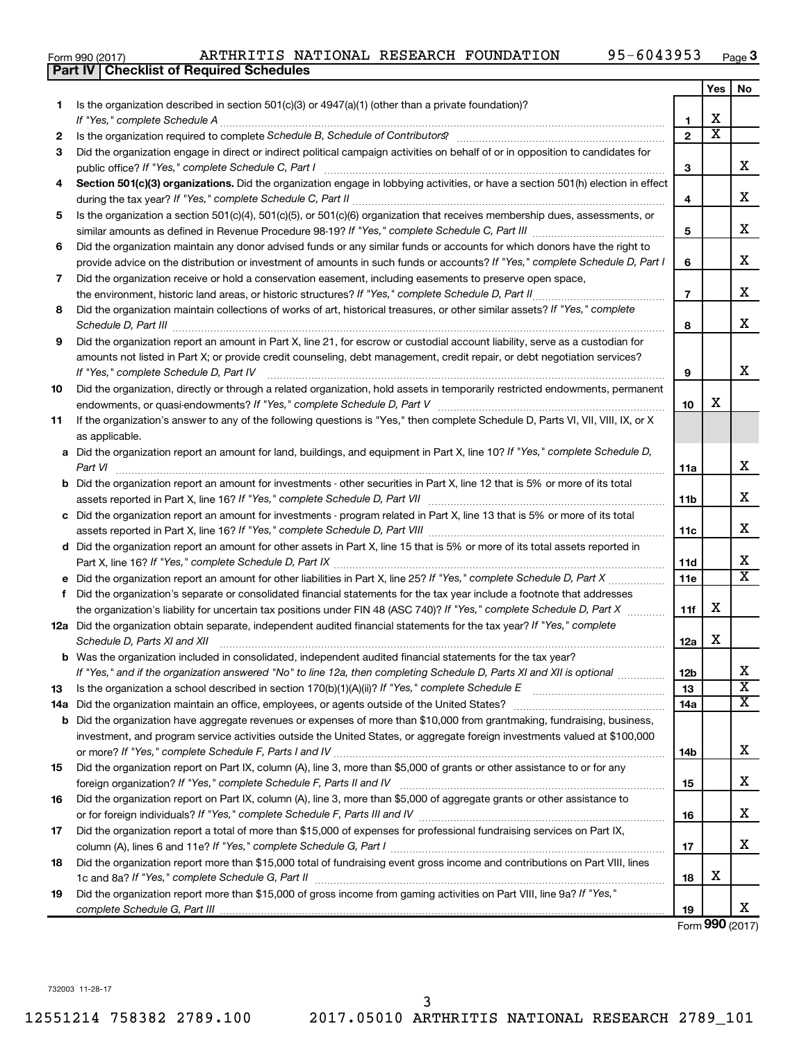|  | Form 990 (2017) |
|--|-----------------|
|  |                 |

### Form 990 (2017) Page ARTHRITIS NATIONAL RESEARCH FOUNDATION 95-6043953

|    | <b>Part IV   Checklist of Required Schedules</b>                                                                                                                |                 |                       |                         |
|----|-----------------------------------------------------------------------------------------------------------------------------------------------------------------|-----------------|-----------------------|-------------------------|
|    |                                                                                                                                                                 |                 | Yes                   | No                      |
| 1. | Is the organization described in section 501(c)(3) or 4947(a)(1) (other than a private foundation)?                                                             |                 |                       |                         |
|    |                                                                                                                                                                 | 1               | х                     |                         |
| 2  | Is the organization required to complete Schedule B, Schedule of Contributors? [11] The organization required to complete Schedule B, Schedule of Contributors? | $\overline{2}$  | $\overline{\text{x}}$ |                         |
| 3  | Did the organization engage in direct or indirect political campaign activities on behalf of or in opposition to candidates for                                 |                 |                       |                         |
|    |                                                                                                                                                                 | 3               |                       | х                       |
| 4  | Section 501(c)(3) organizations. Did the organization engage in lobbying activities, or have a section 501(h) election in effect                                |                 |                       |                         |
|    |                                                                                                                                                                 | 4               |                       | х                       |
| 5  | Is the organization a section 501(c)(4), 501(c)(5), or 501(c)(6) organization that receives membership dues, assessments, or                                    |                 |                       |                         |
|    |                                                                                                                                                                 | 5               |                       | х                       |
| 6  | Did the organization maintain any donor advised funds or any similar funds or accounts for which donors have the right to                                       |                 |                       |                         |
|    | provide advice on the distribution or investment of amounts in such funds or accounts? If "Yes," complete Schedule D, Part I                                    | 6               |                       | х                       |
| 7  | Did the organization receive or hold a conservation easement, including easements to preserve open space,                                                       |                 |                       |                         |
|    | the environment, historic land areas, or historic structures? If "Yes," complete Schedule D, Part II                                                            | $\overline{7}$  |                       | х                       |
| 8  | Did the organization maintain collections of works of art, historical treasures, or other similar assets? If "Yes," complete                                    |                 |                       |                         |
|    |                                                                                                                                                                 | 8               |                       | х                       |
|    |                                                                                                                                                                 |                 |                       |                         |
| 9  | Did the organization report an amount in Part X, line 21, for escrow or custodial account liability, serve as a custodian for                                   |                 |                       |                         |
|    | amounts not listed in Part X; or provide credit counseling, debt management, credit repair, or debt negotiation services?                                       |                 |                       | х                       |
|    |                                                                                                                                                                 | 9               |                       |                         |
| 10 | Did the organization, directly or through a related organization, hold assets in temporarily restricted endowments, permanent                                   |                 | х                     |                         |
|    |                                                                                                                                                                 | 10              |                       |                         |
| 11 | If the organization's answer to any of the following questions is "Yes," then complete Schedule D, Parts VI, VII, VIII, IX, or X                                |                 |                       |                         |
|    | as applicable.                                                                                                                                                  |                 |                       |                         |
|    | a Did the organization report an amount for land, buildings, and equipment in Part X, line 10? If "Yes," complete Schedule D,                                   |                 |                       |                         |
|    | Part VI                                                                                                                                                         | 11a             |                       | х                       |
|    | <b>b</b> Did the organization report an amount for investments - other securities in Part X, line 12 that is 5% or more of its total                            |                 |                       |                         |
|    |                                                                                                                                                                 | <b>11b</b>      |                       | x                       |
|    | c Did the organization report an amount for investments - program related in Part X, line 13 that is 5% or more of its total                                    |                 |                       |                         |
|    |                                                                                                                                                                 | 11c             |                       | x                       |
|    | d Did the organization report an amount for other assets in Part X, line 15 that is 5% or more of its total assets reported in                                  |                 |                       |                         |
|    |                                                                                                                                                                 | 11d             |                       | х                       |
|    | e Did the organization report an amount for other liabilities in Part X, line 25? If "Yes," complete Schedule D, Part X                                         | 11e             |                       | $\overline{\texttt{x}}$ |
| f  | Did the organization's separate or consolidated financial statements for the tax year include a footnote that addresses                                         |                 |                       |                         |
|    | the organization's liability for uncertain tax positions under FIN 48 (ASC 740)? If "Yes," complete Schedule D, Part X                                          | 11f             | х                     |                         |
|    | 12a Did the organization obtain separate, independent audited financial statements for the tax year? If "Yes," complete                                         |                 |                       |                         |
|    | Schedule D, Parts XI and XII                                                                                                                                    | 12a             | х                     |                         |
|    | <b>b</b> Was the organization included in consolidated, independent audited financial statements for the tax year?                                              |                 |                       |                         |
|    | If "Yes," and if the organization answered "No" to line 12a, then completing Schedule D, Parts XI and XII is optional <i>manimum</i>                            | 12 <sub>b</sub> |                       | х                       |
| 13 |                                                                                                                                                                 | 13              |                       | $\overline{\mathbf{X}}$ |
|    |                                                                                                                                                                 | 14a             |                       | $\overline{\mathbf{X}}$ |
|    | <b>b</b> Did the organization have aggregate revenues or expenses of more than \$10,000 from grantmaking, fundraising, business,                                |                 |                       |                         |
|    | investment, and program service activities outside the United States, or aggregate foreign investments valued at \$100,000                                      |                 |                       |                         |
|    |                                                                                                                                                                 | 14b             |                       | х                       |
| 15 | Did the organization report on Part IX, column (A), line 3, more than \$5,000 of grants or other assistance to or for any                                       |                 |                       |                         |
|    |                                                                                                                                                                 | 15              |                       | X                       |
| 16 | Did the organization report on Part IX, column (A), line 3, more than \$5,000 of aggregate grants or other assistance to                                        |                 |                       |                         |
|    |                                                                                                                                                                 | 16              |                       | х                       |
| 17 | Did the organization report a total of more than \$15,000 of expenses for professional fundraising services on Part IX,                                         |                 |                       |                         |
|    |                                                                                                                                                                 | 17              |                       | X                       |
| 18 | Did the organization report more than \$15,000 total of fundraising event gross income and contributions on Part VIII, lines                                    |                 |                       |                         |
|    |                                                                                                                                                                 | 18              | х                     |                         |
| 19 | Did the organization report more than \$15,000 of gross income from gaming activities on Part VIII, line 9a? If "Yes,"                                          |                 |                       |                         |
|    |                                                                                                                                                                 | 19              |                       | x                       |

Form (2017) **990**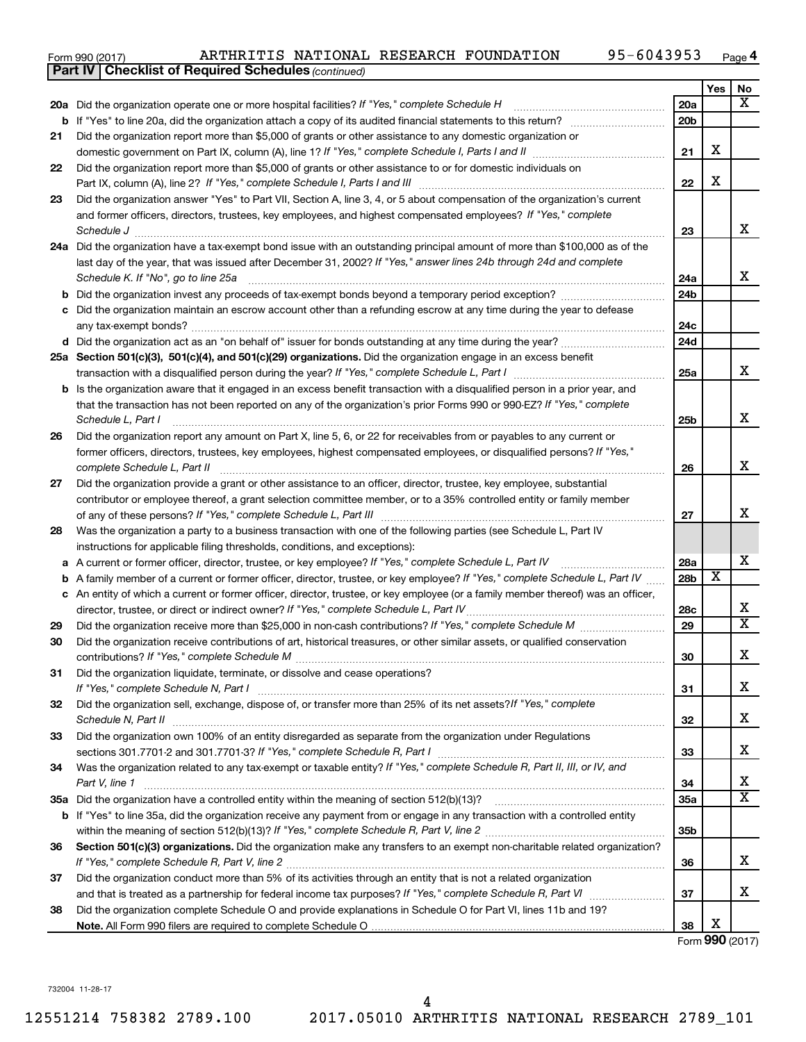| Form 990 (2017) |  |  |  | ARTHRITIS NATIONAL RESEARCH FOUNDATION | 95-6043953 | Page |
|-----------------|--|--|--|----------------------------------------|------------|------|
|-----------------|--|--|--|----------------------------------------|------------|------|

|    | <b>Part IV   Checklist of Required Schedules (continued)</b>                                                                                                                                                                   |                 |                         |                              |
|----|--------------------------------------------------------------------------------------------------------------------------------------------------------------------------------------------------------------------------------|-----------------|-------------------------|------------------------------|
|    |                                                                                                                                                                                                                                |                 | Yes                     | No                           |
|    | 20a Did the organization operate one or more hospital facilities? If "Yes," complete Schedule H                                                                                                                                | 20a             |                         | х                            |
|    |                                                                                                                                                                                                                                | 20 <sub>b</sub> |                         |                              |
| 21 | Did the organization report more than \$5,000 of grants or other assistance to any domestic organization or                                                                                                                    |                 |                         |                              |
|    |                                                                                                                                                                                                                                | 21              | X                       |                              |
| 22 | Did the organization report more than \$5,000 of grants or other assistance to or for domestic individuals on                                                                                                                  |                 |                         |                              |
|    |                                                                                                                                                                                                                                | 22              | X                       |                              |
| 23 | Did the organization answer "Yes" to Part VII, Section A, line 3, 4, or 5 about compensation of the organization's current                                                                                                     |                 |                         |                              |
|    | and former officers, directors, trustees, key employees, and highest compensated employees? If "Yes," complete                                                                                                                 |                 |                         |                              |
|    | Schedule J <b>Production Construction Construction Construction Construction Construction</b>                                                                                                                                  | 23              |                         | x                            |
|    | 24a Did the organization have a tax-exempt bond issue with an outstanding principal amount of more than \$100,000 as of the                                                                                                    |                 |                         |                              |
|    | last day of the year, that was issued after December 31, 2002? If "Yes," answer lines 24b through 24d and complete                                                                                                             |                 |                         |                              |
|    | Schedule K. If "No", go to line 25a                                                                                                                                                                                            | 24a             |                         | x                            |
| b  |                                                                                                                                                                                                                                | 24 <sub>b</sub> |                         |                              |
|    | Did the organization maintain an escrow account other than a refunding escrow at any time during the year to defease                                                                                                           |                 |                         |                              |
|    |                                                                                                                                                                                                                                | 24c             |                         |                              |
|    |                                                                                                                                                                                                                                | 24d             |                         |                              |
|    | 25a Section 501(c)(3), 501(c)(4), and 501(c)(29) organizations. Did the organization engage in an excess benefit                                                                                                               |                 |                         |                              |
|    | transaction with a disqualified person during the year? If "Yes," complete Schedule L, Part I manual manual manual manual manual manual manual manual manual manual manual manual manual manual manual manual manual manual ma | 25a             |                         | x                            |
|    | <b>b</b> Is the organization aware that it engaged in an excess benefit transaction with a disqualified person in a prior year, and                                                                                            |                 |                         |                              |
|    | that the transaction has not been reported on any of the organization's prior Forms 990 or 990-EZ? If "Yes," complete                                                                                                          |                 |                         |                              |
|    | Schedule L, Part I                                                                                                                                                                                                             | 25b             |                         | x                            |
| 26 | Did the organization report any amount on Part X, line 5, 6, or 22 for receivables from or payables to any current or                                                                                                          |                 |                         |                              |
|    | former officers, directors, trustees, key employees, highest compensated employees, or disqualified persons? If "Yes,"                                                                                                         |                 |                         |                              |
|    | complete Schedule L, Part II                                                                                                                                                                                                   | 26              |                         | x                            |
| 27 | Did the organization provide a grant or other assistance to an officer, director, trustee, key employee, substantial                                                                                                           |                 |                         |                              |
|    | contributor or employee thereof, a grant selection committee member, or to a 35% controlled entity or family member                                                                                                            |                 |                         |                              |
|    |                                                                                                                                                                                                                                | 27              |                         | X                            |
| 28 | Was the organization a party to a business transaction with one of the following parties (see Schedule L, Part IV                                                                                                              |                 |                         |                              |
|    | instructions for applicable filing thresholds, conditions, and exceptions):                                                                                                                                                    |                 |                         |                              |
| а  | A current or former officer, director, trustee, or key employee? If "Yes," complete Schedule L, Part IV                                                                                                                        | 28a             |                         | x                            |
| b  | A family member of a current or former officer, director, trustee, or key employee? If "Yes," complete Schedule L, Part IV                                                                                                     | 28 <sub>b</sub> | $\overline{\textbf{x}}$ |                              |
|    | c An entity of which a current or former officer, director, trustee, or key employee (or a family member thereof) was an officer,                                                                                              |                 |                         |                              |
|    | director, trustee, or direct or indirect owner? If "Yes," complete Schedule L, Part IV                                                                                                                                         | 28c             |                         | x<br>$\overline{\mathtt{x}}$ |
| 29 |                                                                                                                                                                                                                                | 29              |                         |                              |
| 30 | Did the organization receive contributions of art, historical treasures, or other similar assets, or qualified conservation                                                                                                    |                 |                         | v                            |
|    |                                                                                                                                                                                                                                | 30              |                         | 4                            |
| 31 | Did the organization liquidate, terminate, or dissolve and cease operations?                                                                                                                                                   | 31              |                         | x                            |
| 32 | Did the organization sell, exchange, dispose of, or transfer more than 25% of its net assets?/f "Yes," complete                                                                                                                |                 |                         |                              |
|    |                                                                                                                                                                                                                                | 32              |                         | x                            |
| 33 | Did the organization own 100% of an entity disregarded as separate from the organization under Regulations                                                                                                                     |                 |                         |                              |
|    |                                                                                                                                                                                                                                | 33              |                         | x                            |
| 34 | Was the organization related to any tax-exempt or taxable entity? If "Yes," complete Schedule R, Part II, III, or IV, and                                                                                                      |                 |                         |                              |
|    | Part V, line 1                                                                                                                                                                                                                 | 34              |                         | x                            |
|    |                                                                                                                                                                                                                                | 35a             |                         | $\overline{\mathtt{x}}$      |
|    | b If "Yes" to line 35a, did the organization receive any payment from or engage in any transaction with a controlled entity                                                                                                    |                 |                         |                              |
|    |                                                                                                                                                                                                                                | 35 <sub>b</sub> |                         |                              |
| 36 | Section 501(c)(3) organizations. Did the organization make any transfers to an exempt non-charitable related organization?                                                                                                     |                 |                         |                              |
|    |                                                                                                                                                                                                                                | 36              |                         | x                            |
| 37 | Did the organization conduct more than 5% of its activities through an entity that is not a related organization                                                                                                               |                 |                         |                              |
|    |                                                                                                                                                                                                                                | 37              |                         | x                            |
| 38 | Did the organization complete Schedule O and provide explanations in Schedule O for Part VI, lines 11b and 19?                                                                                                                 |                 |                         |                              |
|    |                                                                                                                                                                                                                                | 38              | X                       |                              |

Form (2017) **990**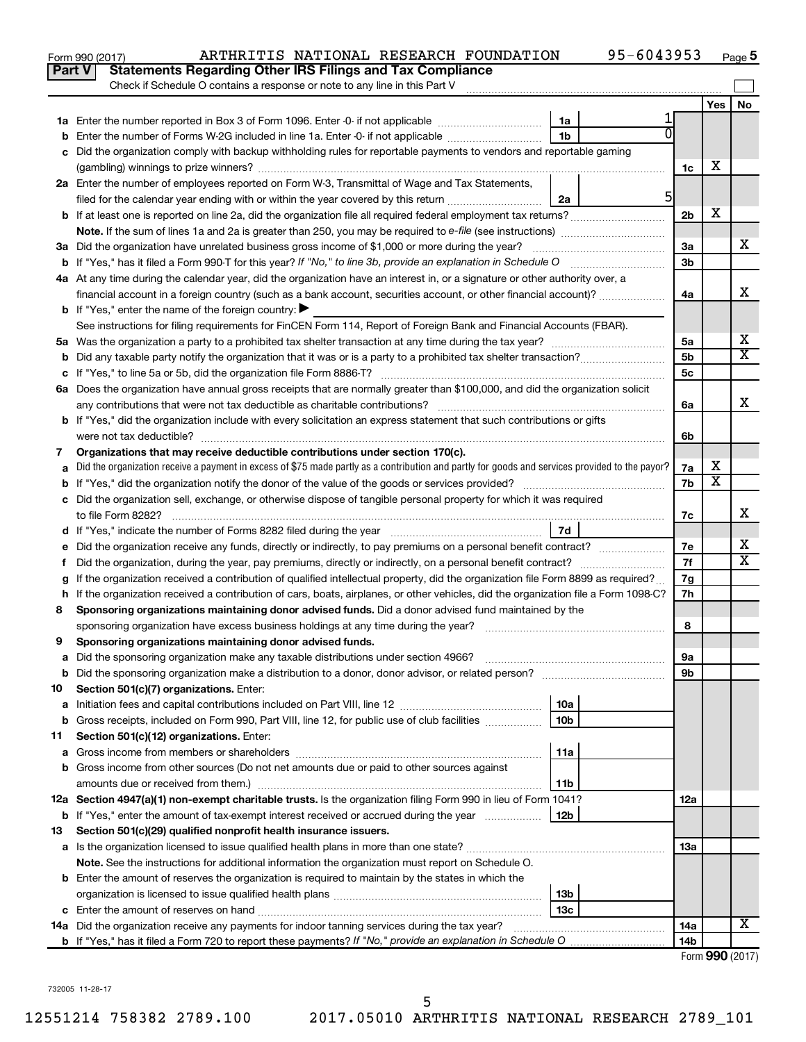|               | 95-6043953<br>ARTHRITIS NATIONAL RESEARCH FOUNDATION<br>Form 990 (2017)                                                                         |                 |                         | Page 5                |
|---------------|-------------------------------------------------------------------------------------------------------------------------------------------------|-----------------|-------------------------|-----------------------|
| <b>Part V</b> | <b>Statements Regarding Other IRS Filings and Tax Compliance</b>                                                                                |                 |                         |                       |
|               | Check if Schedule O contains a response or note to any line in this Part V                                                                      |                 |                         |                       |
|               |                                                                                                                                                 |                 | Yes                     | No                    |
|               | 1a                                                                                                                                              |                 |                         |                       |
| b             | 1 <sub>b</sub><br>Enter the number of Forms W-2G included in line 1a. Enter -0- if not applicable                                               |                 |                         |                       |
| c             | Did the organization comply with backup withholding rules for reportable payments to vendors and reportable gaming                              |                 |                         |                       |
|               |                                                                                                                                                 | 1c              | х                       |                       |
|               | 2a Enter the number of employees reported on Form W-3, Transmittal of Wage and Tax Statements,                                                  |                 |                         |                       |
|               | 5<br>filed for the calendar year ending with or within the year covered by this return<br>2a                                                    |                 |                         |                       |
|               |                                                                                                                                                 | 2 <sub>b</sub>  | х                       |                       |
|               |                                                                                                                                                 |                 |                         |                       |
|               | 3a Did the organization have unrelated business gross income of \$1,000 or more during the year?                                                | 3a              |                         | х                     |
|               |                                                                                                                                                 | 3 <sub>b</sub>  |                         |                       |
|               | 4a At any time during the calendar year, did the organization have an interest in, or a signature or other authority over, a                    |                 |                         |                       |
|               | financial account in a foreign country (such as a bank account, securities account, or other financial account)?                                | 4a              |                         | X                     |
|               | <b>b</b> If "Yes," enter the name of the foreign country: $\blacktriangleright$                                                                 |                 |                         |                       |
|               | See instructions for filing requirements for FinCEN Form 114, Report of Foreign Bank and Financial Accounts (FBAR).                             |                 |                         |                       |
|               |                                                                                                                                                 | 5a              |                         | х                     |
|               |                                                                                                                                                 | 5 <sub>b</sub>  |                         | $\overline{\text{X}}$ |
|               |                                                                                                                                                 | 5c              |                         |                       |
|               | 6a Does the organization have annual gross receipts that are normally greater than \$100,000, and did the organization solicit                  |                 |                         |                       |
|               |                                                                                                                                                 | 6a              |                         | X                     |
|               | <b>b</b> If "Yes," did the organization include with every solicitation an express statement that such contributions or gifts                   |                 |                         |                       |
|               |                                                                                                                                                 | 6b              |                         |                       |
| 7             | Organizations that may receive deductible contributions under section 170(c).                                                                   |                 |                         |                       |
| a             | Did the organization receive a payment in excess of \$75 made partly as a contribution and partly for goods and services provided to the payor? | 7a              | х                       |                       |
|               |                                                                                                                                                 | 7b              | $\overline{\textbf{x}}$ |                       |
|               | c Did the organization sell, exchange, or otherwise dispose of tangible personal property for which it was required                             |                 |                         |                       |
|               |                                                                                                                                                 | 7c              |                         | X                     |
|               |                                                                                                                                                 |                 |                         |                       |
| е             |                                                                                                                                                 | 7е              |                         | х                     |
| f.            |                                                                                                                                                 | 7f              |                         | $\overline{\text{X}}$ |
|               | If the organization received a contribution of qualified intellectual property, did the organization file Form 8899 as required?                | 7g              |                         |                       |
|               | h If the organization received a contribution of cars, boats, airplanes, or other vehicles, did the organization file a Form 1098-C?            | 7h              |                         |                       |
| 8             | Sponsoring organizations maintaining donor advised funds. Did a donor advised fund maintained by the                                            |                 |                         |                       |
|               |                                                                                                                                                 | 8               |                         |                       |
|               | Sponsoring organizations maintaining donor advised funds.                                                                                       |                 |                         |                       |
| а             | Did the sponsoring organization make any taxable distributions under section 4966?                                                              | 9а              |                         |                       |
| b             | Did the sponsoring organization make a distribution to a donor, donor advisor, or related person?                                               | 9b              |                         |                       |
| 10            | Section 501(c)(7) organizations. Enter:                                                                                                         |                 |                         |                       |
| а             | 10a                                                                                                                                             |                 |                         |                       |
| b             | 10 <sub>b</sub><br>Gross receipts, included on Form 990, Part VIII, line 12, for public use of club facilities                                  |                 |                         |                       |
| 11            | Section 501(c)(12) organizations. Enter:                                                                                                        |                 |                         |                       |
| а             | 11a                                                                                                                                             |                 |                         |                       |
| b             | Gross income from other sources (Do not net amounts due or paid to other sources against                                                        |                 |                         |                       |
|               | 11b                                                                                                                                             |                 |                         |                       |
|               | 12a Section 4947(a)(1) non-exempt charitable trusts. Is the organization filing Form 990 in lieu of Form 1041?                                  | 12a             |                         |                       |
|               | <b>b</b> If "Yes," enter the amount of tax-exempt interest received or accrued during the year<br>  12b                                         |                 |                         |                       |
| 13            | Section 501(c)(29) qualified nonprofit health insurance issuers.                                                                                |                 |                         |                       |
|               | a Is the organization licensed to issue qualified health plans in more than one state?                                                          | 13a             |                         |                       |
|               | Note. See the instructions for additional information the organization must report on Schedule O.                                               |                 |                         |                       |
|               | <b>b</b> Enter the amount of reserves the organization is required to maintain by the states in which the                                       |                 |                         |                       |
|               | 13b                                                                                                                                             |                 |                         |                       |
|               | 13с                                                                                                                                             |                 |                         |                       |
|               | 14a Did the organization receive any payments for indoor tanning services during the tax year?                                                  | 14a             |                         | X                     |
|               |                                                                                                                                                 | 14 <sub>b</sub> | Enrm $QQ \cap (2017)$   |                       |
|               |                                                                                                                                                 |                 |                         |                       |

Form (2017) **990**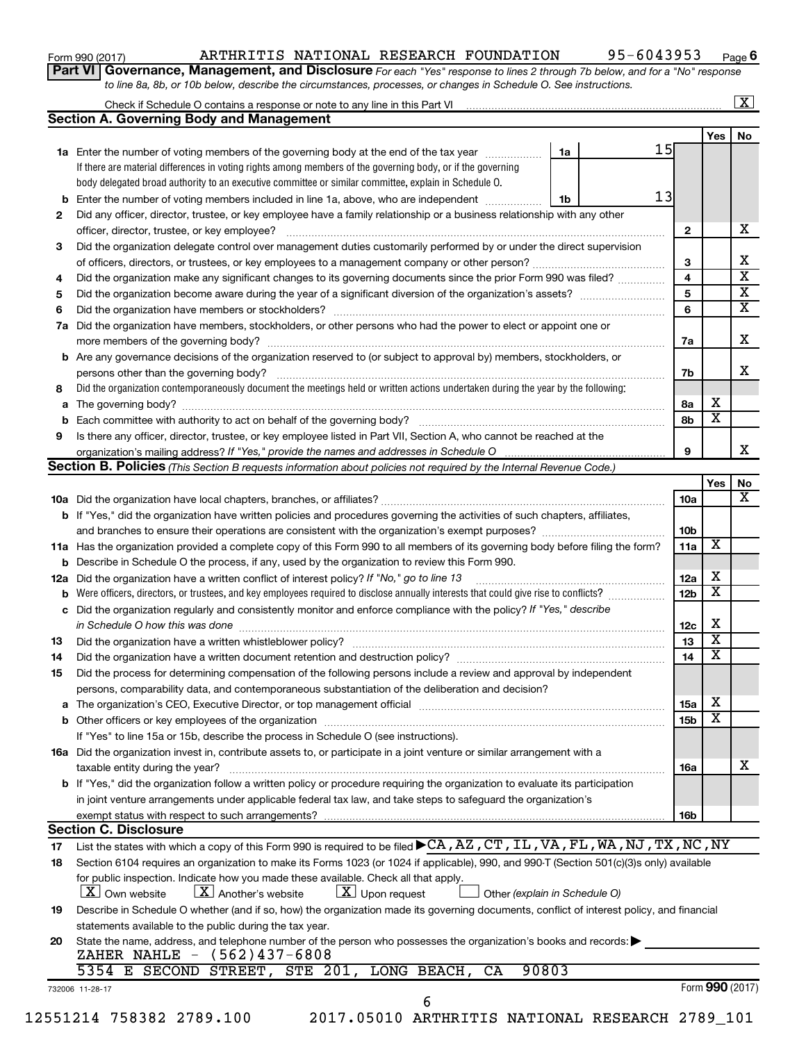| Form 990 (2017) |  |
|-----------------|--|
|-----------------|--|

### Form 990 (2017) Page ARTHRITIS NATIONAL RESEARCH FOUNDATION 95-6043953

**6**

| Part VI   Governance, Management, and Disclosure For each "Yes" response to lines 2 through 7b below, and for a "No" response |
|-------------------------------------------------------------------------------------------------------------------------------|
| to line 8a, 8b, or 10b below, describe the circumstances, processes, or changes in Schedule O. See instructions.              |

| <b>Section A. Governing Body and Management</b>                                                                                           |                                                                                   |                 |                                                 |
|-------------------------------------------------------------------------------------------------------------------------------------------|-----------------------------------------------------------------------------------|-----------------|-------------------------------------------------|
|                                                                                                                                           | 15                                                                                |                 | Yes                                             |
| 1a Enter the number of voting members of the governing body at the end of the tax year                                                    | 1a                                                                                |                 |                                                 |
| If there are material differences in voting rights among members of the governing body, or if the governing                               |                                                                                   |                 |                                                 |
| body delegated broad authority to an executive committee or similar committee, explain in Schedule O.                                     | 13                                                                                |                 |                                                 |
| <b>b</b> Enter the number of voting members included in line 1a, above, who are independent <i>manameron</i>                              | 1b                                                                                |                 |                                                 |
| Did any officer, director, trustee, or key employee have a family relationship or a business relationship with any other                  |                                                                                   |                 |                                                 |
|                                                                                                                                           |                                                                                   | $\mathbf{2}$    |                                                 |
| Did the organization delegate control over management duties customarily performed by or under the direct supervision                     |                                                                                   |                 |                                                 |
|                                                                                                                                           |                                                                                   | 3               |                                                 |
| Did the organization make any significant changes to its governing documents since the prior Form 990 was filed?                          |                                                                                   | 4               |                                                 |
|                                                                                                                                           |                                                                                   | 5               |                                                 |
|                                                                                                                                           |                                                                                   | 6               |                                                 |
| Did the organization have members, stockholders, or other persons who had the power to elect or appoint one or                            |                                                                                   |                 |                                                 |
|                                                                                                                                           |                                                                                   | 7a              |                                                 |
| <b>b</b> Are any governance decisions of the organization reserved to (or subject to approval by) members, stockholders, or               |                                                                                   |                 |                                                 |
| persons other than the governing body?                                                                                                    |                                                                                   | 7b              |                                                 |
| Did the organization contemporaneously document the meetings held or written actions undertaken during the year by the following:         |                                                                                   |                 |                                                 |
|                                                                                                                                           |                                                                                   | 8а              | х                                               |
|                                                                                                                                           |                                                                                   | 8b              | $\overline{\textbf{x}}$                         |
| Is there any officer, director, trustee, or key employee listed in Part VII, Section A, who cannot be reached at the                      |                                                                                   |                 |                                                 |
|                                                                                                                                           |                                                                                   | 9               |                                                 |
| Section B. Policies (This Section B requests information about policies not required by the Internal Revenue Code.)                       |                                                                                   |                 |                                                 |
|                                                                                                                                           |                                                                                   |                 | Yes                                             |
|                                                                                                                                           |                                                                                   | 10a             |                                                 |
| b If "Yes," did the organization have written policies and procedures governing the activities of such chapters, affiliates,              |                                                                                   |                 |                                                 |
| and branches to ensure their operations are consistent with the organization's exempt purposes?                                           |                                                                                   | 10 <sub>b</sub> |                                                 |
| 11a Has the organization provided a complete copy of this Form 990 to all members of its governing body before filing the form?           |                                                                                   | 11a             | X                                               |
| <b>b</b> Describe in Schedule O the process, if any, used by the organization to review this Form 990.                                    |                                                                                   |                 |                                                 |
| Did the organization have a written conflict of interest policy? If "No," go to line 13                                                   |                                                                                   | 12a             | x                                               |
| Were officers, directors, or trustees, and key employees required to disclose annually interests that could give rise to conflicts?       |                                                                                   | 12 <sub>b</sub> | $\overline{\text{x}}$                           |
| c Did the organization regularly and consistently monitor and enforce compliance with the policy? If "Yes," describe                      |                                                                                   |                 |                                                 |
| in Schedule O how this was done manufactured and continuum and contact the way to have a set of the state of t                            |                                                                                   | 12c             | х                                               |
|                                                                                                                                           |                                                                                   | 13              | $\overline{\textbf{x}}$                         |
| Did the organization have a written document retention and destruction policy? [11] manufaction manufaction in                            |                                                                                   | 14              | $\overline{\textbf{x}}$                         |
| Did the process for determining compensation of the following persons include a review and approval by independent                        |                                                                                   |                 |                                                 |
|                                                                                                                                           |                                                                                   |                 |                                                 |
| persons, comparability data, and contemporaneous substantiation of the deliberation and decision?                                         |                                                                                   | 15a             | x                                               |
|                                                                                                                                           |                                                                                   |                 | $\overline{\textbf{x}}$                         |
|                                                                                                                                           |                                                                                   | 15b             |                                                 |
| If "Yes" to line 15a or 15b, describe the process in Schedule O (see instructions).                                                       |                                                                                   |                 |                                                 |
| 16a Did the organization invest in, contribute assets to, or participate in a joint venture or similar arrangement with a                 |                                                                                   |                 |                                                 |
| taxable entity during the year?                                                                                                           |                                                                                   | 16a             |                                                 |
| <b>b</b> If "Yes," did the organization follow a written policy or procedure requiring the organization to evaluate its participation     |                                                                                   |                 |                                                 |
| in joint venture arrangements under applicable federal tax law, and take steps to safeguard the organization's                            |                                                                                   |                 |                                                 |
| exempt status with respect to such arrangements?                                                                                          |                                                                                   | 16b             |                                                 |
|                                                                                                                                           |                                                                                   |                 |                                                 |
| List the states with which a copy of this Form 990 is required to be filed CA, AZ, CT, IL, VA, FL, WA, NJ, TX, NC, NY                     |                                                                                   |                 |                                                 |
| Section 6104 requires an organization to make its Forms 1023 (or 1024 if applicable), 990, and 990-T (Section 501(c)(3)s only) available  |                                                                                   |                 |                                                 |
| for public inspection. Indicate how you made these available. Check all that apply.                                                       |                                                                                   |                 |                                                 |
| $\lfloor x \rfloor$ Upon request<br>$ \mathbf{X} $ Another's website                                                                      | Other (explain in Schedule O)                                                     |                 |                                                 |
| Describe in Schedule O whether (and if so, how) the organization made its governing documents, conflict of interest policy, and financial |                                                                                   |                 |                                                 |
| statements available to the public during the tax year.                                                                                   |                                                                                   |                 |                                                 |
| State the name, address, and telephone number of the person who possesses the organization's books and records:                           |                                                                                   |                 |                                                 |
| ZAHER NAHLE - (562)437-6808                                                                                                               |                                                                                   |                 |                                                 |
|                                                                                                                                           |                                                                                   |                 |                                                 |
|                                                                                                                                           |                                                                                   |                 | Form 990 (2017)                                 |
|                                                                                                                                           | 5354 E SECOND STREET, STE 201, LONG BEACH,<br>CA<br>6<br>12551214 758382 2789.100 | 90803           | 2017.05010 ARTHRITIS NATIONAL RESEARCH 2789 101 |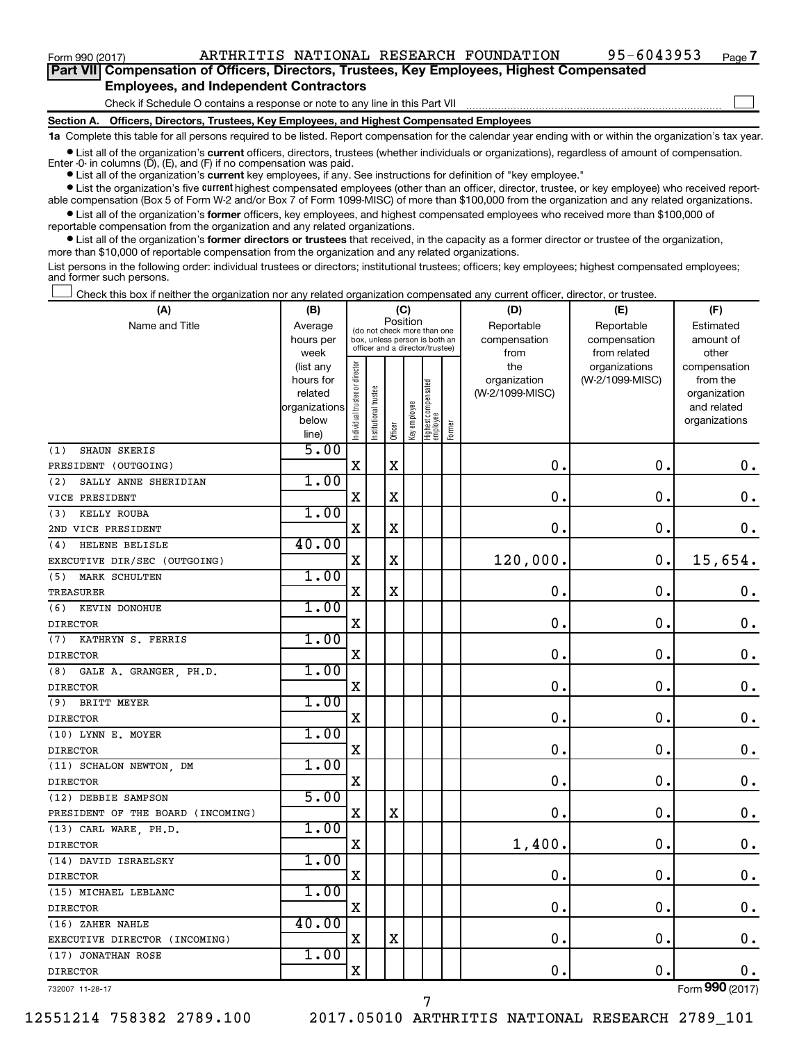$\Box$ 

| Part VII Compensation of Officers, Directors, Trustees, Key Employees, Highest Compensated |  |  |  |  |
|--------------------------------------------------------------------------------------------|--|--|--|--|
| <b>Employees, and Independent Contractors</b>                                              |  |  |  |  |

#### Check if Schedule O contains a response or note to any line in this Part VII

**Section A. Officers, Directors, Trustees, Key Employees, and Highest Compensated Employees**

**1a**  Complete this table for all persons required to be listed. Report compensation for the calendar year ending with or within the organization's tax year.

**•** List all of the organization's current officers, directors, trustees (whether individuals or organizations), regardless of amount of compensation.

Enter -0- in columns  $(D)$ ,  $(E)$ , and  $(F)$  if no compensation was paid.

**•** List all of the organization's **current** key employees, if any. See instructions for definition of "key employee."

**•** List the organization's five current highest compensated employees (other than an officer, director, trustee, or key employee) who received reportable compensation (Box 5 of Form W-2 and/or Box 7 of Form 1099-MISC) of more than \$100,000 from the organization and any related organizations.

**•** List all of the organization's former officers, key employees, and highest compensated employees who received more than \$100,000 of reportable compensation from the organization and any related organizations.

**•** List all of the organization's former directors or trustees that received, in the capacity as a former director or trustee of the organization, more than \$10,000 of reportable compensation from the organization and any related organizations.

List persons in the following order: individual trustees or directors; institutional trustees; officers; key employees; highest compensated employees; and former such persons.

Check this box if neither the organization nor any related organization compensated any current officer, director, or trustee.  $\Box$ 

| (A)                               | (B)                    |                                |                                                                  |             | (C)          |                                 |        | (D)                 | (E)                              | (F)                      |
|-----------------------------------|------------------------|--------------------------------|------------------------------------------------------------------|-------------|--------------|---------------------------------|--------|---------------------|----------------------------------|--------------------------|
| Name and Title                    | Average                |                                | (do not check more than one                                      | Position    |              |                                 |        | Reportable          | Reportable                       | Estimated                |
|                                   | hours per              |                                | box, unless person is both an<br>officer and a director/trustee) |             |              |                                 |        | compensation        | compensation                     | amount of                |
|                                   | week                   |                                |                                                                  |             |              |                                 |        | from                | from related                     | other                    |
|                                   | (list any<br>hours for | Individual trustee or director |                                                                  |             |              |                                 |        | the<br>organization | organizations<br>(W-2/1099-MISC) | compensation<br>from the |
|                                   | related                |                                |                                                                  |             |              |                                 |        | (W-2/1099-MISC)     |                                  | organization             |
|                                   | organizations          |                                | nstitutional trustee                                             |             |              | Highest compensated<br>employee |        |                     |                                  | and related              |
|                                   | below                  |                                |                                                                  |             | Key employee |                                 |        |                     |                                  | organizations            |
|                                   | line)                  |                                |                                                                  | Officer     |              |                                 | Former |                     |                                  |                          |
| SHAUN SKERIS<br>(1)               | 5.00                   |                                |                                                                  |             |              |                                 |        |                     |                                  |                          |
| PRESIDENT (OUTGOING)              |                        | $\mathbf X$                    |                                                                  | X           |              |                                 |        | 0.                  | $\mathbf 0$ .                    | 0.                       |
| SALLY ANNE SHERIDIAN<br>(2)       | 1.00                   |                                |                                                                  |             |              |                                 |        |                     |                                  |                          |
| VICE PRESIDENT                    |                        | $\mathbf X$                    |                                                                  | $\mathbf X$ |              |                                 |        | $\mathbf 0$ .       | 0.                               | $\mathbf 0$ .            |
| (3)<br>KELLY ROUBA                | 1.00                   |                                |                                                                  |             |              |                                 |        |                     |                                  |                          |
| 2ND VICE PRESIDENT                |                        | $\mathbf X$                    |                                                                  | $\mathbf X$ |              |                                 |        | 0                   | $\mathbf 0$                      | $0$ .                    |
| HELENE BELISLE<br>(4)             | 40.00                  |                                |                                                                  |             |              |                                 |        |                     |                                  |                          |
| EXECUTIVE DIR/SEC (OUTGOING)      |                        | X                              |                                                                  | $\mathbf X$ |              |                                 |        | 120,000             | $\mathbf 0$ .                    | 15,654.                  |
| (5)<br>MARK SCHULTEN              | 1.00                   |                                |                                                                  |             |              |                                 |        |                     |                                  |                          |
| <b>TREASURER</b>                  |                        | X                              |                                                                  | $\mathbf X$ |              |                                 |        | 0                   | $\mathbf 0$ .                    | 0.                       |
| KEVIN DONOHUE<br>(6)              | 1.00                   |                                |                                                                  |             |              |                                 |        |                     |                                  |                          |
| <b>DIRECTOR</b>                   |                        | X                              |                                                                  |             |              |                                 |        | 0                   | $\mathbf 0$ .                    | $\mathbf 0$ .            |
| (7)<br>KATHRYN S. FERRIS          | 1.00                   |                                |                                                                  |             |              |                                 |        |                     |                                  |                          |
| <b>DIRECTOR</b>                   |                        | X                              |                                                                  |             |              |                                 |        | $\mathbf 0$         | $\mathbf 0$                      | $\mathbf 0$ .            |
| GALE A. GRANGER, PH.D.<br>(8)     | 1.00                   |                                |                                                                  |             |              |                                 |        |                     |                                  |                          |
| <b>DIRECTOR</b>                   |                        | X                              |                                                                  |             |              |                                 |        | 0                   | $\mathbf 0$ .                    | $\mathbf 0$ .            |
| BRITT MEYER<br>(9)                | 1.00                   |                                |                                                                  |             |              |                                 |        |                     |                                  |                          |
| <b>DIRECTOR</b>                   |                        | X                              |                                                                  |             |              |                                 |        | 0                   | $\mathbf 0$ .                    | $\mathbf 0$ .            |
| (10) LYNN E. MOYER                | 1.00                   |                                |                                                                  |             |              |                                 |        |                     |                                  |                          |
| <b>DIRECTOR</b>                   |                        | $\mathbf X$                    |                                                                  |             |              |                                 |        | $\mathbf 0$ .       | $\mathbf 0$ .                    | 0.                       |
| (11) SCHALON NEWTON, DM           | 1.00                   |                                |                                                                  |             |              |                                 |        |                     |                                  |                          |
| <b>DIRECTOR</b>                   |                        | $\mathbf X$                    |                                                                  |             |              |                                 |        | $\mathbf 0$         | $\mathbf 0$                      | $\mathbf 0$ .            |
| (12) DEBBIE SAMPSON               | 5.00                   |                                |                                                                  |             |              |                                 |        |                     |                                  |                          |
| PRESIDENT OF THE BOARD (INCOMING) |                        | $\mathbf X$                    |                                                                  | $\mathbf X$ |              |                                 |        | 0                   | $\mathbf 0$ .                    | 0.                       |
| (13) CARL WARE, PH.D.             | 1.00                   |                                |                                                                  |             |              |                                 |        |                     |                                  |                          |
| <b>DIRECTOR</b>                   |                        | X                              |                                                                  |             |              |                                 |        | 1,400               | $\mathbf 0$ .                    | $\mathbf 0$ .            |
| (14) DAVID ISRAELSKY              | 1.00                   |                                |                                                                  |             |              |                                 |        |                     |                                  |                          |
| <b>DIRECTOR</b>                   |                        | $\mathbf X$                    |                                                                  |             |              |                                 |        | 0                   | $\mathbf 0$ .                    | $\mathbf 0$ .            |
| (15) MICHAEL LEBLANC              | 1.00                   |                                |                                                                  |             |              |                                 |        |                     |                                  |                          |
| <b>DIRECTOR</b>                   |                        | X                              |                                                                  |             |              |                                 |        | 0                   | $\mathbf 0$                      | $\mathbf 0$ .            |
| (16) ZAHER NAHLE                  | 40.00                  |                                |                                                                  |             |              |                                 |        |                     |                                  |                          |
| EXECUTIVE DIRECTOR (INCOMING)     |                        | X                              |                                                                  | $\mathbf X$ |              |                                 |        | 0                   | $\mathbf 0$ .                    | $\mathbf 0$ .            |
| (17) JONATHAN ROSE                | 1.00                   |                                |                                                                  |             |              |                                 |        |                     |                                  |                          |
| <b>DIRECTOR</b>                   |                        | $\mathbf X$                    |                                                                  |             |              |                                 |        | 0                   | $\mathbf 0$                      | $0$ .                    |
| 732007 11-28-17                   |                        |                                |                                                                  |             |              |                                 |        |                     |                                  | Form 990 (2017)          |

7

12551214 758382 2789.100 2017.05010 ARTHRITIS NATIONAL RESEARCH 2789\_101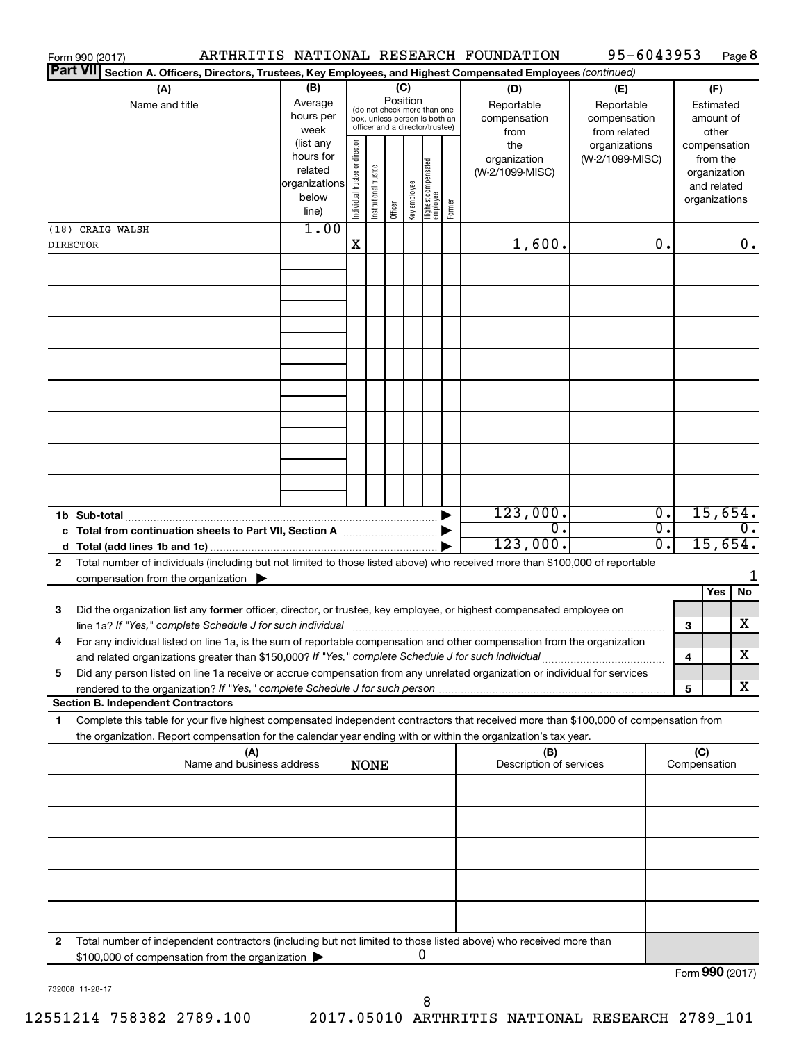|                 | Form 990 (2017)                                                                                                                                                                                                                         |                          |                                |                       |          |              |                                                                  |        | ARTHRITIS NATIONAL RESEARCH FOUNDATION | 95-6043953                   |                  |   |                              | Page 8           |
|-----------------|-----------------------------------------------------------------------------------------------------------------------------------------------------------------------------------------------------------------------------------------|--------------------------|--------------------------------|-----------------------|----------|--------------|------------------------------------------------------------------|--------|----------------------------------------|------------------------------|------------------|---|------------------------------|------------------|
| <b>Part VII</b> | Section A. Officers, Directors, Trustees, Key Employees, and Highest Compensated Employees (continued)                                                                                                                                  |                          |                                |                       |          |              |                                                                  |        |                                        |                              |                  |   |                              |                  |
|                 | (A)                                                                                                                                                                                                                                     | (B)                      |                                |                       | (C)      |              |                                                                  |        | (D)                                    | (E)                          |                  |   | (F)                          |                  |
|                 | Name and title                                                                                                                                                                                                                          | Average                  |                                |                       | Position |              | (do not check more than one                                      |        | Reportable                             | Reportable                   |                  |   | Estimated                    |                  |
|                 |                                                                                                                                                                                                                                         | hours per<br>week        |                                |                       |          |              | box, unless person is both an<br>officer and a director/trustee) |        | compensation<br>from                   | compensation<br>from related |                  |   | amount of<br>other           |                  |
|                 |                                                                                                                                                                                                                                         | (list any                |                                |                       |          |              |                                                                  |        | the                                    | organizations                |                  |   | compensation                 |                  |
|                 |                                                                                                                                                                                                                                         | hours for                | Individual trustee or director |                       |          |              |                                                                  |        | organization                           | (W-2/1099-MISC)              |                  |   | from the                     |                  |
|                 |                                                                                                                                                                                                                                         | related<br>organizations |                                |                       |          |              |                                                                  |        | (W-2/1099-MISC)                        |                              |                  |   | organization                 |                  |
|                 |                                                                                                                                                                                                                                         | below                    |                                |                       |          |              |                                                                  |        |                                        |                              |                  |   | and related<br>organizations |                  |
|                 |                                                                                                                                                                                                                                         | line)                    |                                | Institutional trustee | Officer  | Key employee | Highest compensated<br>employee                                  | Former |                                        |                              |                  |   |                              |                  |
|                 | (18) CRAIG WALSH                                                                                                                                                                                                                        | 1.00                     |                                |                       |          |              |                                                                  |        |                                        |                              |                  |   |                              |                  |
| <b>DIRECTOR</b> |                                                                                                                                                                                                                                         |                          | $\mathbf X$                    |                       |          |              |                                                                  |        | 1,600.                                 |                              | 0.               |   |                              | 0.               |
|                 |                                                                                                                                                                                                                                         |                          |                                |                       |          |              |                                                                  |        |                                        |                              |                  |   |                              |                  |
|                 |                                                                                                                                                                                                                                         |                          |                                |                       |          |              |                                                                  |        |                                        |                              |                  |   |                              |                  |
|                 |                                                                                                                                                                                                                                         |                          |                                |                       |          |              |                                                                  |        |                                        |                              |                  |   |                              |                  |
|                 |                                                                                                                                                                                                                                         |                          |                                |                       |          |              |                                                                  |        |                                        |                              |                  |   |                              |                  |
|                 |                                                                                                                                                                                                                                         |                          |                                |                       |          |              |                                                                  |        |                                        |                              |                  |   |                              |                  |
|                 |                                                                                                                                                                                                                                         |                          |                                |                       |          |              |                                                                  |        |                                        |                              |                  |   |                              |                  |
|                 |                                                                                                                                                                                                                                         |                          |                                |                       |          |              |                                                                  |        |                                        |                              |                  |   |                              |                  |
|                 |                                                                                                                                                                                                                                         |                          |                                |                       |          |              |                                                                  |        |                                        |                              |                  |   |                              |                  |
|                 |                                                                                                                                                                                                                                         |                          |                                |                       |          |              |                                                                  |        |                                        |                              |                  |   |                              |                  |
|                 |                                                                                                                                                                                                                                         |                          |                                |                       |          |              |                                                                  |        |                                        |                              |                  |   |                              |                  |
|                 |                                                                                                                                                                                                                                         |                          |                                |                       |          |              |                                                                  |        |                                        |                              |                  |   |                              |                  |
|                 |                                                                                                                                                                                                                                         |                          |                                |                       |          |              |                                                                  |        |                                        |                              |                  |   |                              |                  |
|                 |                                                                                                                                                                                                                                         |                          |                                |                       |          |              |                                                                  |        |                                        |                              |                  |   |                              |                  |
|                 |                                                                                                                                                                                                                                         |                          |                                |                       |          |              |                                                                  |        |                                        |                              |                  |   |                              |                  |
|                 | 1b Sub-total                                                                                                                                                                                                                            |                          |                                |                       |          |              |                                                                  |        | 123,000.                               |                              | $\overline{0}$ . |   | 15,654.                      |                  |
|                 | c Total from continuation sheets to Part VII, Section A [111] [12] [13] Continuum [13] Doctor Total III, Section A                                                                                                                      |                          |                                |                       |          |              |                                                                  |        | $\overline{0}$ .                       |                              | σ.               |   |                              | $\overline{0}$ . |
| d               |                                                                                                                                                                                                                                         |                          |                                |                       |          |              |                                                                  |        | 123,000.                               |                              | σ.               |   | 15,654.                      |                  |
| $\mathbf{2}$    | Total number of individuals (including but not limited to those listed above) who received more than \$100,000 of reportable                                                                                                            |                          |                                |                       |          |              |                                                                  |        |                                        |                              |                  |   |                              |                  |
|                 | compensation from the organization $\blacktriangleright$                                                                                                                                                                                |                          |                                |                       |          |              |                                                                  |        |                                        |                              |                  |   |                              | 1                |
|                 |                                                                                                                                                                                                                                         |                          |                                |                       |          |              |                                                                  |        |                                        |                              |                  |   | Yes                          | No               |
| З               | Did the organization list any former officer, director, or trustee, key employee, or highest compensated employee on<br>line 1a? If "Yes," complete Schedule J for such individual [11] manufacture manufacture in the set of the set o |                          |                                |                       |          |              |                                                                  |        |                                        |                              |                  | 3 |                              | x                |
| 4               | For any individual listed on line 1a, is the sum of reportable compensation and other compensation from the organization                                                                                                                |                          |                                |                       |          |              |                                                                  |        |                                        |                              |                  |   |                              |                  |
|                 | and related organizations greater than \$150,000? If "Yes," complete Schedule J for such individual                                                                                                                                     |                          |                                |                       |          |              |                                                                  |        |                                        |                              |                  | 4 |                              | х                |
| 5               | Did any person listed on line 1a receive or accrue compensation from any unrelated organization or individual for services                                                                                                              |                          |                                |                       |          |              |                                                                  |        |                                        |                              |                  |   |                              |                  |
|                 |                                                                                                                                                                                                                                         |                          |                                |                       |          |              |                                                                  |        |                                        |                              |                  | 5 |                              | x                |
|                 | <b>Section B. Independent Contractors</b>                                                                                                                                                                                               |                          |                                |                       |          |              |                                                                  |        |                                        |                              |                  |   |                              |                  |
| 1               | Complete this table for your five highest compensated independent contractors that received more than \$100,000 of compensation from                                                                                                    |                          |                                |                       |          |              |                                                                  |        |                                        |                              |                  |   |                              |                  |
|                 | the organization. Report compensation for the calendar year ending with or within the organization's tax year.                                                                                                                          |                          |                                |                       |          |              |                                                                  |        |                                        |                              |                  |   |                              |                  |
|                 | (A)<br>Name and business address                                                                                                                                                                                                        |                          |                                | <b>NONE</b>           |          |              |                                                                  |        | (B)<br>Description of services         |                              |                  |   | (C)<br>Compensation          |                  |
|                 |                                                                                                                                                                                                                                         |                          |                                |                       |          |              |                                                                  |        |                                        |                              |                  |   |                              |                  |
|                 |                                                                                                                                                                                                                                         |                          |                                |                       |          |              |                                                                  |        |                                        |                              |                  |   |                              |                  |
|                 |                                                                                                                                                                                                                                         |                          |                                |                       |          |              |                                                                  |        |                                        |                              |                  |   |                              |                  |
|                 |                                                                                                                                                                                                                                         |                          |                                |                       |          |              |                                                                  |        |                                        |                              |                  |   |                              |                  |
|                 |                                                                                                                                                                                                                                         |                          |                                |                       |          |              |                                                                  |        |                                        |                              |                  |   |                              |                  |
|                 |                                                                                                                                                                                                                                         |                          |                                |                       |          |              |                                                                  |        |                                        |                              |                  |   |                              |                  |
|                 |                                                                                                                                                                                                                                         |                          |                                |                       |          |              |                                                                  |        |                                        |                              |                  |   |                              |                  |
|                 |                                                                                                                                                                                                                                         |                          |                                |                       |          |              |                                                                  |        |                                        |                              |                  |   |                              |                  |
|                 |                                                                                                                                                                                                                                         |                          |                                |                       |          |              |                                                                  |        |                                        |                              |                  |   |                              |                  |
| 2               | Total number of independent contractors (including but not limited to those listed above) who received more than                                                                                                                        |                          |                                |                       |          |              |                                                                  |        |                                        |                              |                  |   |                              |                  |
|                 | \$100,000 of compensation from the organization                                                                                                                                                                                         |                          |                                |                       |          |              | 0                                                                |        |                                        |                              |                  |   |                              |                  |
|                 |                                                                                                                                                                                                                                         |                          |                                |                       |          |              |                                                                  |        |                                        |                              |                  |   | Form 990 (2017)              |                  |

732008 11-28-17

Form (2017) **990**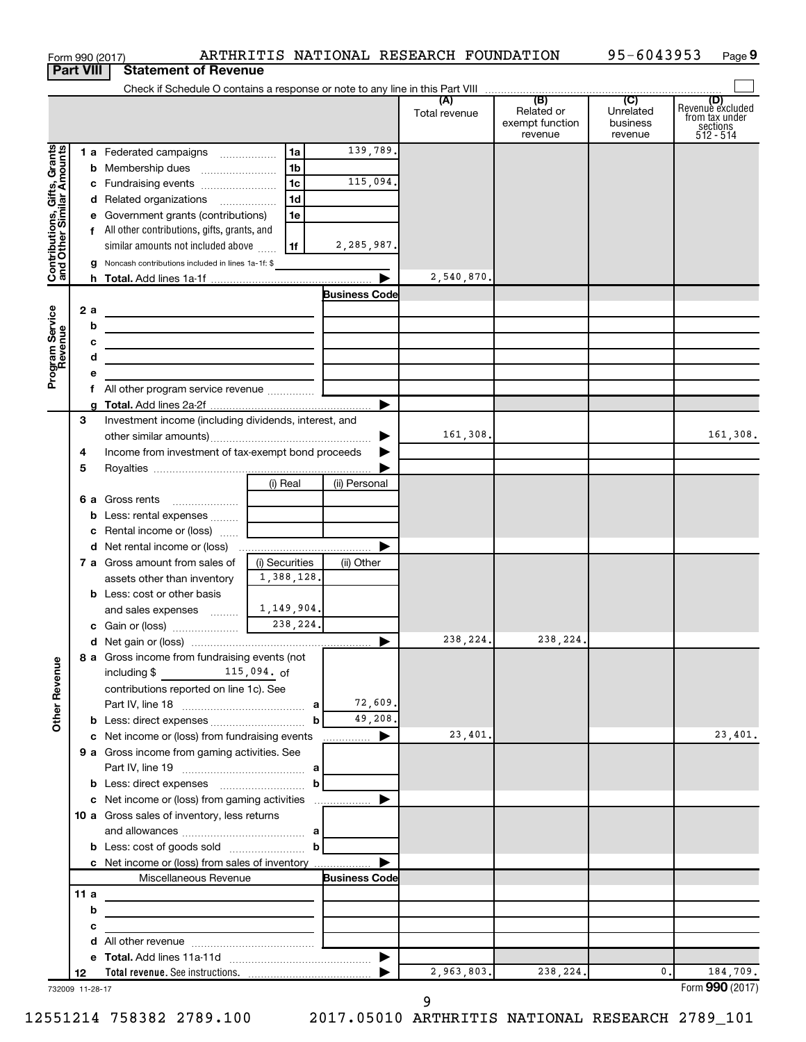|                                                           |                  | Form 990 (2017)                                                                                                                                                                                    |                |                      | ARTHRITIS NATIONAL RESEARCH FOUNDATION |                                          | 95-6043953                       | Page 9                                                             |
|-----------------------------------------------------------|------------------|----------------------------------------------------------------------------------------------------------------------------------------------------------------------------------------------------|----------------|----------------------|----------------------------------------|------------------------------------------|----------------------------------|--------------------------------------------------------------------|
|                                                           | <b>Part VIII</b> | <b>Statement of Revenue</b>                                                                                                                                                                        |                |                      |                                        |                                          |                                  |                                                                    |
|                                                           |                  |                                                                                                                                                                                                    |                |                      | (A)                                    | (B)                                      | (C)                              |                                                                    |
|                                                           |                  |                                                                                                                                                                                                    |                |                      | Total revenue                          | Related or<br>exempt function<br>revenue | Unrelated<br>business<br>revenue | (D)<br>Revenue excluded<br>from tax under<br>sections<br>512 - 514 |
|                                                           |                  | 1 a Federated campaigns                                                                                                                                                                            | 1a             | 139,789.             |                                        |                                          |                                  |                                                                    |
| Contributions, Gifts, Grants<br>and Other Similar Amounts |                  |                                                                                                                                                                                                    | 1 <sub>b</sub> |                      |                                        |                                          |                                  |                                                                    |
|                                                           |                  | c Fundraising events                                                                                                                                                                               | 1 <sub>c</sub> | 115,094.             |                                        |                                          |                                  |                                                                    |
|                                                           |                  | d Related organizations                                                                                                                                                                            | 1 <sub>d</sub> |                      |                                        |                                          |                                  |                                                                    |
|                                                           |                  | e Government grants (contributions)                                                                                                                                                                | 1e             |                      |                                        |                                          |                                  |                                                                    |
|                                                           |                  | f All other contributions, gifts, grants, and                                                                                                                                                      |                |                      |                                        |                                          |                                  |                                                                    |
|                                                           |                  | similar amounts not included above                                                                                                                                                                 | l 1f           | 2,285,987.           |                                        |                                          |                                  |                                                                    |
|                                                           |                  | g Noncash contributions included in lines 1a-1f: \$                                                                                                                                                |                |                      |                                        |                                          |                                  |                                                                    |
|                                                           |                  |                                                                                                                                                                                                    |                | <b>Business Code</b> | 2,540,870.                             |                                          |                                  |                                                                    |
|                                                           | 2 a              |                                                                                                                                                                                                    |                |                      |                                        |                                          |                                  |                                                                    |
|                                                           | b                | <u> 1980 - Johann Barbara, martxa alemaniar a</u>                                                                                                                                                  |                |                      |                                        |                                          |                                  |                                                                    |
|                                                           | с                | the control of the control of the control of the control of the control of the control of<br><u> 1989 - Johann Barbara, martxa alemaniar arg</u>                                                   |                |                      |                                        |                                          |                                  |                                                                    |
|                                                           | d                | the control of the control of the control of the control of the control of                                                                                                                         |                |                      |                                        |                                          |                                  |                                                                    |
| Program Service<br>Revenue                                | е                |                                                                                                                                                                                                    |                |                      |                                        |                                          |                                  |                                                                    |
|                                                           | f.               |                                                                                                                                                                                                    |                |                      |                                        |                                          |                                  |                                                                    |
|                                                           |                  |                                                                                                                                                                                                    |                |                      |                                        |                                          |                                  |                                                                    |
|                                                           | 3                | Investment income (including dividends, interest, and                                                                                                                                              |                |                      |                                        |                                          |                                  |                                                                    |
|                                                           |                  |                                                                                                                                                                                                    |                |                      | 161,308.                               |                                          |                                  | 161,308.                                                           |
|                                                           | 4                | Income from investment of tax-exempt bond proceeds                                                                                                                                                 |                |                      |                                        |                                          |                                  |                                                                    |
|                                                           | 5                |                                                                                                                                                                                                    |                |                      |                                        |                                          |                                  |                                                                    |
|                                                           |                  | 6 a Gross rents                                                                                                                                                                                    | (i) Real       | (ii) Personal        |                                        |                                          |                                  |                                                                    |
|                                                           |                  | $\ldots \ldots \ldots \ldots \ldots$<br><b>b</b> Less: rental expenses                                                                                                                             |                |                      |                                        |                                          |                                  |                                                                    |
|                                                           |                  | c Rental income or (loss)                                                                                                                                                                          |                |                      |                                        |                                          |                                  |                                                                    |
|                                                           |                  | d Net rental income or (loss)                                                                                                                                                                      |                |                      |                                        |                                          |                                  |                                                                    |
|                                                           |                  | 7 a Gross amount from sales of                                                                                                                                                                     | (i) Securities | (ii) Other           |                                        |                                          |                                  |                                                                    |
|                                                           |                  | assets other than inventory                                                                                                                                                                        | 1,388,128.     |                      |                                        |                                          |                                  |                                                                    |
|                                                           |                  | <b>b</b> Less: cost or other basis                                                                                                                                                                 |                |                      |                                        |                                          |                                  |                                                                    |
|                                                           |                  | and sales expenses                                                                                                                                                                                 | 1,149,904.     |                      |                                        |                                          |                                  |                                                                    |
|                                                           |                  |                                                                                                                                                                                                    | 238,224.       |                      |                                        |                                          |                                  |                                                                    |
|                                                           |                  |                                                                                                                                                                                                    |                |                      | 238, 224.                              | 238,224.                                 |                                  |                                                                    |
|                                                           |                  | 8 a Gross income from fundraising events (not                                                                                                                                                      |                |                      |                                        |                                          |                                  |                                                                    |
|                                                           |                  | including \$115,094. of                                                                                                                                                                            |                |                      |                                        |                                          |                                  |                                                                    |
| <b>Other Revenue</b>                                      |                  | contributions reported on line 1c). See                                                                                                                                                            |                | 72,609.              |                                        |                                          |                                  |                                                                    |
|                                                           |                  |                                                                                                                                                                                                    | b              | 49,208.              |                                        |                                          |                                  |                                                                    |
|                                                           |                  | c Net income or (loss) from fundraising events                                                                                                                                                     |                | .                    | 23,401.                                |                                          |                                  | 23,401.                                                            |
|                                                           |                  | 9 a Gross income from gaming activities. See                                                                                                                                                       |                |                      |                                        |                                          |                                  |                                                                    |
|                                                           |                  |                                                                                                                                                                                                    |                |                      |                                        |                                          |                                  |                                                                    |
|                                                           |                  |                                                                                                                                                                                                    | $\mathbf b$    |                      |                                        |                                          |                                  |                                                                    |
|                                                           |                  | c Net income or (loss) from gaming activities                                                                                                                                                      |                |                      |                                        |                                          |                                  |                                                                    |
|                                                           |                  | 10 a Gross sales of inventory, less returns                                                                                                                                                        |                |                      |                                        |                                          |                                  |                                                                    |
|                                                           |                  |                                                                                                                                                                                                    |                |                      |                                        |                                          |                                  |                                                                    |
|                                                           |                  | <b>b</b> Less: cost of goods sold $\ldots$ $\ldots$ $\ldots$ <b>b</b>                                                                                                                              |                |                      |                                        |                                          |                                  |                                                                    |
|                                                           |                  | c Net income or (loss) from sales of inventory                                                                                                                                                     |                |                      |                                        |                                          |                                  |                                                                    |
|                                                           | 11 a             | Miscellaneous Revenue                                                                                                                                                                              |                | <b>Business Code</b> |                                        |                                          |                                  |                                                                    |
|                                                           | b                |                                                                                                                                                                                                    |                |                      |                                        |                                          |                                  |                                                                    |
|                                                           | c                | the control of the control of the control of the control of the control of<br><u> 1989 - Johann John Stein, markin fan it ferskearre fan it ferskearre fan it ferskearre fan it ferskearre fan</u> |                |                      |                                        |                                          |                                  |                                                                    |
|                                                           | d                |                                                                                                                                                                                                    |                |                      |                                        |                                          |                                  |                                                                    |
|                                                           | е                |                                                                                                                                                                                                    |                |                      |                                        |                                          |                                  |                                                                    |
|                                                           | 12               |                                                                                                                                                                                                    |                |                      | 2,963,803.                             | 238,224.                                 | $\mathbf{0}$ .                   | 184,709.                                                           |
|                                                           | 732009 11-28-17  |                                                                                                                                                                                                    |                |                      |                                        |                                          |                                  | Form 990 (2017)                                                    |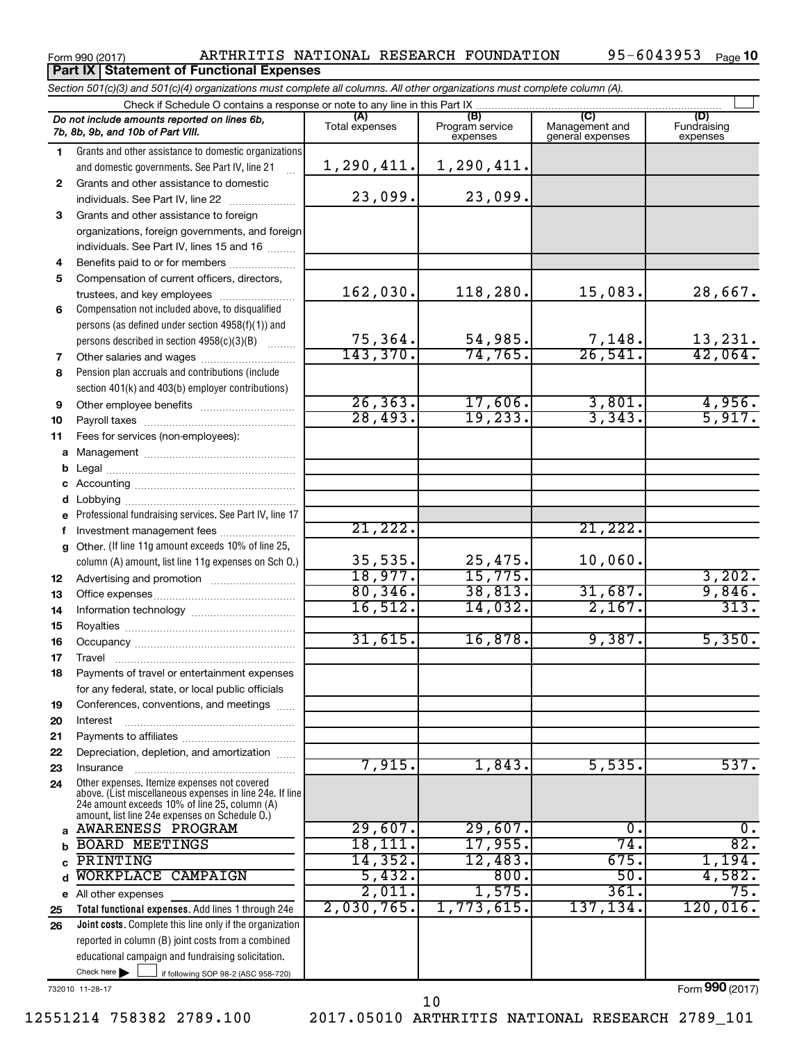**Part IX | Statement of Functional Expenses** 

### Form 990 (2017) ARTHRITIS NATIONAL RESEARCH FOUNDATION 95-6043953 Page

|              | Section 501(c)(3) and 501(c)(4) organizations must complete all columns. All other organizations must complete column (A).                                  |                       |                                    |                                           |                                |
|--------------|-------------------------------------------------------------------------------------------------------------------------------------------------------------|-----------------------|------------------------------------|-------------------------------------------|--------------------------------|
|              | Check if Schedule O contains a response or note to any line in this Part IX                                                                                 |                       |                                    |                                           |                                |
|              | Do not include amounts reported on lines 6b,<br>7b, 8b, 9b, and 10b of Part VIII.                                                                           | (A)<br>Total expenses | (B)<br>Program service<br>expenses | (C)<br>Management and<br>general expenses | (D)<br>Fundraising<br>expenses |
| 1            | Grants and other assistance to domestic organizations                                                                                                       |                       |                                    |                                           |                                |
|              | and domestic governments. See Part IV, line 21<br>$\mathbb{R}^2$                                                                                            | 1,290,411.]           | 1,290,411.                         |                                           |                                |
| $\mathbf{2}$ | Grants and other assistance to domestic                                                                                                                     |                       |                                    |                                           |                                |
|              | individuals. See Part IV, line 22                                                                                                                           | 23,099.               | 23,099.                            |                                           |                                |
| 3            | Grants and other assistance to foreign                                                                                                                      |                       |                                    |                                           |                                |
|              | organizations, foreign governments, and foreign                                                                                                             |                       |                                    |                                           |                                |
|              | individuals. See Part IV, lines 15 and 16                                                                                                                   |                       |                                    |                                           |                                |
| 4            | Benefits paid to or for members                                                                                                                             |                       |                                    |                                           |                                |
| 5            | Compensation of current officers, directors,                                                                                                                |                       |                                    |                                           |                                |
|              | trustees, and key employees                                                                                                                                 | 162,030.              | 118,280.                           | 15,083.                                   | 28,667.                        |
| 6            | Compensation not included above, to disqualified                                                                                                            |                       |                                    |                                           |                                |
|              | persons (as defined under section 4958(f)(1)) and                                                                                                           |                       |                                    |                                           |                                |
|              | persons described in section 4958(c)(3)(B)<br>$\overline{\phantom{a}}$                                                                                      | 75, 364.              | 54,985.                            | 7,148.                                    | 13,231.                        |
| 7            | Other salaries and wages <i>manually contained</i>                                                                                                          | 143,370.              | 74, 765.                           | 26,541.                                   | 42,064.                        |
| 8            | Pension plan accruals and contributions (include                                                                                                            |                       |                                    |                                           |                                |
|              | section 401(k) and 403(b) employer contributions)                                                                                                           |                       |                                    |                                           |                                |
| 9            |                                                                                                                                                             | 26, 363.              | 17,606.                            | 3,801.                                    | 4,956.                         |
| 10           |                                                                                                                                                             | 28,493.               | 19, 233.                           | 3,343.                                    | 5,917.                         |
| 11           | Fees for services (non-employees):                                                                                                                          |                       |                                    |                                           |                                |
|              |                                                                                                                                                             |                       |                                    |                                           |                                |
| b            |                                                                                                                                                             |                       |                                    |                                           |                                |
|              |                                                                                                                                                             |                       |                                    |                                           |                                |
| d            |                                                                                                                                                             |                       |                                    |                                           |                                |
|              | e Professional fundraising services. See Part IV, line 17                                                                                                   |                       |                                    |                                           |                                |
| f            | Investment management fees                                                                                                                                  | 21,222.               |                                    | 21,222.                                   |                                |
| g            | Other. (If line 11g amount exceeds 10% of line 25,                                                                                                          |                       |                                    |                                           |                                |
|              | column (A) amount, list line 11g expenses on Sch O.)                                                                                                        | 35,535.<br>18,977.    | 25,475.<br>15,775.                 | 10,060.                                   |                                |
| 12           |                                                                                                                                                             | 80, 346.              |                                    |                                           | 3,202.                         |
| 13           |                                                                                                                                                             | 16,512.               | 38,813.                            | 31,687.<br>2,167.                         | 9,846.<br>313.                 |
| 14           |                                                                                                                                                             |                       | 14,032.                            |                                           |                                |
| 15           |                                                                                                                                                             | 31,615.               | 16,878.                            | 9,387.                                    | 5,350.                         |
| 16           |                                                                                                                                                             |                       |                                    |                                           |                                |
| 17           |                                                                                                                                                             |                       |                                    |                                           |                                |
| 18           | Payments of travel or entertainment expenses                                                                                                                |                       |                                    |                                           |                                |
|              | for any federal, state, or local public officials                                                                                                           |                       |                                    |                                           |                                |
| 19           | Conferences, conventions, and meetings                                                                                                                      |                       |                                    |                                           |                                |
| 20           | Interest                                                                                                                                                    |                       |                                    |                                           |                                |
| 21           | Depreciation, depletion, and amortization                                                                                                                   |                       |                                    |                                           |                                |
| 22<br>23     | Insurance                                                                                                                                                   | 7,915.                | 1,843.                             | 5,535.                                    | 537.                           |
| 24           | Other expenses. Itemize expenses not covered                                                                                                                |                       |                                    |                                           |                                |
|              | above. (List miscellaneous expenses in line 24e. If line<br>24e amount exceeds 10% of line 25, column (A)<br>amount, list line 24e expenses on Schedule O.) |                       |                                    |                                           |                                |
|              | AWARENESS PROGRAM                                                                                                                                           | 29,607.               | 29,607.                            | 0.                                        | 0.                             |
| b            | <b>BOARD MEETINGS</b>                                                                                                                                       | 18,111.               | 17,955.                            | 74.                                       | 82.                            |
| C            | PRINTING                                                                                                                                                    | 14,352.               | 12,483.                            | 675.                                      | 1,194.                         |
| d            | WORKPLACE CAMPAIGN                                                                                                                                          | 5,432.                | 800.                               | 50.                                       | 4,582.                         |
|              | e All other expenses                                                                                                                                        | 2,011.                | 1,575.                             | 361.                                      | 75.                            |
| 25           | Total functional expenses. Add lines 1 through 24e                                                                                                          | 2,030,765.            | 1,773,615.                         | 137,134.                                  | 120,016.                       |
| 26           | Joint costs. Complete this line only if the organization                                                                                                    |                       |                                    |                                           |                                |
|              | reported in column (B) joint costs from a combined                                                                                                          |                       |                                    |                                           |                                |
|              | educational campaign and fundraising solicitation.                                                                                                          |                       |                                    |                                           |                                |
|              | Check here $\blacktriangleright$<br>if following SOP 98-2 (ASC 958-720)                                                                                     |                       |                                    |                                           |                                |

732010 11-28-17

Form (2017) **990**

12551214 758382 2789.100 2017.05010 ARTHRITIS NATIONAL RESEARCH 2789\_101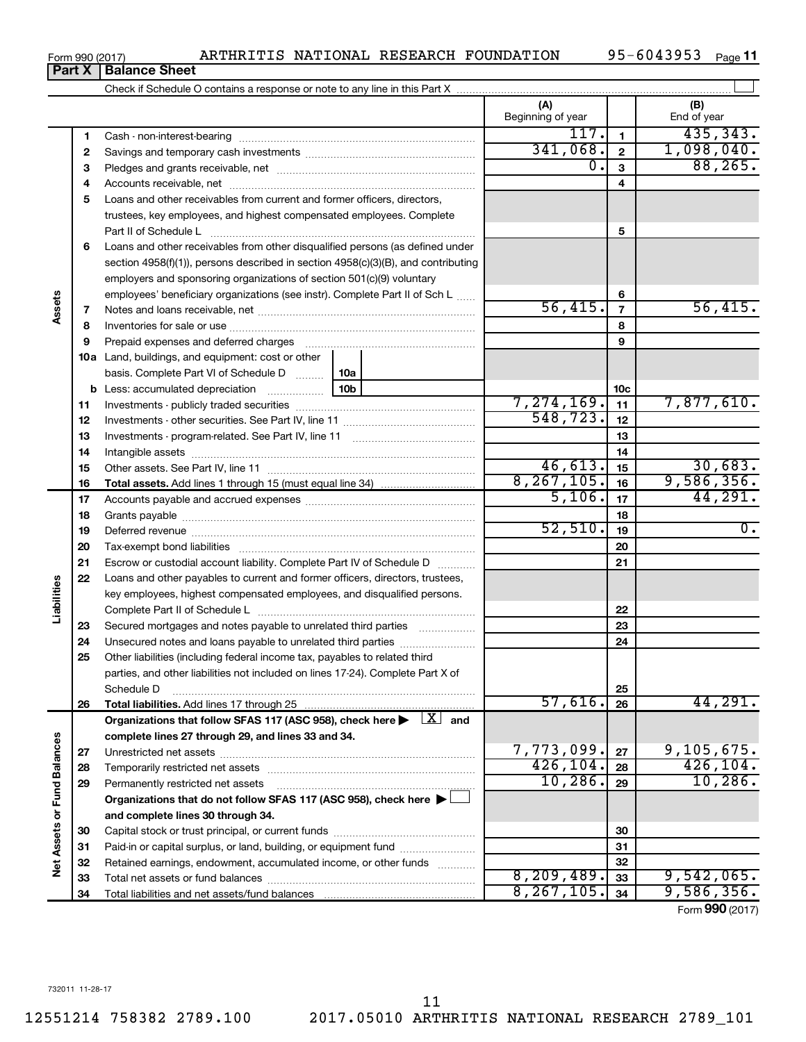|                      |    |                                                                                                                                                               | (A)<br>Beginning of year |                         | (B)<br>End of year |
|----------------------|----|---------------------------------------------------------------------------------------------------------------------------------------------------------------|--------------------------|-------------------------|--------------------|
|                      | 1  |                                                                                                                                                               | 117.                     | $\mathbf{1}$            | 435, 343.          |
|                      | 2  |                                                                                                                                                               | 341,068.                 | $\overline{2}$          | 1,098,040.         |
|                      | з  |                                                                                                                                                               | 0.                       | $\overline{3}$          | 88, 265.           |
|                      | 4  |                                                                                                                                                               |                          | $\overline{\mathbf{4}}$ |                    |
|                      | 5  | Loans and other receivables from current and former officers, directors,                                                                                      |                          |                         |                    |
|                      |    | trustees, key employees, and highest compensated employees. Complete                                                                                          |                          |                         |                    |
|                      |    |                                                                                                                                                               |                          | 5                       |                    |
|                      | 6  | Loans and other receivables from other disqualified persons (as defined under                                                                                 |                          |                         |                    |
|                      |    | section 4958(f)(1)), persons described in section 4958(c)(3)(B), and contributing                                                                             |                          |                         |                    |
|                      |    | employers and sponsoring organizations of section 501(c)(9) voluntary                                                                                         |                          |                         |                    |
|                      |    | employees' beneficiary organizations (see instr). Complete Part II of Sch L                                                                                   |                          | 6                       |                    |
| Assets               | 7  |                                                                                                                                                               | 56,415.                  | $\overline{7}$          | 56,415.            |
|                      | 8  |                                                                                                                                                               |                          | 8                       |                    |
|                      | 9  | Prepaid expenses and deferred charges                                                                                                                         |                          | 9                       |                    |
|                      |    | <b>10a</b> Land, buildings, and equipment: cost or other                                                                                                      |                          |                         |                    |
|                      |    | basis. Complete Part VI of Schedule D  [<br>10a                                                                                                               |                          |                         |                    |
|                      |    | 10b                                                                                                                                                           |                          | 10 <sub>c</sub>         |                    |
|                      | 11 |                                                                                                                                                               | 7, 274, 169.             | 11                      | 7,877,610.         |
|                      | 12 |                                                                                                                                                               | 548, 723.                | 12                      |                    |
|                      | 13 |                                                                                                                                                               |                          | 13                      |                    |
|                      | 14 |                                                                                                                                                               |                          | 14                      |                    |
|                      | 15 |                                                                                                                                                               | 46,613.                  | 15                      | 30,683.            |
|                      | 16 |                                                                                                                                                               | 8, 267, 105.             | 16                      | 9,586,356.         |
|                      | 17 |                                                                                                                                                               | 5,106.                   | 17                      | 44,291.            |
|                      | 18 |                                                                                                                                                               |                          | 18                      |                    |
|                      | 19 |                                                                                                                                                               | 52,510.                  | 19                      | $\overline{0}$ .   |
|                      | 20 |                                                                                                                                                               |                          | 20                      |                    |
|                      | 21 | Escrow or custodial account liability. Complete Part IV of Schedule D                                                                                         |                          | 21                      |                    |
| Liabilities          | 22 | Loans and other payables to current and former officers, directors, trustees,                                                                                 |                          |                         |                    |
|                      |    | key employees, highest compensated employees, and disqualified persons.                                                                                       |                          |                         |                    |
|                      |    |                                                                                                                                                               |                          | 22                      |                    |
|                      | 23 | Secured mortgages and notes payable to unrelated third parties                                                                                                |                          | 23                      |                    |
|                      | 24 | Unsecured notes and loans payable to unrelated third parties                                                                                                  |                          | 24                      |                    |
|                      | 25 | Other liabilities (including federal income tax, payables to related third<br>parties, and other liabilities not included on lines 17-24). Complete Part X of |                          |                         |                    |
|                      |    |                                                                                                                                                               |                          | 25                      |                    |
|                      | 26 | Schedule D<br>Total liabilities. Add lines 17 through 25                                                                                                      | 57,616.                  | 26                      | 44,291.            |
|                      |    | Organizations that follow SFAS 117 (ASC 958), check here $\blacktriangleright \begin{array}{c} \perp X \end{array}$ and                                       |                          |                         |                    |
|                      |    | complete lines 27 through 29, and lines 33 and 34.                                                                                                            |                          |                         |                    |
|                      | 27 |                                                                                                                                                               | 7,773,099.               | 27                      | 9,105,675.         |
|                      | 28 | Temporarily restricted net assets                                                                                                                             | 426, 104.                | 28                      | 426, 104.          |
| <b>Fund Balances</b> | 29 | Permanently restricted net assets                                                                                                                             | 10, 286.                 | 29                      | 10, 286.           |
|                      |    | Organizations that do not follow SFAS 117 (ASC 958), check here ▶                                                                                             |                          |                         |                    |
|                      |    | and complete lines 30 through 34.                                                                                                                             |                          |                         |                    |
| Net Assets or        | 30 |                                                                                                                                                               |                          | 30                      |                    |
|                      | 31 | Paid-in or capital surplus, or land, building, or equipment fund                                                                                              |                          | 31                      |                    |
|                      | 32 | Retained earnings, endowment, accumulated income, or other funds                                                                                              |                          | 32                      |                    |
|                      | 33 |                                                                                                                                                               | 8, 209, 489.             | 33                      | 9,542,065.         |
|                      | 34 |                                                                                                                                                               | 8, 267, 105.             | 34                      | 9,586,356.         |

**Part X Balance Sheet**

Form (2017) **990**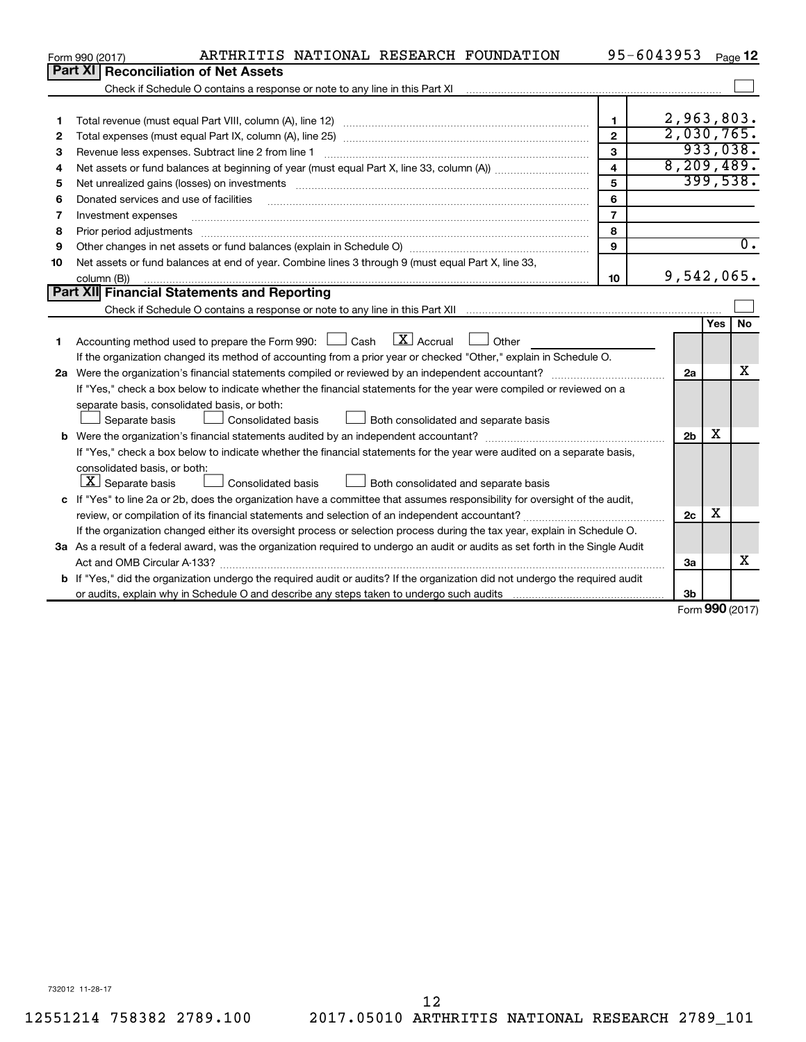|              | ARTHRITIS NATIONAL RESEARCH FOUNDATION<br>Form 990 (2017)                                                                       |                         | 95-6043953     |     | Page 12          |
|--------------|---------------------------------------------------------------------------------------------------------------------------------|-------------------------|----------------|-----|------------------|
|              | Part XI   Reconciliation of Net Assets                                                                                          |                         |                |     |                  |
|              | Check if Schedule O contains a response or note to any line in this Part XI                                                     |                         |                |     |                  |
|              |                                                                                                                                 |                         |                |     |                  |
| 1            |                                                                                                                                 | 1                       | 2,963,803.     |     |                  |
| $\mathbf{2}$ |                                                                                                                                 | $\mathbf{2}$            | 2,030,765.     |     |                  |
| З            | Revenue less expenses. Subtract line 2 from line 1                                                                              | 3                       |                |     | 933,038.         |
| 4            |                                                                                                                                 | $\overline{\mathbf{4}}$ | 8, 209, 489.   |     |                  |
| 5            |                                                                                                                                 | 5                       |                |     | 399,538.         |
| 6            | Donated services and use of facilities                                                                                          | 6                       |                |     |                  |
| 7            | Investment expenses                                                                                                             | $\overline{7}$          |                |     |                  |
| 8            | Prior period adjustments                                                                                                        | 8                       |                |     |                  |
| 9            |                                                                                                                                 | 9                       |                |     | $\overline{0}$ . |
| 10           | Net assets or fund balances at end of year. Combine lines 3 through 9 (must equal Part X, line 33,                              |                         |                |     |                  |
|              | column (B))                                                                                                                     | 10                      | 9,542,065.     |     |                  |
|              | <b>Part XII</b> Financial Statements and Reporting                                                                              |                         |                |     |                  |
|              |                                                                                                                                 |                         |                |     |                  |
|              |                                                                                                                                 |                         |                | Yes | <b>No</b>        |
| 1            | Accounting method used to prepare the Form 990: $\Box$ Cash $\Box X$ Accrual<br>$\Box$ Other                                    |                         |                |     |                  |
|              | If the organization changed its method of accounting from a prior year or checked "Other," explain in Schedule O.               |                         |                |     |                  |
|              |                                                                                                                                 |                         | 2a             |     | x                |
|              | If "Yes," check a box below to indicate whether the financial statements for the year were compiled or reviewed on a            |                         |                |     |                  |
|              | separate basis, consolidated basis, or both:                                                                                    |                         |                |     |                  |
|              | Both consolidated and separate basis<br>Separate basis<br>Consolidated basis                                                    |                         |                |     |                  |
|              |                                                                                                                                 |                         | 2 <sub>b</sub> | X   |                  |
|              | If "Yes," check a box below to indicate whether the financial statements for the year were audited on a separate basis,         |                         |                |     |                  |
|              | consolidated basis, or both:                                                                                                    |                         |                |     |                  |
|              | $\lfloor x \rfloor$ Separate basis<br><b>Consolidated basis</b><br>Both consolidated and separate basis                         |                         |                |     |                  |
|              | c If "Yes" to line 2a or 2b, does the organization have a committee that assumes responsibility for oversight of the audit,     |                         |                |     |                  |
|              |                                                                                                                                 |                         | 2c             | х   |                  |
|              | If the organization changed either its oversight process or selection process during the tax year, explain in Schedule O.       |                         |                |     |                  |
|              | 3a As a result of a federal award, was the organization required to undergo an audit or audits as set forth in the Single Audit |                         |                |     |                  |
|              |                                                                                                                                 |                         | За             |     | X                |
|              | b If "Yes," did the organization undergo the required audit or audits? If the organization did not undergo the required audit   |                         |                |     |                  |
|              |                                                                                                                                 |                         | 3 <sub>b</sub> |     |                  |

Form (2017) **990**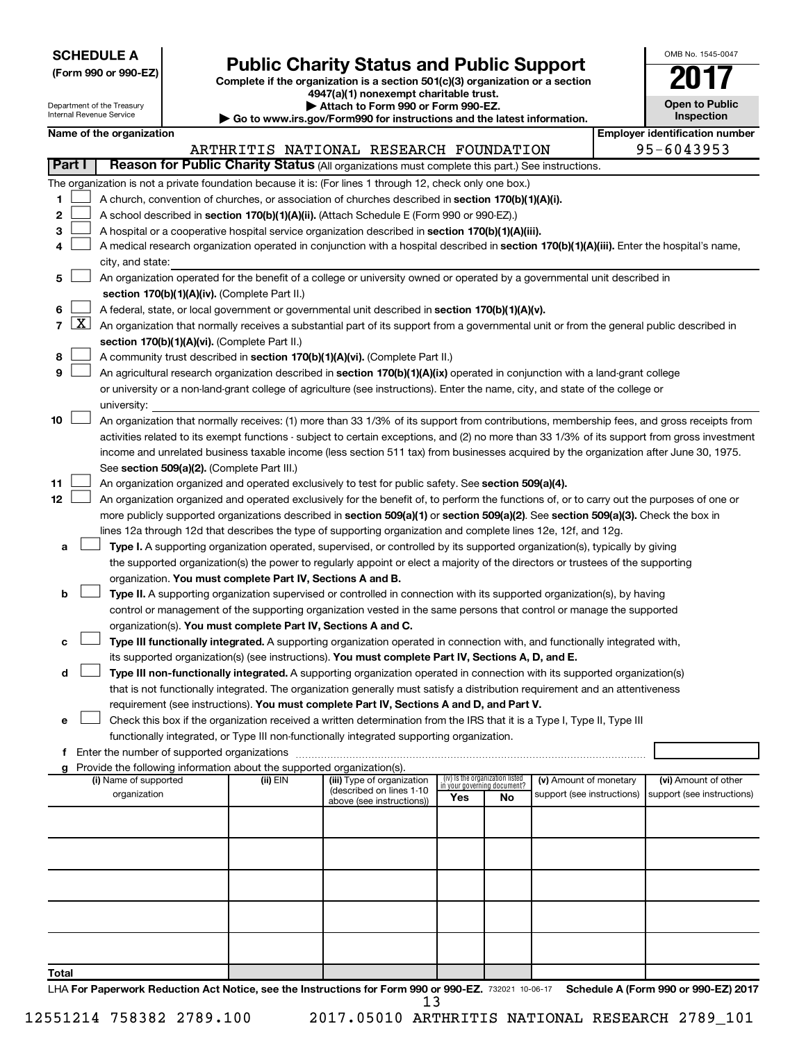| <b>SCHEDULE A</b> |  |
|-------------------|--|
|-------------------|--|

Department of the Treasury

# Form 990 or 990-EZ)<br>
Complete if the organization is a section 501(c)(3) organization or a section<br> **Public Charity Status and Public Support**

**4947(a)(1) nonexempt charitable trust.**

**| Attach to Form 990 or Form 990-EZ.** 

| OMB No 1545-0047                    |
|-------------------------------------|
| I I                                 |
| <b>Open to Public</b><br>Inspection |

|               | Internal Revenue Service<br>Inspection<br>Go to www.irs.gov/Form990 for instructions and the latest information. |  |                                                                                    |                                                                                                                                            |                                 |                                   |                            |  |                                                                                                                                               |  |
|---------------|------------------------------------------------------------------------------------------------------------------|--|------------------------------------------------------------------------------------|--------------------------------------------------------------------------------------------------------------------------------------------|---------------------------------|-----------------------------------|----------------------------|--|-----------------------------------------------------------------------------------------------------------------------------------------------|--|
|               | Name of the organization                                                                                         |  |                                                                                    |                                                                                                                                            |                                 |                                   |                            |  | <b>Employer identification number</b>                                                                                                         |  |
|               |                                                                                                                  |  |                                                                                    | ARTHRITIS NATIONAL RESEARCH FOUNDATION                                                                                                     |                                 |                                   |                            |  | 95-6043953                                                                                                                                    |  |
| <b>Part I</b> |                                                                                                                  |  |                                                                                    | Reason for Public Charity Status (All organizations must complete this part.) See instructions.                                            |                                 |                                   |                            |  |                                                                                                                                               |  |
|               |                                                                                                                  |  |                                                                                    | The organization is not a private foundation because it is: (For lines 1 through 12, check only one box.)                                  |                                 |                                   |                            |  |                                                                                                                                               |  |
| 1.            |                                                                                                                  |  |                                                                                    | A church, convention of churches, or association of churches described in section 170(b)(1)(A)(i).                                         |                                 |                                   |                            |  |                                                                                                                                               |  |
| 2             |                                                                                                                  |  |                                                                                    | A school described in section 170(b)(1)(A)(ii). (Attach Schedule E (Form 990 or 990-EZ).)                                                  |                                 |                                   |                            |  |                                                                                                                                               |  |
| з             |                                                                                                                  |  |                                                                                    | A hospital or a cooperative hospital service organization described in section 170(b)(1)(A)(iii).                                          |                                 |                                   |                            |  |                                                                                                                                               |  |
| 4             |                                                                                                                  |  |                                                                                    | A medical research organization operated in conjunction with a hospital described in section 170(b)(1)(A)(iii). Enter the hospital's name, |                                 |                                   |                            |  |                                                                                                                                               |  |
|               | city, and state:                                                                                                 |  |                                                                                    | An organization operated for the benefit of a college or university owned or operated by a governmental unit described in                  |                                 |                                   |                            |  |                                                                                                                                               |  |
| 5             |                                                                                                                  |  | section 170(b)(1)(A)(iv). (Complete Part II.)                                      |                                                                                                                                            |                                 |                                   |                            |  |                                                                                                                                               |  |
| 6             |                                                                                                                  |  |                                                                                    | A federal, state, or local government or governmental unit described in section 170(b)(1)(A)(v).                                           |                                 |                                   |                            |  |                                                                                                                                               |  |
| $7 \times$    |                                                                                                                  |  |                                                                                    | An organization that normally receives a substantial part of its support from a governmental unit or from the general public described in  |                                 |                                   |                            |  |                                                                                                                                               |  |
|               |                                                                                                                  |  | section 170(b)(1)(A)(vi). (Complete Part II.)                                      |                                                                                                                                            |                                 |                                   |                            |  |                                                                                                                                               |  |
| 8             |                                                                                                                  |  |                                                                                    | A community trust described in section 170(b)(1)(A)(vi). (Complete Part II.)                                                               |                                 |                                   |                            |  |                                                                                                                                               |  |
| 9             |                                                                                                                  |  |                                                                                    | An agricultural research organization described in section 170(b)(1)(A)(ix) operated in conjunction with a land-grant college              |                                 |                                   |                            |  |                                                                                                                                               |  |
|               |                                                                                                                  |  |                                                                                    | or university or a non-land-grant college of agriculture (see instructions). Enter the name, city, and state of the college or             |                                 |                                   |                            |  |                                                                                                                                               |  |
|               | university:                                                                                                      |  |                                                                                    |                                                                                                                                            |                                 |                                   |                            |  |                                                                                                                                               |  |
| 10            |                                                                                                                  |  |                                                                                    | An organization that normally receives: (1) more than 33 1/3% of its support from contributions, membership fees, and gross receipts from  |                                 |                                   |                            |  |                                                                                                                                               |  |
|               |                                                                                                                  |  |                                                                                    |                                                                                                                                            |                                 |                                   |                            |  | activities related to its exempt functions - subject to certain exceptions, and (2) no more than 33 1/3% of its support from gross investment |  |
|               |                                                                                                                  |  |                                                                                    | income and unrelated business taxable income (less section 511 tax) from businesses acquired by the organization after June 30, 1975.      |                                 |                                   |                            |  |                                                                                                                                               |  |
|               |                                                                                                                  |  | See section 509(a)(2). (Complete Part III.)                                        |                                                                                                                                            |                                 |                                   |                            |  |                                                                                                                                               |  |
| 11            |                                                                                                                  |  |                                                                                    | An organization organized and operated exclusively to test for public safety. See section 509(a)(4).                                       |                                 |                                   |                            |  |                                                                                                                                               |  |
| 12            |                                                                                                                  |  |                                                                                    | An organization organized and operated exclusively for the benefit of, to perform the functions of, or to carry out the purposes of one or |                                 |                                   |                            |  |                                                                                                                                               |  |
|               |                                                                                                                  |  |                                                                                    | more publicly supported organizations described in section 509(a)(1) or section 509(a)(2). See section 509(a)(3). Check the box in         |                                 |                                   |                            |  |                                                                                                                                               |  |
|               |                                                                                                                  |  |                                                                                    | lines 12a through 12d that describes the type of supporting organization and complete lines 12e, 12f, and 12g.                             |                                 |                                   |                            |  |                                                                                                                                               |  |
| a             |                                                                                                                  |  |                                                                                    | Type I. A supporting organization operated, supervised, or controlled by its supported organization(s), typically by giving                |                                 |                                   |                            |  |                                                                                                                                               |  |
|               |                                                                                                                  |  |                                                                                    | the supported organization(s) the power to regularly appoint or elect a majority of the directors or trustees of the supporting            |                                 |                                   |                            |  |                                                                                                                                               |  |
|               |                                                                                                                  |  | organization. You must complete Part IV, Sections A and B.                         |                                                                                                                                            |                                 |                                   |                            |  |                                                                                                                                               |  |
| b             |                                                                                                                  |  |                                                                                    | Type II. A supporting organization supervised or controlled in connection with its supported organization(s), by having                    |                                 |                                   |                            |  |                                                                                                                                               |  |
|               |                                                                                                                  |  |                                                                                    | control or management of the supporting organization vested in the same persons that control or manage the supported                       |                                 |                                   |                            |  |                                                                                                                                               |  |
|               |                                                                                                                  |  | organization(s). You must complete Part IV, Sections A and C.                      |                                                                                                                                            |                                 |                                   |                            |  |                                                                                                                                               |  |
| с             |                                                                                                                  |  |                                                                                    | Type III functionally integrated. A supporting organization operated in connection with, and functionally integrated with,                 |                                 |                                   |                            |  |                                                                                                                                               |  |
|               |                                                                                                                  |  |                                                                                    | its supported organization(s) (see instructions). You must complete Part IV, Sections A, D, and E.                                         |                                 |                                   |                            |  |                                                                                                                                               |  |
| d             |                                                                                                                  |  |                                                                                    | Type III non-functionally integrated. A supporting organization operated in connection with its supported organization(s)                  |                                 |                                   |                            |  |                                                                                                                                               |  |
|               |                                                                                                                  |  |                                                                                    | that is not functionally integrated. The organization generally must satisfy a distribution requirement and an attentiveness               |                                 |                                   |                            |  |                                                                                                                                               |  |
|               |                                                                                                                  |  |                                                                                    | requirement (see instructions). You must complete Part IV, Sections A and D, and Part V.                                                   |                                 |                                   |                            |  |                                                                                                                                               |  |
| e             |                                                                                                                  |  |                                                                                    | Check this box if the organization received a written determination from the IRS that it is a Type I, Type II, Type III                    |                                 |                                   |                            |  |                                                                                                                                               |  |
|               |                                                                                                                  |  |                                                                                    | functionally integrated, or Type III non-functionally integrated supporting organization.                                                  |                                 |                                   |                            |  |                                                                                                                                               |  |
|               |                                                                                                                  |  |                                                                                    |                                                                                                                                            |                                 |                                   |                            |  |                                                                                                                                               |  |
|               | (i) Name of supported                                                                                            |  | Provide the following information about the supported organization(s).<br>(ii) EIN | (iii) Type of organization                                                                                                                 | (iv) Is the organization listed |                                   | (v) Amount of monetary     |  | (vi) Amount of other                                                                                                                          |  |
|               | organization                                                                                                     |  |                                                                                    | (described on lines 1-10                                                                                                                   | Yes                             | in your governing document?<br>No | support (see instructions) |  | support (see instructions)                                                                                                                    |  |
|               |                                                                                                                  |  |                                                                                    | above (see instructions))                                                                                                                  |                                 |                                   |                            |  |                                                                                                                                               |  |
|               |                                                                                                                  |  |                                                                                    |                                                                                                                                            |                                 |                                   |                            |  |                                                                                                                                               |  |
|               |                                                                                                                  |  |                                                                                    |                                                                                                                                            |                                 |                                   |                            |  |                                                                                                                                               |  |
|               |                                                                                                                  |  |                                                                                    |                                                                                                                                            |                                 |                                   |                            |  |                                                                                                                                               |  |
|               |                                                                                                                  |  |                                                                                    |                                                                                                                                            |                                 |                                   |                            |  |                                                                                                                                               |  |
|               |                                                                                                                  |  |                                                                                    |                                                                                                                                            |                                 |                                   |                            |  |                                                                                                                                               |  |
|               |                                                                                                                  |  |                                                                                    |                                                                                                                                            |                                 |                                   |                            |  |                                                                                                                                               |  |
|               |                                                                                                                  |  |                                                                                    |                                                                                                                                            |                                 |                                   |                            |  |                                                                                                                                               |  |
|               |                                                                                                                  |  |                                                                                    |                                                                                                                                            |                                 |                                   |                            |  |                                                                                                                                               |  |
|               |                                                                                                                  |  |                                                                                    |                                                                                                                                            |                                 |                                   |                            |  |                                                                                                                                               |  |
| Total         |                                                                                                                  |  |                                                                                    |                                                                                                                                            |                                 |                                   |                            |  |                                                                                                                                               |  |

LHA For Paperwork Reduction Act Notice, see the Instructions for Form 990 or 990-EZ. 732021 10-06-17 Schedule A (Form 990 or 990-EZ) 2017 13

12551214 758382 2789.100 2017.05010 ARTHRITIS NATIONAL RESEARCH 2789\_101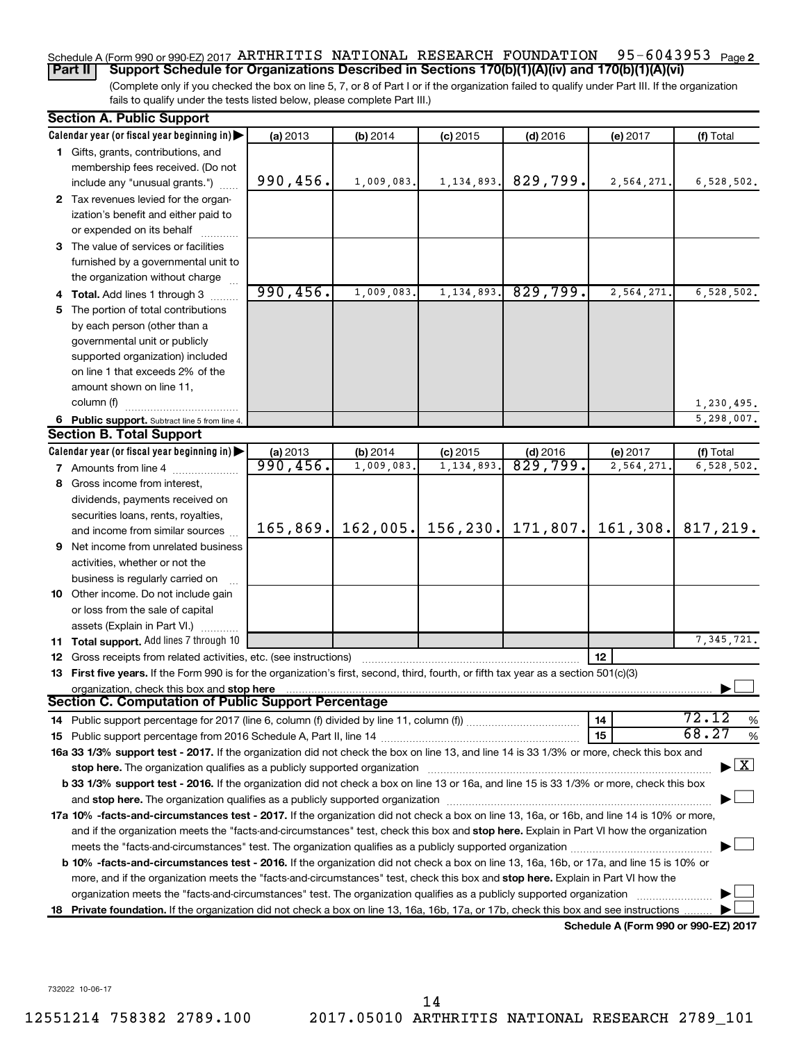#### 95-6043953 Page 2 Schedule A (Form 990 or 990-EZ) 2017 ARTHRITIS NATIONAL RESEARCH FOUNDATION 95-6043953 Page **Part II Support Schedule for Organizations Described in Sections 170(b)(1)(A)(iv) and 170(b)(1)(A)(vi)**

(Complete only if you checked the box on line 5, 7, or 8 of Part I or if the organization failed to qualify under Part III. If the organization fails to qualify under the tests listed below, please complete Part III.)

|     | <b>Section A. Public Support</b>                                                                                                           |           |            |              |                     |                                      |                                    |
|-----|--------------------------------------------------------------------------------------------------------------------------------------------|-----------|------------|--------------|---------------------|--------------------------------------|------------------------------------|
|     | Calendar year (or fiscal year beginning in)                                                                                                | (a) 2013  | (b) 2014   | $(c)$ 2015   | $(d)$ 2016          | (e) 2017                             | (f) Total                          |
|     | 1 Gifts, grants, contributions, and                                                                                                        |           |            |              |                     |                                      |                                    |
|     | membership fees received. (Do not                                                                                                          |           |            |              |                     |                                      |                                    |
|     | include any "unusual grants.")                                                                                                             | 990, 456. | 1,009,083. | 1, 134, 893. | 829,799.            | 2,564,271.                           | 6,528,502.                         |
|     | 2 Tax revenues levied for the organ-                                                                                                       |           |            |              |                     |                                      |                                    |
|     | ization's benefit and either paid to                                                                                                       |           |            |              |                     |                                      |                                    |
|     | or expended on its behalf                                                                                                                  |           |            |              |                     |                                      |                                    |
|     | 3 The value of services or facilities                                                                                                      |           |            |              |                     |                                      |                                    |
|     | furnished by a governmental unit to                                                                                                        |           |            |              |                     |                                      |                                    |
|     | the organization without charge                                                                                                            |           |            |              |                     |                                      |                                    |
|     | 4 Total. Add lines 1 through 3                                                                                                             | 990, 456. | 1,009,083. | 1,134,893.   | 829,799.            | 2,564,271                            | 6,528,502.                         |
| 5.  | The portion of total contributions                                                                                                         |           |            |              |                     |                                      |                                    |
|     | by each person (other than a                                                                                                               |           |            |              |                     |                                      |                                    |
|     | governmental unit or publicly                                                                                                              |           |            |              |                     |                                      |                                    |
|     | supported organization) included                                                                                                           |           |            |              |                     |                                      |                                    |
|     | on line 1 that exceeds 2% of the                                                                                                           |           |            |              |                     |                                      |                                    |
|     | amount shown on line 11,                                                                                                                   |           |            |              |                     |                                      |                                    |
|     | column (f)                                                                                                                                 |           |            |              |                     |                                      | 1,230,495.                         |
|     | 6 Public support. Subtract line 5 from line 4.                                                                                             |           |            |              |                     |                                      | 5,298,007.                         |
|     | <b>Section B. Total Support</b>                                                                                                            |           |            |              |                     |                                      |                                    |
|     | Calendar year (or fiscal year beginning in)                                                                                                | (a) 2013  | (b) 2014   | $(c)$ 2015   | $(d)$ 2016          | (e) 2017                             | (f) Total                          |
|     | 7 Amounts from line 4                                                                                                                      | 990,456.  | 1,009,083. | 1,134,893    | $\frac{829}{799}$ . | 2,564,271                            | 6,528,502.                         |
|     | 8 Gross income from interest,                                                                                                              |           |            |              |                     |                                      |                                    |
|     | dividends, payments received on                                                                                                            |           |            |              |                     |                                      |                                    |
|     | securities loans, rents, royalties,                                                                                                        |           |            |              |                     |                                      |                                    |
|     | and income from similar sources                                                                                                            | 165,869.  | 162,005.   | 156, 230.    | 171,807.            | 161, 308.                            | 817,219.                           |
|     | 9 Net income from unrelated business                                                                                                       |           |            |              |                     |                                      |                                    |
|     | activities, whether or not the                                                                                                             |           |            |              |                     |                                      |                                    |
|     | business is regularly carried on                                                                                                           |           |            |              |                     |                                      |                                    |
|     | 10 Other income. Do not include gain                                                                                                       |           |            |              |                     |                                      |                                    |
|     | or loss from the sale of capital                                                                                                           |           |            |              |                     |                                      |                                    |
|     | assets (Explain in Part VI.)                                                                                                               |           |            |              |                     |                                      |                                    |
|     | 11 Total support. Add lines 7 through 10                                                                                                   |           |            |              |                     |                                      | 7, 345, 721.                       |
|     | <b>12</b> Gross receipts from related activities, etc. (see instructions)                                                                  |           |            |              |                     | 12                                   |                                    |
|     | 13 First five years. If the Form 990 is for the organization's first, second, third, fourth, or fifth tax year as a section 501(c)(3)      |           |            |              |                     |                                      |                                    |
|     | organization, check this box and stop here                                                                                                 |           |            |              |                     |                                      |                                    |
|     | <b>Section C. Computation of Public Support Percentage</b>                                                                                 |           |            |              |                     |                                      |                                    |
|     |                                                                                                                                            |           |            |              |                     | 14                                   | 72.12<br>%                         |
|     |                                                                                                                                            |           |            |              |                     | 15                                   | 68.27<br>%                         |
|     | 16a 33 1/3% support test - 2017. If the organization did not check the box on line 13, and line 14 is 33 1/3% or more, check this box and  |           |            |              |                     |                                      |                                    |
|     | stop here. The organization qualifies as a publicly supported organization manufaction manufacture or the organization                     |           |            |              |                     |                                      | $\blacktriangleright$ $\mathbf{X}$ |
|     | b 33 1/3% support test - 2016. If the organization did not check a box on line 13 or 16a, and line 15 is 33 1/3% or more, check this box   |           |            |              |                     |                                      |                                    |
|     |                                                                                                                                            |           |            |              |                     |                                      |                                    |
|     | 17a 10% -facts-and-circumstances test - 2017. If the organization did not check a box on line 13, 16a, or 16b, and line 14 is 10% or more, |           |            |              |                     |                                      |                                    |
|     | and if the organization meets the "facts-and-circumstances" test, check this box and stop here. Explain in Part VI how the organization    |           |            |              |                     |                                      |                                    |
|     |                                                                                                                                            |           |            |              |                     |                                      |                                    |
|     | b 10% -facts-and-circumstances test - 2016. If the organization did not check a box on line 13, 16a, 16b, or 17a, and line 15 is 10% or    |           |            |              |                     |                                      |                                    |
|     | more, and if the organization meets the "facts-and-circumstances" test, check this box and stop here. Explain in Part VI how the           |           |            |              |                     |                                      |                                    |
|     | organization meets the "facts-and-circumstances" test. The organization qualifies as a publicly supported organization                     |           |            |              |                     |                                      |                                    |
| 18. | Private foundation. If the organization did not check a box on line 13, 16a, 16b, 17a, or 17b, check this box and see instructions         |           |            |              |                     |                                      |                                    |
|     |                                                                                                                                            |           |            |              |                     | Schedule A (Form 990 or 990-EZ) 2017 |                                    |

732022 10-06-17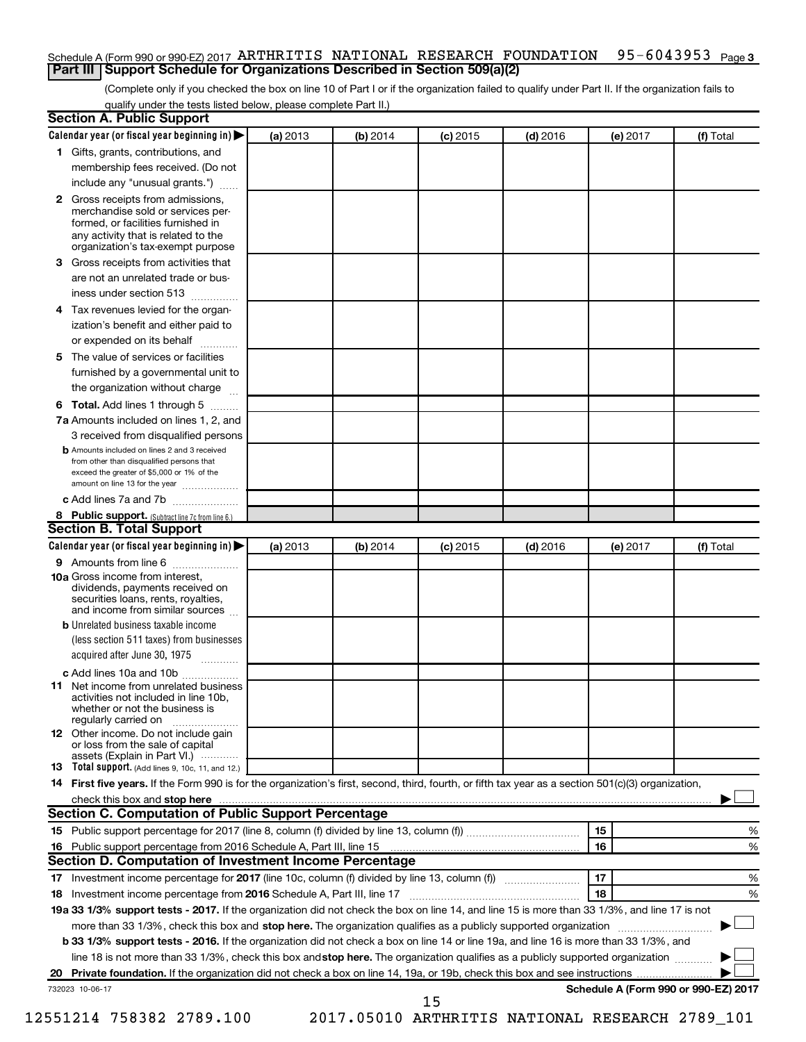#### 95-6043953 <sub>Page 3</sub> Schedule A (Form 990 or 990-EZ) 2017 ARTHRITIS NATIONAL RESEARCH FOUNDATION 95-6043953 Page **Part III Support Schedule for Organizations Described in Section 509(a)(2)**

(Complete only if you checked the box on line 10 of Part I or if the organization failed to qualify under Part II. If the organization fails to qualify under the tests listed below, please complete Part II.)

| <b>Section A. Public Support</b>                                                                                                                                                                                         |          |          |            |            |          |                                      |
|--------------------------------------------------------------------------------------------------------------------------------------------------------------------------------------------------------------------------|----------|----------|------------|------------|----------|--------------------------------------|
| Calendar year (or fiscal year beginning in)                                                                                                                                                                              | (a) 2013 | (b) 2014 | $(c)$ 2015 | $(d)$ 2016 | (e) 2017 | (f) Total                            |
| 1 Gifts, grants, contributions, and                                                                                                                                                                                      |          |          |            |            |          |                                      |
| membership fees received. (Do not                                                                                                                                                                                        |          |          |            |            |          |                                      |
| include any "unusual grants.")                                                                                                                                                                                           |          |          |            |            |          |                                      |
| 2 Gross receipts from admissions,<br>merchandise sold or services per-<br>formed, or facilities furnished in<br>any activity that is related to the                                                                      |          |          |            |            |          |                                      |
| organization's tax-exempt purpose                                                                                                                                                                                        |          |          |            |            |          |                                      |
| <b>3</b> Gross receipts from activities that                                                                                                                                                                             |          |          |            |            |          |                                      |
| are not an unrelated trade or bus-                                                                                                                                                                                       |          |          |            |            |          |                                      |
| iness under section 513                                                                                                                                                                                                  |          |          |            |            |          |                                      |
| 4 Tax revenues levied for the organ-<br>ization's benefit and either paid to                                                                                                                                             |          |          |            |            |          |                                      |
| or expended on its behalf                                                                                                                                                                                                |          |          |            |            |          |                                      |
| 5 The value of services or facilities                                                                                                                                                                                    |          |          |            |            |          |                                      |
| furnished by a governmental unit to                                                                                                                                                                                      |          |          |            |            |          |                                      |
| the organization without charge                                                                                                                                                                                          |          |          |            |            |          |                                      |
|                                                                                                                                                                                                                          |          |          |            |            |          |                                      |
| <b>6 Total.</b> Add lines 1 through 5                                                                                                                                                                                    |          |          |            |            |          |                                      |
| 7a Amounts included on lines 1, 2, and                                                                                                                                                                                   |          |          |            |            |          |                                      |
| 3 received from disqualified persons<br><b>b</b> Amounts included on lines 2 and 3 received<br>from other than disqualified persons that<br>exceed the greater of \$5,000 or 1% of the<br>amount on line 13 for the year |          |          |            |            |          |                                      |
| c Add lines 7a and 7b                                                                                                                                                                                                    |          |          |            |            |          |                                      |
| 8 Public support. (Subtract line 7c from line 6.)                                                                                                                                                                        |          |          |            |            |          |                                      |
| <b>Section B. Total Support</b>                                                                                                                                                                                          |          |          |            |            |          |                                      |
| Calendar year (or fiscal year beginning in)                                                                                                                                                                              | (a) 2013 | (b) 2014 | $(c)$ 2015 | $(d)$ 2016 | (e) 2017 | (f) Total                            |
| <b>9</b> Amounts from line 6                                                                                                                                                                                             |          |          |            |            |          |                                      |
| <b>10a</b> Gross income from interest,<br>dividends, payments received on<br>securities loans, rents, royalties,<br>and income from similar sources                                                                      |          |          |            |            |          |                                      |
| <b>b</b> Unrelated business taxable income                                                                                                                                                                               |          |          |            |            |          |                                      |
| (less section 511 taxes) from businesses<br>acquired after June 30, 1975<br>$\overline{\phantom{a}}$                                                                                                                     |          |          |            |            |          |                                      |
| c Add lines 10a and 10b                                                                                                                                                                                                  |          |          |            |            |          |                                      |
| <b>11</b> Net income from unrelated business<br>activities not included in line 10b.<br>whether or not the business is<br>regularly carried on                                                                           |          |          |            |            |          |                                      |
| <b>12</b> Other income. Do not include gain<br>or loss from the sale of capital<br>assets (Explain in Part VI.)                                                                                                          |          |          |            |            |          |                                      |
| <b>13</b> Total support. (Add lines 9, 10c, 11, and 12.)                                                                                                                                                                 |          |          |            |            |          |                                      |
| 14 First five years. If the Form 990 is for the organization's first, second, third, fourth, or fifth tax year as a section 501(c)(3) organization,                                                                      |          |          |            |            |          |                                      |
| check this box and stop here <i><b>macuum construction of the construction</b></i> check this box and stop here <b><i>macuum construction</i></b>                                                                        |          |          |            |            |          |                                      |
| Section C. Computation of Public Support Percentage                                                                                                                                                                      |          |          |            |            |          |                                      |
|                                                                                                                                                                                                                          |          |          |            |            | 15       | ℅                                    |
| 16 Public support percentage from 2016 Schedule A, Part III, line 15                                                                                                                                                     |          |          |            |            | 16       | %                                    |
| Section D. Computation of Investment Income Percentage                                                                                                                                                                   |          |          |            |            |          |                                      |
|                                                                                                                                                                                                                          |          |          |            |            | 17       | %                                    |
| 18 Investment income percentage from 2016 Schedule A, Part III, line 17                                                                                                                                                  |          |          |            |            | 18       | %                                    |
| 19a 33 1/3% support tests - 2017. If the organization did not check the box on line 14, and line 15 is more than 33 1/3%, and line 17 is not                                                                             |          |          |            |            |          |                                      |
| more than 33 1/3%, check this box and stop here. The organization qualifies as a publicly supported organization                                                                                                         |          |          |            |            |          |                                      |
| b 33 1/3% support tests - 2016. If the organization did not check a box on line 14 or line 19a, and line 16 is more than 33 1/3%, and                                                                                    |          |          |            |            |          |                                      |
| line 18 is not more than 33 1/3%, check this box and stop here. The organization qualifies as a publicly supported organization                                                                                          |          |          |            |            |          |                                      |
|                                                                                                                                                                                                                          |          |          |            |            |          |                                      |
| 732023 10-06-17                                                                                                                                                                                                          |          |          |            |            |          | Schedule A (Form 990 or 990-EZ) 2017 |
|                                                                                                                                                                                                                          |          |          | 15         |            |          |                                      |

12551214 758382 2789.100 2017.05010 ARTHRITIS NATIONAL RESEARCH 2789\_101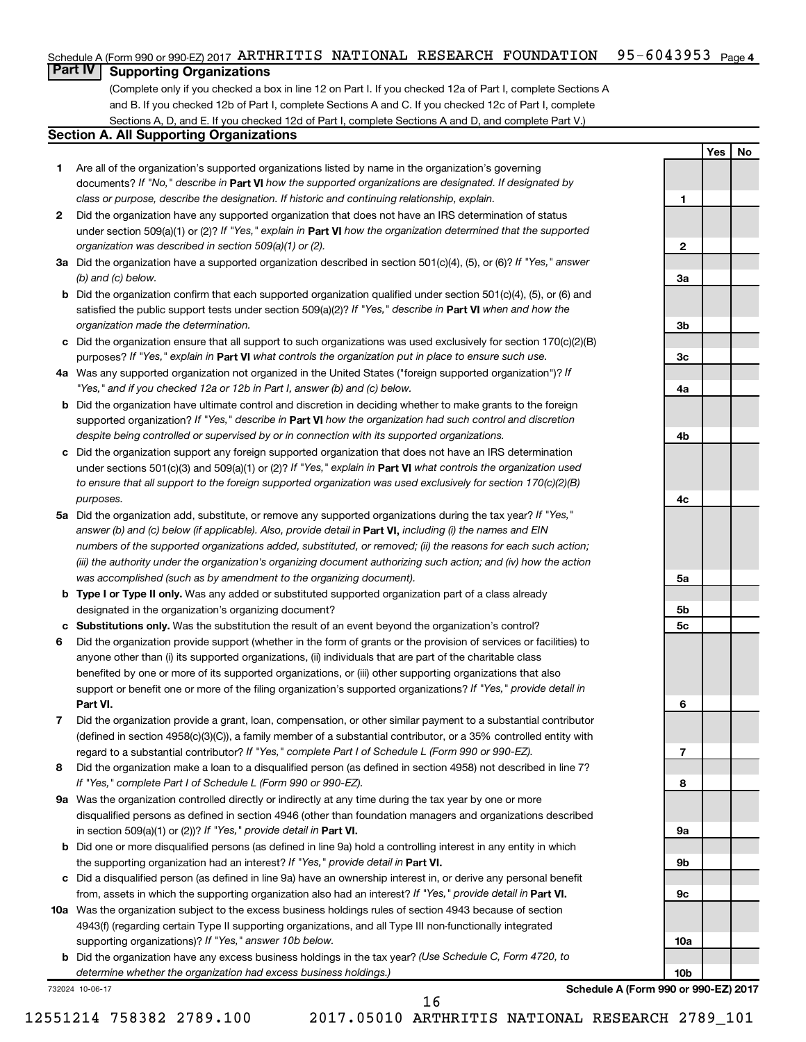#### $95 - 6043953$  Page 4 Schedule A (Form 990 or 990-EZ) 2017 ARTHRITIS NATIONAL RESEARCH FOUNDATION 95-6043953 Page

### **Part IV Supporting Organizations**

(Complete only if you checked a box in line 12 on Part I. If you checked 12a of Part I, complete Sections A and B. If you checked 12b of Part I, complete Sections A and C. If you checked 12c of Part I, complete Sections A, D, and E. If you checked 12d of Part I, complete Sections A and D, and complete Part V.)

#### **Section A. All Supporting Organizations**

- **1** Are all of the organization's supported organizations listed by name in the organization's governing documents? If "No," describe in Part VI how the supported organizations are designated. If designated by *class or purpose, describe the designation. If historic and continuing relationship, explain.*
- **2** Did the organization have any supported organization that does not have an IRS determination of status under section 509(a)(1) or (2)? If "Yes," explain in Part **VI** how the organization determined that the supported *organization was described in section 509(a)(1) or (2).*
- **3a** Did the organization have a supported organization described in section 501(c)(4), (5), or (6)? If "Yes," answer *(b) and (c) below.*
- **b** Did the organization confirm that each supported organization qualified under section 501(c)(4), (5), or (6) and satisfied the public support tests under section 509(a)(2)? If "Yes," describe in Part VI when and how the *organization made the determination.*
- **c** Did the organization ensure that all support to such organizations was used exclusively for section 170(c)(2)(B) purposes? If "Yes," explain in Part VI what controls the organization put in place to ensure such use.
- **4 a** *If* Was any supported organization not organized in the United States ("foreign supported organization")? *"Yes," and if you checked 12a or 12b in Part I, answer (b) and (c) below.*
- **b** Did the organization have ultimate control and discretion in deciding whether to make grants to the foreign supported organization? If "Yes," describe in Part VI how the organization had such control and discretion *despite being controlled or supervised by or in connection with its supported organizations.*
- **c** Did the organization support any foreign supported organization that does not have an IRS determination under sections 501(c)(3) and 509(a)(1) or (2)? If "Yes," explain in Part VI what controls the organization used *to ensure that all support to the foreign supported organization was used exclusively for section 170(c)(2)(B) purposes.*
- **5a** Did the organization add, substitute, or remove any supported organizations during the tax year? If "Yes," answer (b) and (c) below (if applicable). Also, provide detail in **Part VI,** including (i) the names and EIN *numbers of the supported organizations added, substituted, or removed; (ii) the reasons for each such action; (iii) the authority under the organization's organizing document authorizing such action; and (iv) how the action was accomplished (such as by amendment to the organizing document).*
- **b** Type I or Type II only. Was any added or substituted supported organization part of a class already designated in the organization's organizing document?
- **c Substitutions only.**  Was the substitution the result of an event beyond the organization's control?
- **6** Did the organization provide support (whether in the form of grants or the provision of services or facilities) to **Part VI.** support or benefit one or more of the filing organization's supported organizations? If "Yes," provide detail in anyone other than (i) its supported organizations, (ii) individuals that are part of the charitable class benefited by one or more of its supported organizations, or (iii) other supporting organizations that also
- **7** Did the organization provide a grant, loan, compensation, or other similar payment to a substantial contributor regard to a substantial contributor? If "Yes," complete Part I of Schedule L (Form 990 or 990-EZ). (defined in section 4958(c)(3)(C)), a family member of a substantial contributor, or a 35% controlled entity with
- **8** Did the organization make a loan to a disqualified person (as defined in section 4958) not described in line 7? *If "Yes," complete Part I of Schedule L (Form 990 or 990-EZ).*
- **9 a** Was the organization controlled directly or indirectly at any time during the tax year by one or more in section 509(a)(1) or (2))? If "Yes," provide detail in **Part VI.** disqualified persons as defined in section 4946 (other than foundation managers and organizations described
- **b** Did one or more disqualified persons (as defined in line 9a) hold a controlling interest in any entity in which the supporting organization had an interest? If "Yes," provide detail in Part VI.
- **c** Did a disqualified person (as defined in line 9a) have an ownership interest in, or derive any personal benefit from, assets in which the supporting organization also had an interest? If "Yes," provide detail in Part VI.
- **10 a** Was the organization subject to the excess business holdings rules of section 4943 because of section supporting organizations)? If "Yes," answer 10b below. 4943(f) (regarding certain Type II supporting organizations, and all Type III non-functionally integrated
	- **b** Did the organization have any excess business holdings in the tax year? (Use Schedule C, Form 4720, to *determine whether the organization had excess business holdings.)*

732024 10-06-17

**Schedule A (Form 990 or 990-EZ) 2017**

**Yes No**

**1**

**2**

**3a**

**3b**

**3c**

**4a**

**4b**

**4c**

**5a**

**5b 5c**

**6**

**7**

**8**

**9a**

**9b**

**9c**

**10a**

**10b**

12551214 758382 2789.100 2017.05010 ARTHRITIS NATIONAL RESEARCH 2789\_101 16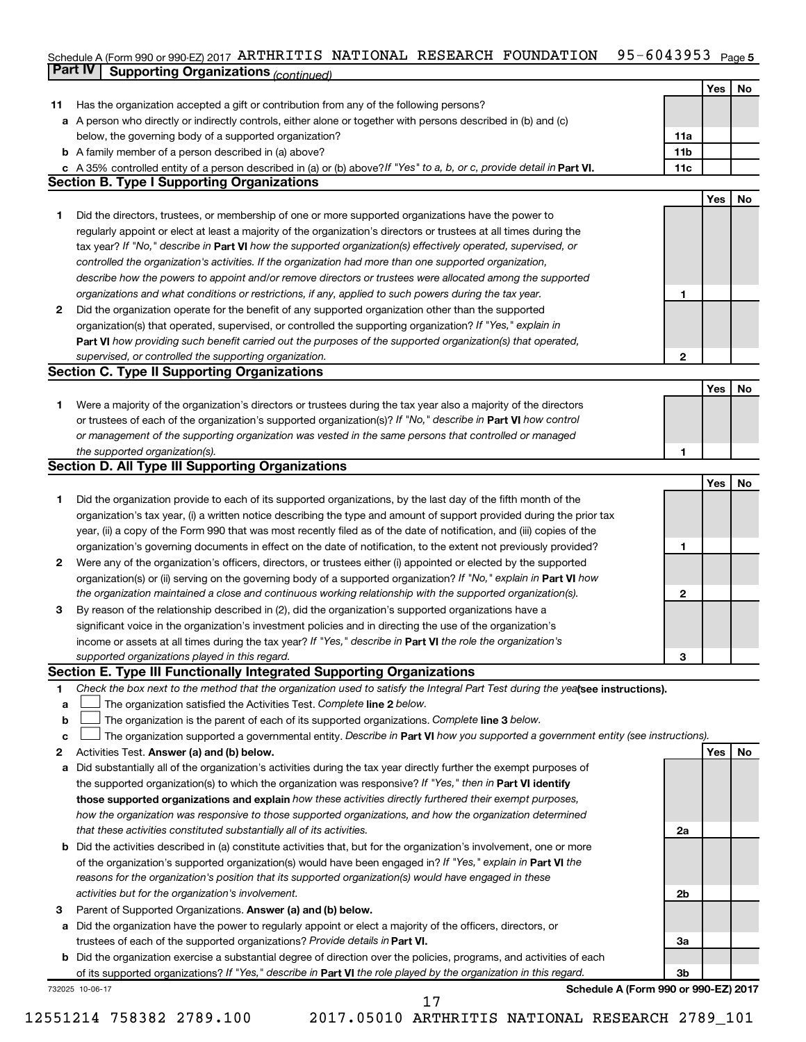#### Schedule A (Form 990 or 990-EZ) 2017 ARTHRITIS NATIONAL RESEARCH FOUNDATION 95-6043953 Page 5 **Part IV Supporting Organizations** *(continued)* ARTHRITIS NATIONAL RESEARCH FOUNDATION 95-6043953

|              |                                                                                                                                                                         |                 | Yes | No |
|--------------|-------------------------------------------------------------------------------------------------------------------------------------------------------------------------|-----------------|-----|----|
| 11           | Has the organization accepted a gift or contribution from any of the following persons?                                                                                 |                 |     |    |
| а            | A person who directly or indirectly controls, either alone or together with persons described in (b) and (c)                                                            |                 |     |    |
|              | below, the governing body of a supported organization?                                                                                                                  | 11a             |     |    |
|              | <b>b</b> A family member of a person described in (a) above?                                                                                                            | 11 <sub>b</sub> |     |    |
| c            | A 35% controlled entity of a person described in (a) or (b) above? If "Yes" to a, b, or c, provide detail in Part VI.                                                   | 11c             |     |    |
|              | <b>Section B. Type I Supporting Organizations</b>                                                                                                                       |                 |     |    |
|              |                                                                                                                                                                         |                 | Yes | No |
| 1.           | Did the directors, trustees, or membership of one or more supported organizations have the power to                                                                     |                 |     |    |
|              | regularly appoint or elect at least a majority of the organization's directors or trustees at all times during the                                                      |                 |     |    |
|              | tax year? If "No," describe in Part VI how the supported organization(s) effectively operated, supervised, or                                                           |                 |     |    |
|              | controlled the organization's activities. If the organization had more than one supported organization,                                                                 |                 |     |    |
|              | describe how the powers to appoint and/or remove directors or trustees were allocated among the supported                                                               |                 |     |    |
|              | organizations and what conditions or restrictions, if any, applied to such powers during the tax year.                                                                  | 1               |     |    |
| $\mathbf{2}$ | Did the organization operate for the benefit of any supported organization other than the supported                                                                     |                 |     |    |
|              | organization(s) that operated, supervised, or controlled the supporting organization? If "Yes," explain in                                                              |                 |     |    |
|              | Part VI how providing such benefit carried out the purposes of the supported organization(s) that operated,                                                             |                 |     |    |
|              | supervised, or controlled the supporting organization.                                                                                                                  | $\overline{2}$  |     |    |
|              | <b>Section C. Type II Supporting Organizations</b>                                                                                                                      |                 |     |    |
|              |                                                                                                                                                                         |                 | Yes | No |
| 1.           | Were a majority of the organization's directors or trustees during the tax year also a majority of the directors                                                        |                 |     |    |
|              | or trustees of each of the organization's supported organization(s)? If "No," describe in Part VI how control                                                           |                 |     |    |
|              | or management of the supporting organization was vested in the same persons that controlled or managed                                                                  |                 |     |    |
|              | the supported organization(s).                                                                                                                                          | 1               |     |    |
|              | <b>Section D. All Type III Supporting Organizations</b>                                                                                                                 |                 |     |    |
|              |                                                                                                                                                                         |                 | Yes | No |
| 1            | Did the organization provide to each of its supported organizations, by the last day of the fifth month of the                                                          |                 |     |    |
|              | organization's tax year, (i) a written notice describing the type and amount of support provided during the prior tax                                                   |                 |     |    |
|              | year, (ii) a copy of the Form 990 that was most recently filed as of the date of notification, and (iii) copies of the                                                  |                 |     |    |
|              | organization's governing documents in effect on the date of notification, to the extent not previously provided?                                                        | 1               |     |    |
| $\mathbf{2}$ | Were any of the organization's officers, directors, or trustees either (i) appointed or elected by the supported                                                        |                 |     |    |
|              | organization(s) or (ii) serving on the governing body of a supported organization? If "No," explain in <b>Part VI</b> how                                               |                 |     |    |
|              | the organization maintained a close and continuous working relationship with the supported organization(s).                                                             | 2               |     |    |
| З            | By reason of the relationship described in (2), did the organization's supported organizations have a                                                                   |                 |     |    |
|              | significant voice in the organization's investment policies and in directing the use of the organization's                                                              |                 |     |    |
|              | income or assets at all times during the tax year? If "Yes," describe in Part VI the role the organization's                                                            |                 |     |    |
|              | supported organizations played in this regard.<br>Section E. Type III Functionally Integrated Supporting Organizations                                                  | 3               |     |    |
|              | Check the box next to the method that the organization used to satisfy the Integral Part Test during the yealsee instructions).                                         |                 |     |    |
| 1            |                                                                                                                                                                         |                 |     |    |
| а            | The organization satisfied the Activities Test. Complete line 2 below.<br>The organization is the parent of each of its supported organizations. Complete line 3 below. |                 |     |    |
| b            | The organization supported a governmental entity. Describe in Part VI how you supported a government entity (see instructions).                                         |                 |     |    |
| с<br>2       | Activities Test. Answer (a) and (b) below.                                                                                                                              |                 | Yes | No |
| a            | Did substantially all of the organization's activities during the tax year directly further the exempt purposes of                                                      |                 |     |    |
|              | the supported organization(s) to which the organization was responsive? If "Yes," then in Part VI identify                                                              |                 |     |    |
|              | those supported organizations and explain how these activities directly furthered their exempt purposes,                                                                |                 |     |    |
|              | how the organization was responsive to those supported organizations, and how the organization determined                                                               |                 |     |    |
|              | that these activities constituted substantially all of its activities.                                                                                                  | 2a              |     |    |
| b            | Did the activities described in (a) constitute activities that, but for the organization's involvement, one or more                                                     |                 |     |    |
|              | of the organization's supported organization(s) would have been engaged in? If "Yes," explain in Part VI the                                                            |                 |     |    |
|              | reasons for the organization's position that its supported organization(s) would have engaged in these                                                                  |                 |     |    |
|              | activities but for the organization's involvement.                                                                                                                      | 2b              |     |    |
| 3            | Parent of Supported Organizations. Answer (a) and (b) below.                                                                                                            |                 |     |    |
| a            | Did the organization have the power to regularly appoint or elect a majority of the officers, directors, or                                                             |                 |     |    |
|              | trustees of each of the supported organizations? Provide details in Part VI.                                                                                            | 3a              |     |    |
| b            | Did the organization exercise a substantial degree of direction over the policies, programs, and activities of each                                                     |                 |     |    |
|              | of its supported organizations? If "Yes," describe in Part VI the role played by the organization in this regard.                                                       | 3 <sub>b</sub>  |     |    |
|              | Schedule A (Form 990 or 990-EZ) 2017<br>732025 10-06-17                                                                                                                 |                 |     |    |
|              | 17                                                                                                                                                                      |                 |     |    |

12551214 758382 2789.100 2017.05010 ARTHRITIS NATIONAL RESEARCH 2789\_101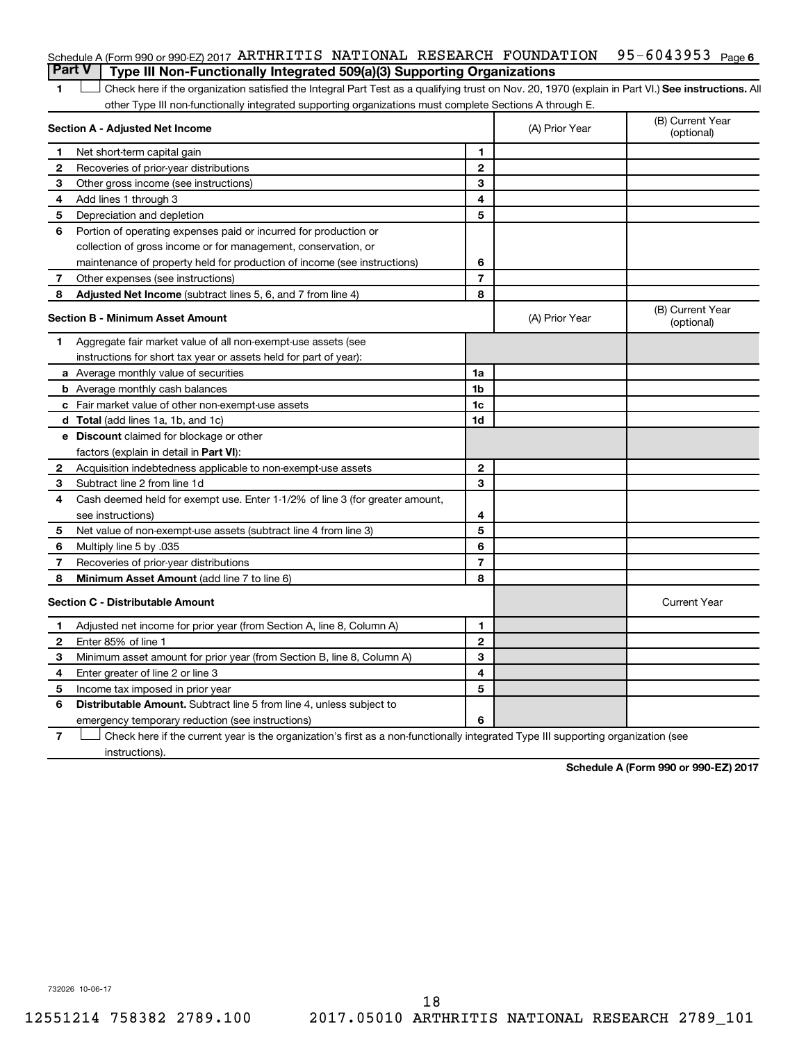|  | Schedule A (Form 990 or 990-EZ) 2017 ARTHRITIS NATIONAL RESEARCH FOUNDATION 95-6043953 $Paqe6$ |  |  |  |
|--|------------------------------------------------------------------------------------------------|--|--|--|
|  | <b>Part V</b> Type III Non-Functionally Integrated 509(a)(3) Supporting Organizations          |  |  |  |

1 **Letter See instructions.** All Check here if the organization satisfied the Integral Part Test as a qualifying trust on Nov. 20, 1970 (explain in Part VI.) See instructions. All other Type III non-functionally integrated supporting organizations must complete Sections A through E.

|              | Section A - Adjusted Net Income                                              |                | (A) Prior Year | (B) Current Year<br>(optional) |
|--------------|------------------------------------------------------------------------------|----------------|----------------|--------------------------------|
| 1            | Net short-term capital gain                                                  | 1              |                |                                |
| 2            | Recoveries of prior-year distributions                                       | $\mathbf{2}$   |                |                                |
| З            | Other gross income (see instructions)                                        | 3              |                |                                |
| 4            | Add lines 1 through 3                                                        | 4              |                |                                |
| 5            | Depreciation and depletion                                                   | 5              |                |                                |
| 6            | Portion of operating expenses paid or incurred for production or             |                |                |                                |
|              | collection of gross income or for management, conservation, or               |                |                |                                |
|              | maintenance of property held for production of income (see instructions)     | 6              |                |                                |
| 7            | Other expenses (see instructions)                                            | $\overline{7}$ |                |                                |
| 8            | Adjusted Net Income (subtract lines 5, 6, and 7 from line 4)                 | 8              |                |                                |
|              | <b>Section B - Minimum Asset Amount</b>                                      |                | (A) Prior Year | (B) Current Year<br>(optional) |
| 1            | Aggregate fair market value of all non-exempt-use assets (see                |                |                |                                |
|              | instructions for short tax year or assets held for part of year):            |                |                |                                |
|              | <b>a</b> Average monthly value of securities                                 | 1a             |                |                                |
|              | <b>b</b> Average monthly cash balances                                       | 1 <sub>b</sub> |                |                                |
|              | <b>c</b> Fair market value of other non-exempt-use assets                    | 1 <sub>c</sub> |                |                                |
|              | d Total (add lines 1a, 1b, and 1c)                                           | 1d             |                |                                |
|              | e Discount claimed for blockage or other                                     |                |                |                                |
|              | factors (explain in detail in <b>Part VI</b> ):                              |                |                |                                |
| $\mathbf{2}$ | Acquisition indebtedness applicable to non-exempt-use assets                 | $\mathbf{2}$   |                |                                |
| 3            | Subtract line 2 from line 1d                                                 | 3              |                |                                |
| 4            | Cash deemed held for exempt use. Enter 1-1/2% of line 3 (for greater amount, |                |                |                                |
|              | see instructions)                                                            | 4              |                |                                |
| 5            | Net value of non-exempt-use assets (subtract line 4 from line 3)             | 5              |                |                                |
| 6            | Multiply line 5 by .035                                                      | 6              |                |                                |
| 7            | Recoveries of prior-year distributions                                       | $\overline{7}$ |                |                                |
| 8            | Minimum Asset Amount (add line 7 to line 6)                                  | 8              |                |                                |
|              | <b>Section C - Distributable Amount</b>                                      |                |                | <b>Current Year</b>            |
| 1            | Adjusted net income for prior year (from Section A, line 8, Column A)        | 1              |                |                                |
| 2            | Enter 85% of line 1                                                          | $\mathbf{2}$   |                |                                |
| 3            | Minimum asset amount for prior year (from Section B, line 8, Column A)       | 3              |                |                                |
| 4            | Enter greater of line 2 or line 3                                            | 4              |                |                                |
| 5            | Income tax imposed in prior year                                             | 5              |                |                                |
| 6            | <b>Distributable Amount.</b> Subtract line 5 from line 4, unless subject to  |                |                |                                |
|              | emergency temporary reduction (see instructions)                             | 6              |                |                                |
|              |                                                                              |                |                |                                |

**7** Check here if the current year is the organization's first as a non-functionally integrated Type III supporting organization (see † instructions).

**Schedule A (Form 990 or 990-EZ) 2017**

732026 10-06-17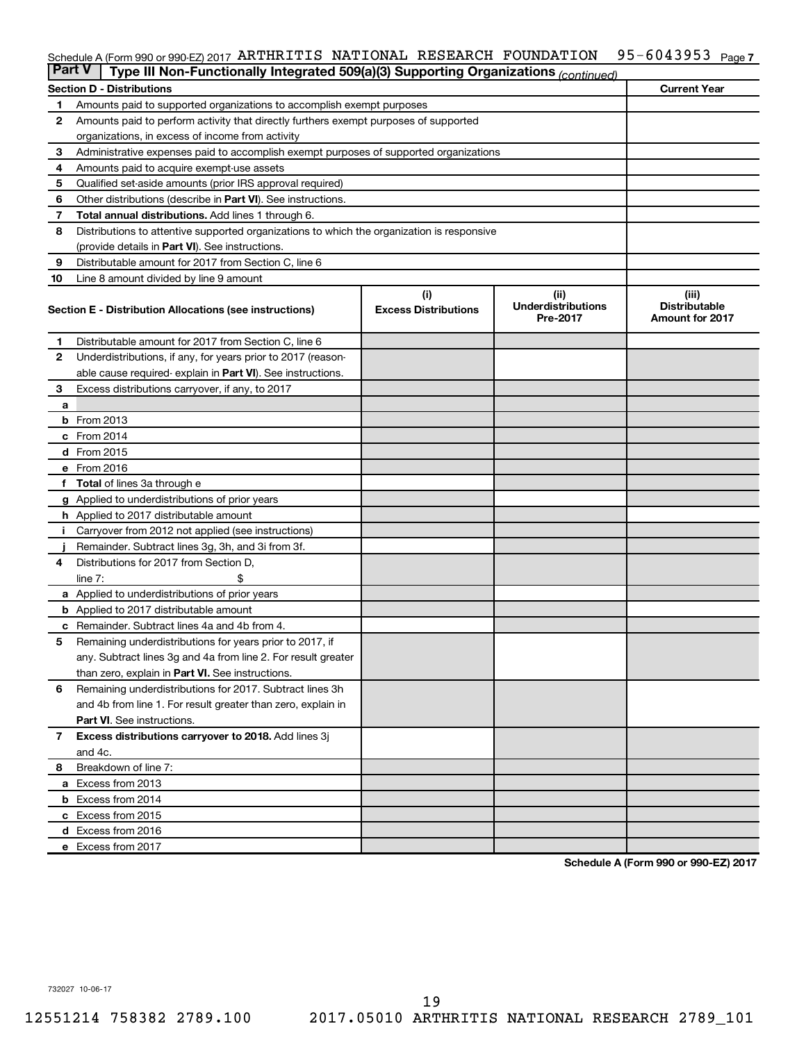#### 95-6043953 Page 7 Schedule A (Form 990 or 990-EZ) 2017 ARTHRITIS NATIONAL RESEARCH FOUNDATION 95-6043953 Page

| <b>Part V</b> | Type III Non-Functionally Integrated 509(a)(3) Supporting Organizations (continued)        |                             |                                       |                                                |
|---------------|--------------------------------------------------------------------------------------------|-----------------------------|---------------------------------------|------------------------------------------------|
|               | <b>Section D - Distributions</b>                                                           |                             |                                       | <b>Current Year</b>                            |
| 1             | Amounts paid to supported organizations to accomplish exempt purposes                      |                             |                                       |                                                |
| $\mathbf{2}$  | Amounts paid to perform activity that directly furthers exempt purposes of supported       |                             |                                       |                                                |
|               | organizations, in excess of income from activity                                           |                             |                                       |                                                |
| 3             | Administrative expenses paid to accomplish exempt purposes of supported organizations      |                             |                                       |                                                |
| 4             | Amounts paid to acquire exempt-use assets                                                  |                             |                                       |                                                |
| 5             | Qualified set-aside amounts (prior IRS approval required)                                  |                             |                                       |                                                |
| 6             | Other distributions (describe in <b>Part VI</b> ). See instructions.                       |                             |                                       |                                                |
| 7             | <b>Total annual distributions.</b> Add lines 1 through 6.                                  |                             |                                       |                                                |
| 8             | Distributions to attentive supported organizations to which the organization is responsive |                             |                                       |                                                |
|               | (provide details in Part VI). See instructions.                                            |                             |                                       |                                                |
| 9             | Distributable amount for 2017 from Section C, line 6                                       |                             |                                       |                                                |
| 10            | Line 8 amount divided by line 9 amount                                                     |                             |                                       |                                                |
|               |                                                                                            | (i)                         | (ii)                                  | (iii)                                          |
|               | Section E - Distribution Allocations (see instructions)                                    | <b>Excess Distributions</b> | <b>Underdistributions</b><br>Pre-2017 | <b>Distributable</b><br><b>Amount for 2017</b> |
| 1             | Distributable amount for 2017 from Section C, line 6                                       |                             |                                       |                                                |
| $\mathbf{2}$  | Underdistributions, if any, for years prior to 2017 (reason-                               |                             |                                       |                                                |
|               | able cause required- explain in Part VI). See instructions.                                |                             |                                       |                                                |
| 3             | Excess distributions carryover, if any, to 2017                                            |                             |                                       |                                                |
| a             |                                                                                            |                             |                                       |                                                |
|               | <b>b</b> From 2013                                                                         |                             |                                       |                                                |
|               | $c$ From 2014                                                                              |                             |                                       |                                                |
|               | d From 2015                                                                                |                             |                                       |                                                |
|               | e From 2016                                                                                |                             |                                       |                                                |
|               | f Total of lines 3a through e                                                              |                             |                                       |                                                |
|               | <b>g</b> Applied to underdistributions of prior years                                      |                             |                                       |                                                |
|               | <b>h</b> Applied to 2017 distributable amount                                              |                             |                                       |                                                |
| Ť.            | Carryover from 2012 not applied (see instructions)                                         |                             |                                       |                                                |
|               | Remainder. Subtract lines 3g, 3h, and 3i from 3f.                                          |                             |                                       |                                                |
| 4             | Distributions for 2017 from Section D,                                                     |                             |                                       |                                                |
|               | line $7:$                                                                                  |                             |                                       |                                                |
|               | a Applied to underdistributions of prior years                                             |                             |                                       |                                                |
|               | <b>b</b> Applied to 2017 distributable amount                                              |                             |                                       |                                                |
| с             | Remainder. Subtract lines 4a and 4b from 4.                                                |                             |                                       |                                                |
| 5             | Remaining underdistributions for years prior to 2017, if                                   |                             |                                       |                                                |
|               | any. Subtract lines 3g and 4a from line 2. For result greater                              |                             |                                       |                                                |
|               | than zero, explain in Part VI. See instructions.                                           |                             |                                       |                                                |
| 6             | Remaining underdistributions for 2017. Subtract lines 3h                                   |                             |                                       |                                                |
|               | and 4b from line 1. For result greater than zero, explain in                               |                             |                                       |                                                |
|               | <b>Part VI.</b> See instructions.                                                          |                             |                                       |                                                |
| $\mathbf{7}$  | Excess distributions carryover to 2018. Add lines 3j                                       |                             |                                       |                                                |
|               | and 4c.                                                                                    |                             |                                       |                                                |
| 8             | Breakdown of line 7:                                                                       |                             |                                       |                                                |
|               | a Excess from 2013                                                                         |                             |                                       |                                                |
|               | <b>b</b> Excess from 2014                                                                  |                             |                                       |                                                |
|               | c Excess from 2015                                                                         |                             |                                       |                                                |
|               | d Excess from 2016                                                                         |                             |                                       |                                                |
|               | e Excess from 2017                                                                         |                             |                                       |                                                |

**Schedule A (Form 990 or 990-EZ) 2017**

732027 10-06-17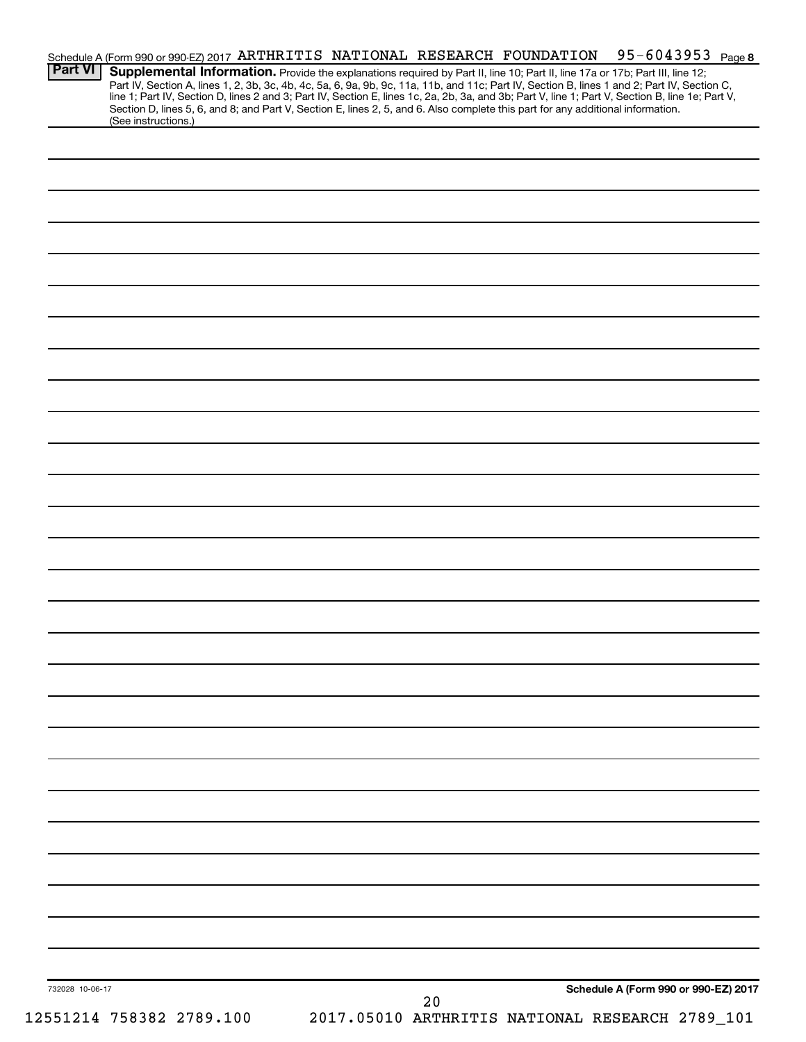| Schedule A (Form 990 or 990-EZ) 2017 ARTHRITIS NATIONAL RESEARCH FOUNDATION<br><b>Part VI</b><br>Supplemental Information. Provide the explanations required by Part II, line 10; Part II, line 17a or 17b; Part III, line 12;                                                                                                                                                                                                                             |    | 95-6043953 Page 8                               |
|------------------------------------------------------------------------------------------------------------------------------------------------------------------------------------------------------------------------------------------------------------------------------------------------------------------------------------------------------------------------------------------------------------------------------------------------------------|----|-------------------------------------------------|
| Part IV, Section A, lines 1, 2, 3b, 3c, 4b, 4c, 5a, 6, 9a, 9b, 9c, 11a, 11b, and 11c; Part IV, Section B, lines 1 and 2; Part IV, Section C,<br>line 1; Part IV, Section D, lines 2 and 3; Part IV, Section E, lines 1c, 2a, 2b, 3a, and 3b; Part V, line 1; Part V, Section B, line 1e; Part V,<br>Section D, lines 5, 6, and 8; and Part V, Section E, lines 2, 5, and 6. Also complete this part for any additional information.<br>(See instructions.) |    |                                                 |
|                                                                                                                                                                                                                                                                                                                                                                                                                                                            |    |                                                 |
|                                                                                                                                                                                                                                                                                                                                                                                                                                                            |    |                                                 |
|                                                                                                                                                                                                                                                                                                                                                                                                                                                            |    |                                                 |
|                                                                                                                                                                                                                                                                                                                                                                                                                                                            |    |                                                 |
|                                                                                                                                                                                                                                                                                                                                                                                                                                                            |    |                                                 |
|                                                                                                                                                                                                                                                                                                                                                                                                                                                            |    |                                                 |
|                                                                                                                                                                                                                                                                                                                                                                                                                                                            |    |                                                 |
|                                                                                                                                                                                                                                                                                                                                                                                                                                                            |    |                                                 |
|                                                                                                                                                                                                                                                                                                                                                                                                                                                            |    |                                                 |
|                                                                                                                                                                                                                                                                                                                                                                                                                                                            |    |                                                 |
|                                                                                                                                                                                                                                                                                                                                                                                                                                                            |    |                                                 |
|                                                                                                                                                                                                                                                                                                                                                                                                                                                            |    |                                                 |
|                                                                                                                                                                                                                                                                                                                                                                                                                                                            |    |                                                 |
|                                                                                                                                                                                                                                                                                                                                                                                                                                                            |    |                                                 |
|                                                                                                                                                                                                                                                                                                                                                                                                                                                            |    |                                                 |
|                                                                                                                                                                                                                                                                                                                                                                                                                                                            |    |                                                 |
|                                                                                                                                                                                                                                                                                                                                                                                                                                                            |    |                                                 |
|                                                                                                                                                                                                                                                                                                                                                                                                                                                            |    |                                                 |
|                                                                                                                                                                                                                                                                                                                                                                                                                                                            |    |                                                 |
|                                                                                                                                                                                                                                                                                                                                                                                                                                                            |    |                                                 |
|                                                                                                                                                                                                                                                                                                                                                                                                                                                            |    |                                                 |
|                                                                                                                                                                                                                                                                                                                                                                                                                                                            |    |                                                 |
|                                                                                                                                                                                                                                                                                                                                                                                                                                                            |    |                                                 |
|                                                                                                                                                                                                                                                                                                                                                                                                                                                            |    |                                                 |
|                                                                                                                                                                                                                                                                                                                                                                                                                                                            |    |                                                 |
|                                                                                                                                                                                                                                                                                                                                                                                                                                                            |    |                                                 |
|                                                                                                                                                                                                                                                                                                                                                                                                                                                            |    |                                                 |
|                                                                                                                                                                                                                                                                                                                                                                                                                                                            |    |                                                 |
|                                                                                                                                                                                                                                                                                                                                                                                                                                                            |    |                                                 |
| 732028 10-06-17                                                                                                                                                                                                                                                                                                                                                                                                                                            |    | Schedule A (Form 990 or 990-EZ) 2017            |
| 12551214 758382 2789.100                                                                                                                                                                                                                                                                                                                                                                                                                                   | 20 | 2017.05010 ARTHRITIS NATIONAL RESEARCH 2789_101 |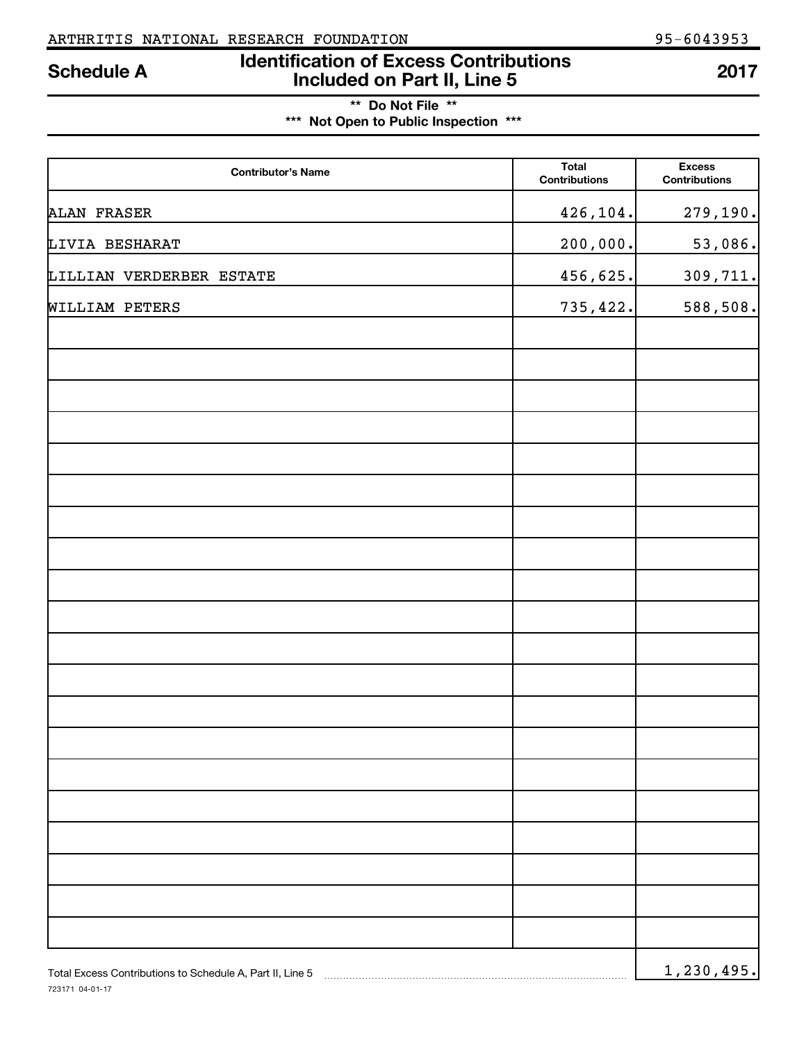# **Identification of Excess Contributions IDENTIFY Schedule A IDENTIFY Schedule A 100 Included on Part II, Line 5 2017**

| ** Do Not File **                     |  |
|---------------------------------------|--|
| *** Not Open to Public Inspection *** |  |

| <b>Contributor's Name</b>                                 | <b>Total</b><br><b>Contributions</b> | <b>Excess</b><br><b>Contributions</b> |
|-----------------------------------------------------------|--------------------------------------|---------------------------------------|
| <b>ALAN FRASER</b>                                        | 426,104.                             | 279,190.                              |
| LIVIA BESHARAT                                            | 200,000.                             | 53,086.                               |
| LILLIAN VERDERBER ESTATE                                  | 456,625.                             | 309,711.                              |
| <b>WILLIAM PETERS</b>                                     | 735,422.                             | 588,508.                              |
|                                                           |                                      |                                       |
|                                                           |                                      |                                       |
|                                                           |                                      |                                       |
|                                                           |                                      |                                       |
|                                                           |                                      |                                       |
|                                                           |                                      |                                       |
|                                                           |                                      |                                       |
|                                                           |                                      |                                       |
|                                                           |                                      |                                       |
|                                                           |                                      |                                       |
|                                                           |                                      |                                       |
|                                                           |                                      |                                       |
|                                                           |                                      |                                       |
|                                                           |                                      |                                       |
|                                                           |                                      |                                       |
|                                                           |                                      |                                       |
|                                                           |                                      |                                       |
|                                                           |                                      |                                       |
|                                                           |                                      |                                       |
|                                                           |                                      |                                       |
| Total Excess Contributions to Schedule A, Part II, Line 5 |                                      | 1, 230, 495.                          |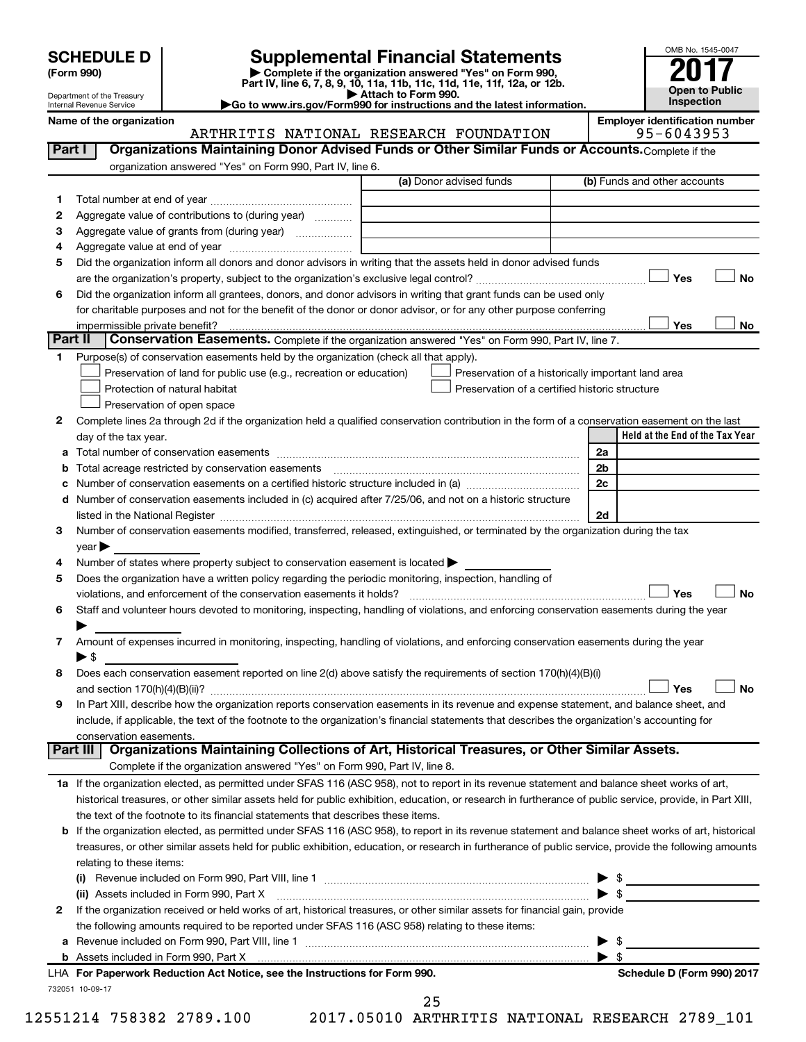| <b>SCHEDULE D</b> |  |  |
|-------------------|--|--|
|-------------------|--|--|

**(Form 990) | Complete if the organization answered "Yes" on Form 990, Part IV, line 6, 7, 8, 9, 10, 11a, 11b, 11c, 11d, 11e, 11f, 12a, or 12b. SCHEDULE D Supplemental Financial Statements**<br> **Form 990 2017**<br> **Part IV** line 6.7.8.9.10, 11a, 11b, 11d, 11d, 11d, 11d, 11d, 12a, 0r, 12b

**| Attach to Form 990. |Go to www.irs.gov/Form990 for instructions and the latest information.**



Department of the Treasury Internal Revenue Service

Name of the organization<br>**ARTHRITIS NATIONAL RESEARCH FOUNDATION** 95-6043953 ARTHRITIS NATIONAL RESEARCH FOUNDATION

| Part I  | Organizations Maintaining Donor Advised Funds or Other Similar Funds or Accounts. Complete if the                                                                                                                             |                                                    |                         |                                 |
|---------|-------------------------------------------------------------------------------------------------------------------------------------------------------------------------------------------------------------------------------|----------------------------------------------------|-------------------------|---------------------------------|
|         | organization answered "Yes" on Form 990, Part IV, line 6.                                                                                                                                                                     | (a) Donor advised funds                            |                         |                                 |
|         |                                                                                                                                                                                                                               |                                                    |                         | (b) Funds and other accounts    |
| 1.      |                                                                                                                                                                                                                               |                                                    |                         |                                 |
| 2       | Aggregate value of contributions to (during year)                                                                                                                                                                             |                                                    |                         |                                 |
| з       | Aggregate value of grants from (during year)                                                                                                                                                                                  |                                                    |                         |                                 |
| 4       |                                                                                                                                                                                                                               |                                                    |                         |                                 |
| 5       | Did the organization inform all donors and donor advisors in writing that the assets held in donor advised funds                                                                                                              |                                                    |                         |                                 |
|         |                                                                                                                                                                                                                               |                                                    |                         | Yes<br>No                       |
| 6       | Did the organization inform all grantees, donors, and donor advisors in writing that grant funds can be used only                                                                                                             |                                                    |                         |                                 |
|         | for charitable purposes and not for the benefit of the donor or donor advisor, or for any other purpose conferring                                                                                                            |                                                    |                         | Yes                             |
| Part II | Conservation Easements. Complete if the organization answered "Yes" on Form 990, Part IV, line 7.                                                                                                                             |                                                    |                         | <b>No</b>                       |
| 1       | Purpose(s) of conservation easements held by the organization (check all that apply).                                                                                                                                         |                                                    |                         |                                 |
|         | Preservation of land for public use (e.g., recreation or education)                                                                                                                                                           | Preservation of a historically important land area |                         |                                 |
|         | Protection of natural habitat                                                                                                                                                                                                 | Preservation of a certified historic structure     |                         |                                 |
|         | Preservation of open space                                                                                                                                                                                                    |                                                    |                         |                                 |
|         |                                                                                                                                                                                                                               |                                                    |                         |                                 |
| 2       | Complete lines 2a through 2d if the organization held a qualified conservation contribution in the form of a conservation easement on the last<br>day of the tax year.                                                        |                                                    |                         | Held at the End of the Tax Year |
| а       |                                                                                                                                                                                                                               |                                                    | 2a                      |                                 |
|         |                                                                                                                                                                                                                               |                                                    | 2 <sub>b</sub>          |                                 |
| b<br>с  |                                                                                                                                                                                                                               |                                                    | 2c                      |                                 |
| d       | Number of conservation easements included in (c) acquired after 7/25/06, and not on a historic structure                                                                                                                      |                                                    |                         |                                 |
|         | listed in the National Register [11, 1200] and the National Register [11, 1200] and the National Register [11, 1200] and the National Register [11, 1200] and the National Register [11, 1200] and the National Register [11, |                                                    | 2d                      |                                 |
| 3       | Number of conservation easements modified, transferred, released, extinguished, or terminated by the organization during the tax                                                                                              |                                                    |                         |                                 |
|         | year                                                                                                                                                                                                                          |                                                    |                         |                                 |
| 4       | Number of states where property subject to conservation easement is located >                                                                                                                                                 |                                                    |                         |                                 |
| 5       | Does the organization have a written policy regarding the periodic monitoring, inspection, handling of                                                                                                                        |                                                    |                         |                                 |
|         | violations, and enforcement of the conservation easements it holds?                                                                                                                                                           |                                                    |                         | Yes<br><b>No</b>                |
| 6       | Staff and volunteer hours devoted to monitoring, inspecting, handling of violations, and enforcing conservation easements during the year                                                                                     |                                                    |                         |                                 |
|         |                                                                                                                                                                                                                               |                                                    |                         |                                 |
| 7       | Amount of expenses incurred in monitoring, inspecting, handling of violations, and enforcing conservation easements during the year                                                                                           |                                                    |                         |                                 |
|         | $\blacktriangleright$ \$                                                                                                                                                                                                      |                                                    |                         |                                 |
| 8       | Does each conservation easement reported on line 2(d) above satisfy the requirements of section 170(h)(4)(B)(i)                                                                                                               |                                                    |                         |                                 |
|         |                                                                                                                                                                                                                               |                                                    |                         | <b>No</b><br>Yes                |
| 9       | In Part XIII, describe how the organization reports conservation easements in its revenue and expense statement, and balance sheet, and                                                                                       |                                                    |                         |                                 |
|         | include, if applicable, the text of the footnote to the organization's financial statements that describes the organization's accounting for                                                                                  |                                                    |                         |                                 |
|         | conservation easements.                                                                                                                                                                                                       |                                                    |                         |                                 |
|         | Organizations Maintaining Collections of Art, Historical Treasures, or Other Similar Assets.<br>Part III                                                                                                                      |                                                    |                         |                                 |
|         | Complete if the organization answered "Yes" on Form 990, Part IV, line 8.                                                                                                                                                     |                                                    |                         |                                 |
|         | 1a If the organization elected, as permitted under SFAS 116 (ASC 958), not to report in its revenue statement and balance sheet works of art,                                                                                 |                                                    |                         |                                 |
|         | historical treasures, or other similar assets held for public exhibition, education, or research in furtherance of public service, provide, in Part XIII,                                                                     |                                                    |                         |                                 |
|         | the text of the footnote to its financial statements that describes these items.                                                                                                                                              |                                                    |                         |                                 |
| b       | If the organization elected, as permitted under SFAS 116 (ASC 958), to report in its revenue statement and balance sheet works of art, historical                                                                             |                                                    |                         |                                 |
|         | treasures, or other similar assets held for public exhibition, education, or research in furtherance of public service, provide the following amounts                                                                         |                                                    |                         |                                 |
|         | relating to these items:                                                                                                                                                                                                      |                                                    |                         |                                 |
|         |                                                                                                                                                                                                                               |                                                    |                         | $\triangleright$ \$             |
|         | (ii) Assets included in Form 990, Part X                                                                                                                                                                                      |                                                    |                         | $\triangleright$ \$             |
| 2       | If the organization received or held works of art, historical treasures, or other similar assets for financial gain, provide                                                                                                  |                                                    |                         |                                 |
|         | the following amounts required to be reported under SFAS 116 (ASC 958) relating to these items:                                                                                                                               |                                                    |                         |                                 |
| а       |                                                                                                                                                                                                                               |                                                    |                         | \$                              |
|         |                                                                                                                                                                                                                               |                                                    | $\blacktriangleright$ s |                                 |
|         | LHA For Paperwork Reduction Act Notice, see the Instructions for Form 990.                                                                                                                                                    |                                                    |                         | Schedule D (Form 990) 2017      |
|         | 732051 10-09-17                                                                                                                                                                                                               |                                                    |                         |                                 |

12551214 758382 2789.100 2017.05010 ARTHRITIS NATIONAL RESEARCH 2789\_101

25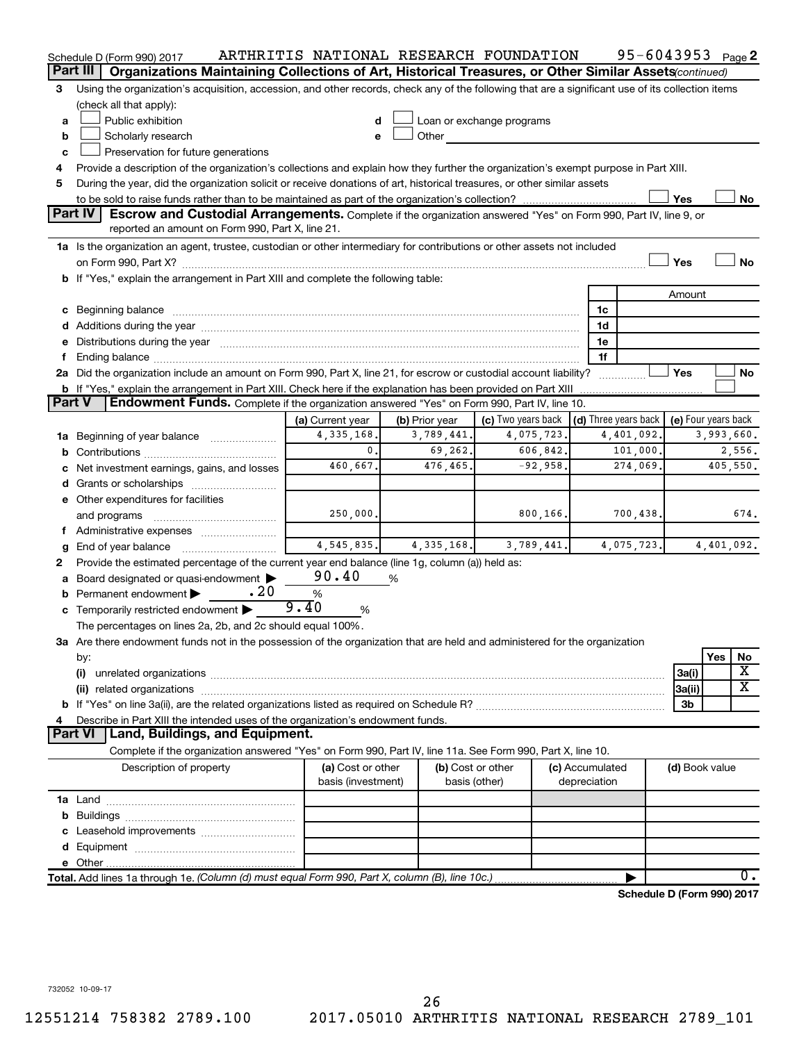|        | Schedule D (Form 990) 2017                                                                                                                                                            |                    |                | ARTHRITIS NATIONAL RESEARCH FOUNDATION |                 | 95-6043953 <sub>Page</sub> 2         |                     |            |               |
|--------|---------------------------------------------------------------------------------------------------------------------------------------------------------------------------------------|--------------------|----------------|----------------------------------------|-----------------|--------------------------------------|---------------------|------------|---------------|
|        | Part III<br>Organizations Maintaining Collections of Art, Historical Treasures, or Other Similar Assets (continued)                                                                   |                    |                |                                        |                 |                                      |                     |            |               |
| 3      | Using the organization's acquisition, accession, and other records, check any of the following that are a significant use of its collection items                                     |                    |                |                                        |                 |                                      |                     |            |               |
|        | (check all that apply):                                                                                                                                                               |                    |                |                                        |                 |                                      |                     |            |               |
| a      | Public exhibition                                                                                                                                                                     |                    |                | Loan or exchange programs              |                 |                                      |                     |            |               |
| b      | Scholarly research                                                                                                                                                                    |                    | Other          |                                        |                 |                                      |                     |            |               |
| C      | Preservation for future generations                                                                                                                                                   |                    |                |                                        |                 |                                      |                     |            |               |
| 4      | Provide a description of the organization's collections and explain how they further the organization's exempt purpose in Part XIII.                                                  |                    |                |                                        |                 |                                      |                     |            |               |
| 5      | During the year, did the organization solicit or receive donations of art, historical treasures, or other similar assets                                                              |                    |                |                                        |                 |                                      |                     |            |               |
|        |                                                                                                                                                                                       |                    |                |                                        |                 |                                      | Yes                 |            | No            |
|        | <b>Part IV</b><br>Escrow and Custodial Arrangements. Complete if the organization answered "Yes" on Form 990, Part IV, line 9, or<br>reported an amount on Form 990, Part X, line 21. |                    |                |                                        |                 |                                      |                     |            |               |
|        | 1a Is the organization an agent, trustee, custodian or other intermediary for contributions or other assets not included                                                              |                    |                |                                        |                 |                                      |                     |            |               |
|        |                                                                                                                                                                                       |                    |                |                                        |                 |                                      | Yes                 |            | No            |
|        | <b>b</b> If "Yes," explain the arrangement in Part XIII and complete the following table:                                                                                             |                    |                |                                        |                 |                                      |                     |            |               |
|        |                                                                                                                                                                                       |                    |                |                                        |                 |                                      | Amount              |            |               |
|        | c Beginning balance                                                                                                                                                                   |                    |                |                                        | 1c              |                                      |                     |            |               |
|        |                                                                                                                                                                                       |                    |                |                                        | 1d              |                                      |                     |            |               |
|        | e Distributions during the year manufactured and continuum and contract the year manufactured and contract the                                                                        |                    |                |                                        | 1e              |                                      |                     |            |               |
|        |                                                                                                                                                                                       |                    |                |                                        | 1f              |                                      |                     |            |               |
|        | 2a Did the organization include an amount on Form 990, Part X, line 21, for escrow or custodial account liability?                                                                    |                    |                |                                        |                 |                                      | Yes                 |            | No            |
|        | <b>b</b> If "Yes," explain the arrangement in Part XIII. Check here if the explanation has been provided on Part XIII                                                                 |                    |                |                                        |                 |                                      |                     |            |               |
| Part V | Endowment Funds. Complete if the organization answered "Yes" on Form 990, Part IV, line 10.                                                                                           |                    |                |                                        |                 |                                      |                     |            |               |
|        |                                                                                                                                                                                       | (a) Current year   | (b) Prior year | (c) Two years back                     |                 | $\vert$ (d) Three years back $\vert$ | (e) Four years back |            |               |
|        | 1a Beginning of year balance                                                                                                                                                          | 4, 335, 168.       | 3,789,441.     | 4,075,723.                             |                 | 4,401,092.                           |                     | 3,993,660. |               |
| b      |                                                                                                                                                                                       | $\mathbf{0}$ .     | 69,262.        | 606,842.                               |                 | 101,000.                             |                     |            | 2,556.        |
|        | Net investment earnings, gains, and losses                                                                                                                                            | 460,667.           | 476,465.       | $-92,958.$                             |                 | 274,069.                             |                     |            | 405,550.      |
|        | Grants or scholarships                                                                                                                                                                |                    |                |                                        |                 |                                      |                     |            |               |
|        | e Other expenditures for facilities                                                                                                                                                   |                    |                |                                        |                 |                                      |                     |            |               |
|        | and programs                                                                                                                                                                          | 250,000.           |                | 800,166.                               |                 | 700,438.                             |                     |            | 674.          |
|        | Administrative expenses                                                                                                                                                               |                    |                |                                        |                 |                                      |                     |            |               |
|        | End of year balance                                                                                                                                                                   | 4, 545, 835.       | 4, 335, 168.   | 3,789,441.                             |                 | 4,075,723.                           |                     | 4,401,092. |               |
| 2      | Provide the estimated percentage of the current year end balance (line 1g, column (a)) held as:                                                                                       |                    |                |                                        |                 |                                      |                     |            |               |
|        | Board designated or quasi-endowment                                                                                                                                                   | 90.40              | %              |                                        |                 |                                      |                     |            |               |
| b      | .20<br>Permanent endowment                                                                                                                                                            | $\%$               |                |                                        |                 |                                      |                     |            |               |
|        | c Temporarily restricted endowment $\blacktriangleright$                                                                                                                              | 9.40<br>%          |                |                                        |                 |                                      |                     |            |               |
|        | The percentages on lines 2a, 2b, and 2c should equal 100%.                                                                                                                            |                    |                |                                        |                 |                                      |                     |            |               |
|        | ${\bf 3a}$ Are there endowment funds not in the possession of the organization that are held and administered for the organization                                                    |                    |                |                                        |                 |                                      |                     |            |               |
|        | by:                                                                                                                                                                                   |                    |                |                                        |                 |                                      |                     | Yes        | No            |
|        | (i)                                                                                                                                                                                   |                    |                |                                        |                 |                                      | 3a(i)               |            | х             |
|        |                                                                                                                                                                                       |                    |                |                                        |                 |                                      | 3a(ii)              |            | х             |
|        |                                                                                                                                                                                       |                    |                |                                        |                 |                                      | 3b                  |            |               |
|        | Describe in Part XIII the intended uses of the organization's endowment funds.                                                                                                        |                    |                |                                        |                 |                                      |                     |            |               |
|        | Land, Buildings, and Equipment.<br><b>Part VI</b>                                                                                                                                     |                    |                |                                        |                 |                                      |                     |            |               |
|        | Complete if the organization answered "Yes" on Form 990, Part IV, line 11a. See Form 990, Part X, line 10.                                                                            |                    |                |                                        |                 |                                      |                     |            |               |
|        | Description of property                                                                                                                                                               | (a) Cost or other  |                | (b) Cost or other                      | (c) Accumulated |                                      | (d) Book value      |            |               |
|        |                                                                                                                                                                                       | basis (investment) |                | basis (other)                          | depreciation    |                                      |                     |            |               |
|        |                                                                                                                                                                                       |                    |                |                                        |                 |                                      |                     |            |               |
| b      |                                                                                                                                                                                       |                    |                |                                        |                 |                                      |                     |            |               |
|        |                                                                                                                                                                                       |                    |                |                                        |                 |                                      |                     |            |               |
|        |                                                                                                                                                                                       |                    |                |                                        |                 |                                      |                     |            |               |
|        |                                                                                                                                                                                       |                    |                |                                        |                 |                                      |                     |            | $\mathbf 0$ . |
|        | Total. Add lines 1a through 1e. (Column (d) must equal Form 990, Part X, column (B), line 10c.)                                                                                       |                    |                |                                        |                 |                                      |                     |            |               |
|        |                                                                                                                                                                                       |                    |                |                                        |                 | Schedule D (Form 990) 2017           |                     |            |               |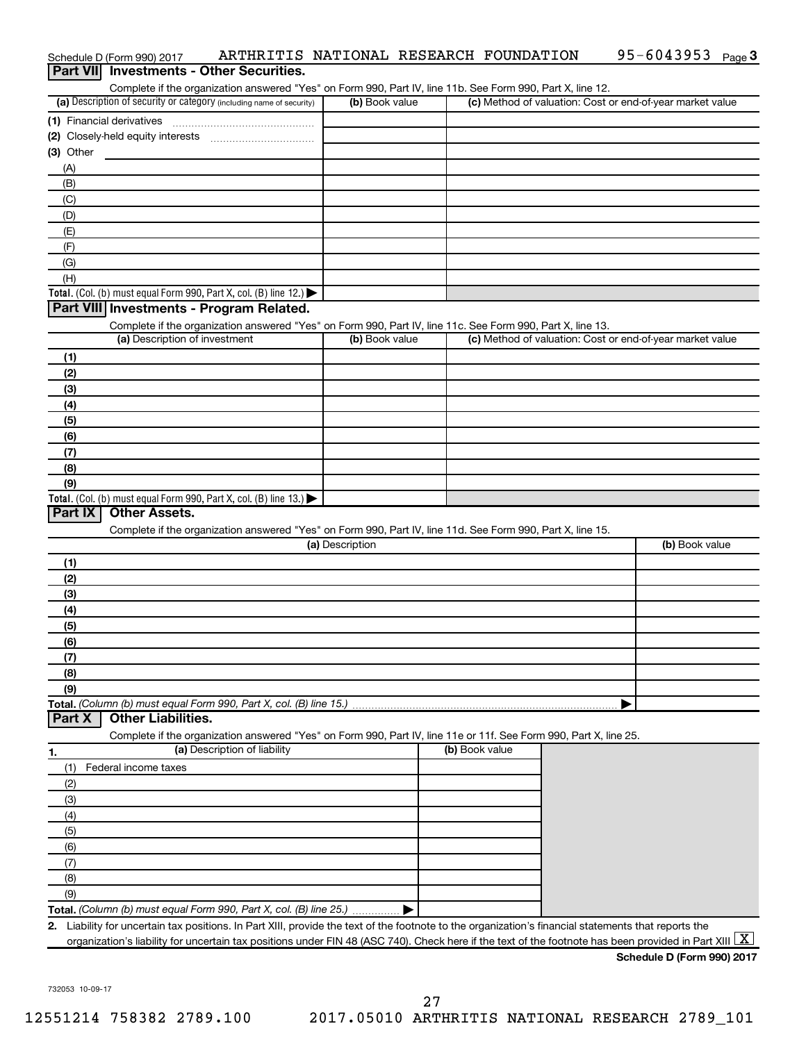|                                                                                                                                                                                                                                                                                                                  | Complete if the organization answered "Yes" on Form 990, Part IV, line 11b. See Form 990, Part X, line 12. |                |                                                           |
|------------------------------------------------------------------------------------------------------------------------------------------------------------------------------------------------------------------------------------------------------------------------------------------------------------------|------------------------------------------------------------------------------------------------------------|----------------|-----------------------------------------------------------|
| (a) Description of security or category (including name of security)                                                                                                                                                                                                                                             | (b) Book value                                                                                             |                | (c) Method of valuation: Cost or end-of-year market value |
| (1) Financial derivatives                                                                                                                                                                                                                                                                                        |                                                                                                            |                |                                                           |
|                                                                                                                                                                                                                                                                                                                  |                                                                                                            |                |                                                           |
| $(3)$ Other                                                                                                                                                                                                                                                                                                      |                                                                                                            |                |                                                           |
| (A)                                                                                                                                                                                                                                                                                                              |                                                                                                            |                |                                                           |
| (B)                                                                                                                                                                                                                                                                                                              |                                                                                                            |                |                                                           |
| (C)                                                                                                                                                                                                                                                                                                              |                                                                                                            |                |                                                           |
| (D)                                                                                                                                                                                                                                                                                                              |                                                                                                            |                |                                                           |
| (E)                                                                                                                                                                                                                                                                                                              |                                                                                                            |                |                                                           |
| (F)                                                                                                                                                                                                                                                                                                              |                                                                                                            |                |                                                           |
| (G)                                                                                                                                                                                                                                                                                                              |                                                                                                            |                |                                                           |
| (H)                                                                                                                                                                                                                                                                                                              |                                                                                                            |                |                                                           |
| Total. (Col. (b) must equal Form 990, Part X, col. (B) line 12.) $\blacktriangleright$                                                                                                                                                                                                                           |                                                                                                            |                |                                                           |
| Part VIII Investments - Program Related.                                                                                                                                                                                                                                                                         |                                                                                                            |                |                                                           |
| Complete if the organization answered "Yes" on Form 990, Part IV, line 11c. See Form 990, Part X, line 13.                                                                                                                                                                                                       |                                                                                                            |                |                                                           |
| (a) Description of investment                                                                                                                                                                                                                                                                                    | (b) Book value                                                                                             |                | (c) Method of valuation: Cost or end-of-year market value |
| (1)                                                                                                                                                                                                                                                                                                              |                                                                                                            |                |                                                           |
| (2)                                                                                                                                                                                                                                                                                                              |                                                                                                            |                |                                                           |
| (3)                                                                                                                                                                                                                                                                                                              |                                                                                                            |                |                                                           |
| (4)                                                                                                                                                                                                                                                                                                              |                                                                                                            |                |                                                           |
| (5)                                                                                                                                                                                                                                                                                                              |                                                                                                            |                |                                                           |
| (6)                                                                                                                                                                                                                                                                                                              |                                                                                                            |                |                                                           |
| (7)                                                                                                                                                                                                                                                                                                              |                                                                                                            |                |                                                           |
| (8)                                                                                                                                                                                                                                                                                                              |                                                                                                            |                |                                                           |
| (9)                                                                                                                                                                                                                                                                                                              |                                                                                                            |                |                                                           |
| Total. (Col. (b) must equal Form 990, Part X, col. (B) line 13.) $\blacktriangleright$                                                                                                                                                                                                                           |                                                                                                            |                |                                                           |
| Part IX<br><b>Other Assets.</b>                                                                                                                                                                                                                                                                                  |                                                                                                            |                |                                                           |
| Complete if the organization answered "Yes" on Form 990, Part IV, line 11d. See Form 990, Part X, line 15.                                                                                                                                                                                                       |                                                                                                            |                |                                                           |
|                                                                                                                                                                                                                                                                                                                  |                                                                                                            |                |                                                           |
|                                                                                                                                                                                                                                                                                                                  | (a) Description                                                                                            |                | (b) Book value                                            |
| (1)                                                                                                                                                                                                                                                                                                              |                                                                                                            |                |                                                           |
| (2)                                                                                                                                                                                                                                                                                                              |                                                                                                            |                |                                                           |
| (3)                                                                                                                                                                                                                                                                                                              |                                                                                                            |                |                                                           |
| (4)                                                                                                                                                                                                                                                                                                              |                                                                                                            |                |                                                           |
| (5)                                                                                                                                                                                                                                                                                                              |                                                                                                            |                |                                                           |
| (6)                                                                                                                                                                                                                                                                                                              |                                                                                                            |                |                                                           |
| (7)                                                                                                                                                                                                                                                                                                              |                                                                                                            |                |                                                           |
| (8)                                                                                                                                                                                                                                                                                                              |                                                                                                            |                |                                                           |
| (9)                                                                                                                                                                                                                                                                                                              |                                                                                                            |                |                                                           |
|                                                                                                                                                                                                                                                                                                                  |                                                                                                            |                | ▶                                                         |
| <b>Other Liabilities.</b>                                                                                                                                                                                                                                                                                        |                                                                                                            |                |                                                           |
| Complete if the organization answered "Yes" on Form 990, Part IV, line 11e or 11f. See Form 990, Part X, line 25.                                                                                                                                                                                                |                                                                                                            |                |                                                           |
| (a) Description of liability                                                                                                                                                                                                                                                                                     |                                                                                                            | (b) Book value |                                                           |
| (1)<br>Federal income taxes                                                                                                                                                                                                                                                                                      |                                                                                                            |                |                                                           |
| (2)                                                                                                                                                                                                                                                                                                              |                                                                                                            |                |                                                           |
| (3)                                                                                                                                                                                                                                                                                                              |                                                                                                            |                |                                                           |
| (4)                                                                                                                                                                                                                                                                                                              |                                                                                                            |                |                                                           |
| (5)                                                                                                                                                                                                                                                                                                              |                                                                                                            |                |                                                           |
| Total. (Column (b) must equal Form 990, Part X, col. (B) line 15.)<br>Part X<br>(6)                                                                                                                                                                                                                              |                                                                                                            |                |                                                           |
| (7)                                                                                                                                                                                                                                                                                                              |                                                                                                            |                |                                                           |
| (8)                                                                                                                                                                                                                                                                                                              |                                                                                                            |                |                                                           |
| (9)                                                                                                                                                                                                                                                                                                              |                                                                                                            |                |                                                           |
| Total. (Column (b) must equal Form 990, Part X, col. (B) line 25.)                                                                                                                                                                                                                                               |                                                                                                            |                |                                                           |
| 2. Liability for uncertain tax positions. In Part XIII, provide the text of the footnote to the organization's financial statements that reports the<br>organization's liability for uncertain tax positions under FIN 48 (ASC 740). Check here if the text of the footnote has been provided in Part XIII $ X $ |                                                                                                            |                |                                                           |

Schedule D (Form 990) 2017 ARTHRITIS NATIONAL RESEARCH FOUNDATION 95-6043953 Page

95-6043953 Page 3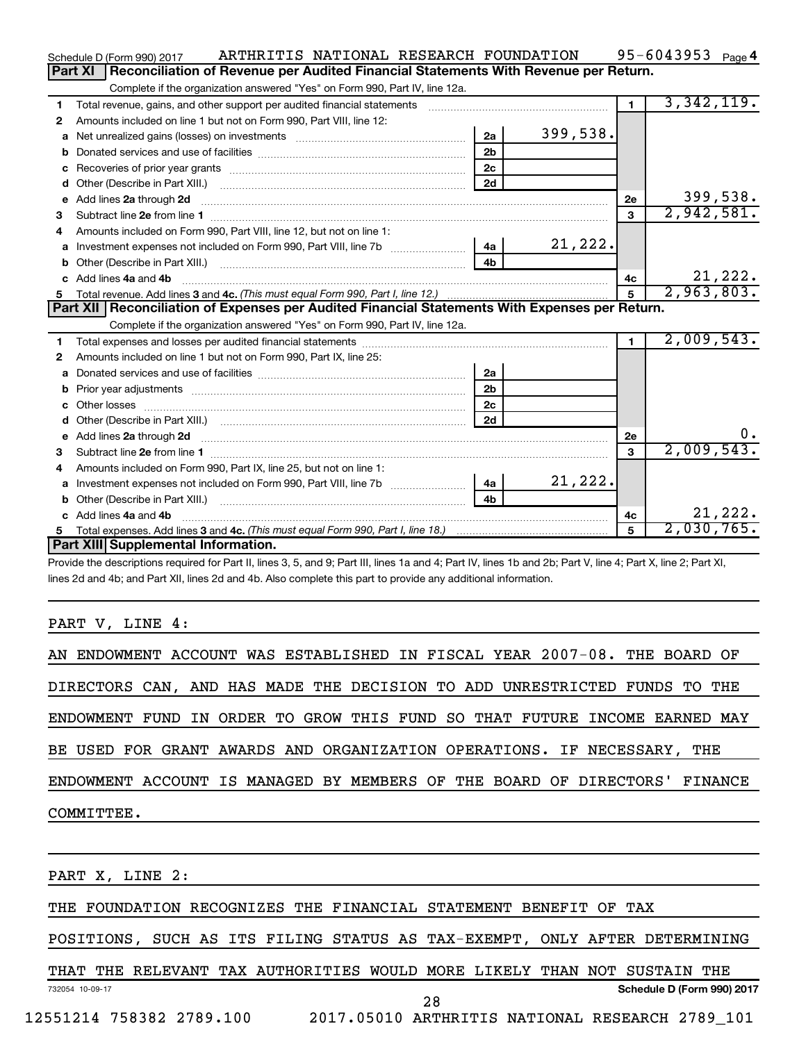|    | ARTHRITIS NATIONAL RESEARCH FOUNDATION<br>Schedule D (Form 990) 2017                                                                                                                                                                |                |          |                | 95-6043953 $_{Page 4}$ |
|----|-------------------------------------------------------------------------------------------------------------------------------------------------------------------------------------------------------------------------------------|----------------|----------|----------------|------------------------|
|    | Reconciliation of Revenue per Audited Financial Statements With Revenue per Return.<br>Part XI                                                                                                                                      |                |          |                |                        |
|    | Complete if the organization answered "Yes" on Form 990, Part IV, line 12a.                                                                                                                                                         |                |          |                |                        |
| 1  | Total revenue, gains, and other support per audited financial statements                                                                                                                                                            |                |          | $\blacksquare$ | 3,342,119.             |
| 2  | Amounts included on line 1 but not on Form 990, Part VIII, line 12:                                                                                                                                                                 |                |          |                |                        |
| a  |                                                                                                                                                                                                                                     | 2a             | 399,538. |                |                        |
| b  |                                                                                                                                                                                                                                     | 2 <sub>b</sub> |          |                |                        |
| с  |                                                                                                                                                                                                                                     | 2 <sub>c</sub> |          |                |                        |
| d  |                                                                                                                                                                                                                                     | 2d             |          |                |                        |
| е  | Add lines 2a through 2d                                                                                                                                                                                                             |                |          | 2е             | 399,538.               |
| 3  |                                                                                                                                                                                                                                     |                |          | 3              | 2,942,581.             |
| 4  | Amounts included on Form 990, Part VIII, line 12, but not on line 1:                                                                                                                                                                |                |          |                |                        |
| a  |                                                                                                                                                                                                                                     |                | 21, 222. |                |                        |
| b  |                                                                                                                                                                                                                                     | 4 <sub>b</sub> |          |                |                        |
| C. | Add lines 4a and 4b                                                                                                                                                                                                                 |                |          | 4c             | 21,222.                |
|    |                                                                                                                                                                                                                                     |                | 5        | 2,963,803.     |                        |
|    |                                                                                                                                                                                                                                     |                |          |                |                        |
|    | Part XII   Reconciliation of Expenses per Audited Financial Statements With Expenses per Return.                                                                                                                                    |                |          |                |                        |
|    | Complete if the organization answered "Yes" on Form 990, Part IV, line 12a.                                                                                                                                                         |                |          |                |                        |
| 1  |                                                                                                                                                                                                                                     |                |          | $\mathbf{1}$   | 2,009,543.             |
| 2  | Amounts included on line 1 but not on Form 990, Part IX, line 25:                                                                                                                                                                   |                |          |                |                        |
| a  |                                                                                                                                                                                                                                     | 2a             |          |                |                        |
| b  |                                                                                                                                                                                                                                     | 2 <sub>b</sub> |          |                |                        |
| c  |                                                                                                                                                                                                                                     | 2 <sub>c</sub> |          |                |                        |
| d  |                                                                                                                                                                                                                                     | 2d             |          |                |                        |
| е  | Add lines 2a through 2d <b>contained a contained a contained a contained a</b> contained a contained a contained a contained a contained a contained a contained a contained a contained a contained a contained a contained a cont |                |          | <b>2e</b>      | 0.                     |
| 3  |                                                                                                                                                                                                                                     |                |          | 3              | 2,009,543.             |
| 4  | Amounts included on Form 990, Part IX, line 25, but not on line 1:                                                                                                                                                                  |                |          |                |                        |
| a  |                                                                                                                                                                                                                                     | - 4a l         | 21,222.  |                |                        |
| b  |                                                                                                                                                                                                                                     | 4b             |          |                |                        |
| C. | Add lines 4a and 4b                                                                                                                                                                                                                 |                |          | 4c             | 21,222.                |
|    | Part XIII Supplemental Information.                                                                                                                                                                                                 |                |          | 5              | 2,030,765.             |

Provide the descriptions required for Part II, lines 3, 5, and 9; Part III, lines 1a and 4; Part IV, lines 1b and 2b; Part V, line 4; Part X, line 2; Part XI, lines 2d and 4b; and Part XII, lines 2d and 4b. Also complete this part to provide any additional information.

### PART V, LINE 4:

| AN ENDOWMENT ACCOUNT WAS ESTABLISHED IN FISCAL YEAR 2007-08. THE BOARD OF  |
|----------------------------------------------------------------------------|
| DIRECTORS CAN, AND HAS MADE THE DECISION TO ADD UNRESTRICTED FUNDS TO THE  |
| ENDOWMENT FUND IN ORDER TO GROW THIS FUND SO THAT FUTURE INCOME EARNED MAY |
| BE USED FOR GRANT AWARDS AND ORGANIZATION OPERATIONS. IF NECESSARY, THE    |
| ENDOWMENT ACCOUNT IS MANAGED BY MEMBERS OF THE BOARD OF DIRECTORS' FINANCE |
| COMMITTEE.                                                                 |
|                                                                            |
| PART X, LINE 2:                                                            |
| THE FOUNDATION RECOGNIZES THE FINANCIAL STATEMENT BENEFIT OF TAX           |

POSITIONS, SUCH AS ITS FILING STATUS AS TAX-EXEMPT, ONLY AFTER DETERMINING

732054 10-09-17 **Schedule D (Form 990) 2017** THAT THE RELEVANT TAX AUTHORITIES WOULD MORE LIKELY THAN NOT SUSTAIN THE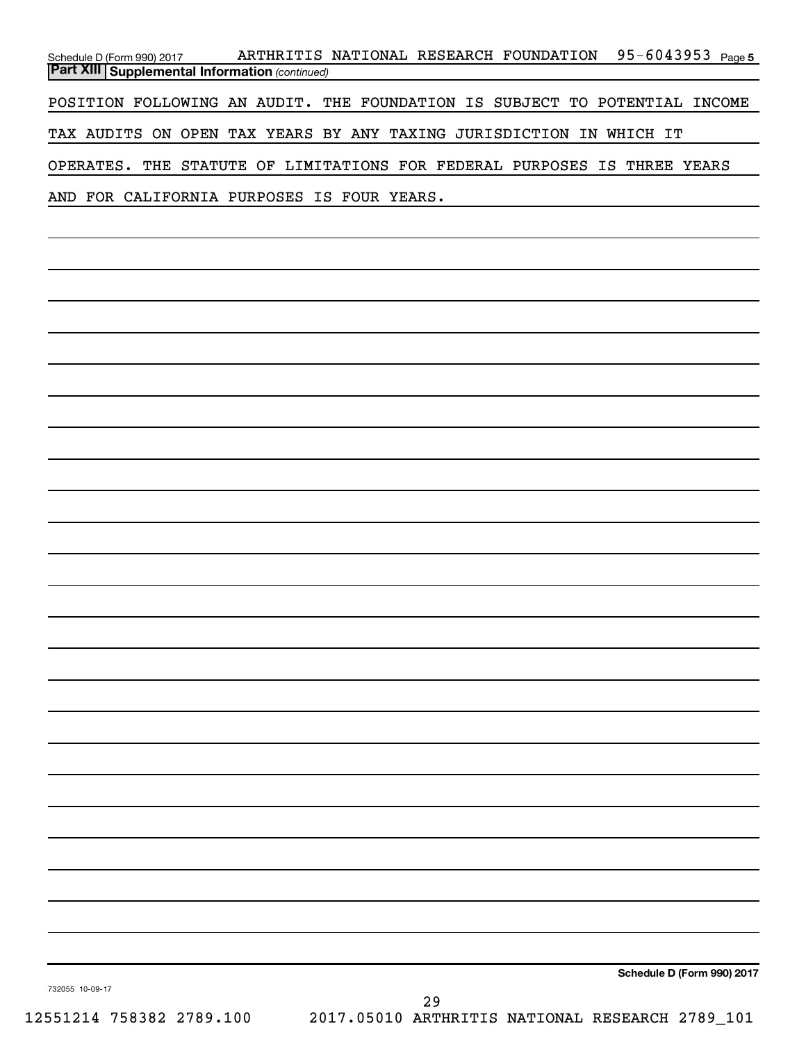| Schedule D (Form 990) 2017                              | 95-6043953 <sub>Page 5</sub><br>ARTHRITIS NATIONAL RESEARCH FOUNDATION     |
|---------------------------------------------------------|----------------------------------------------------------------------------|
| <b>Part XIII   Supplemental Information (continued)</b> |                                                                            |
|                                                         | POSITION FOLLOWING AN AUDIT. THE FOUNDATION IS SUBJECT TO POTENTIAL INCOME |
|                                                         | TAX AUDITS ON OPEN TAX YEARS BY ANY TAXING JURISDICTION IN WHICH IT        |
|                                                         | OPERATES. THE STATUTE OF LIMITATIONS FOR FEDERAL PURPOSES IS THREE YEARS   |
|                                                         | AND FOR CALIFORNIA PURPOSES IS FOUR YEARS.                                 |

**Schedule D (Form 990) 2017**

732055 10-09-17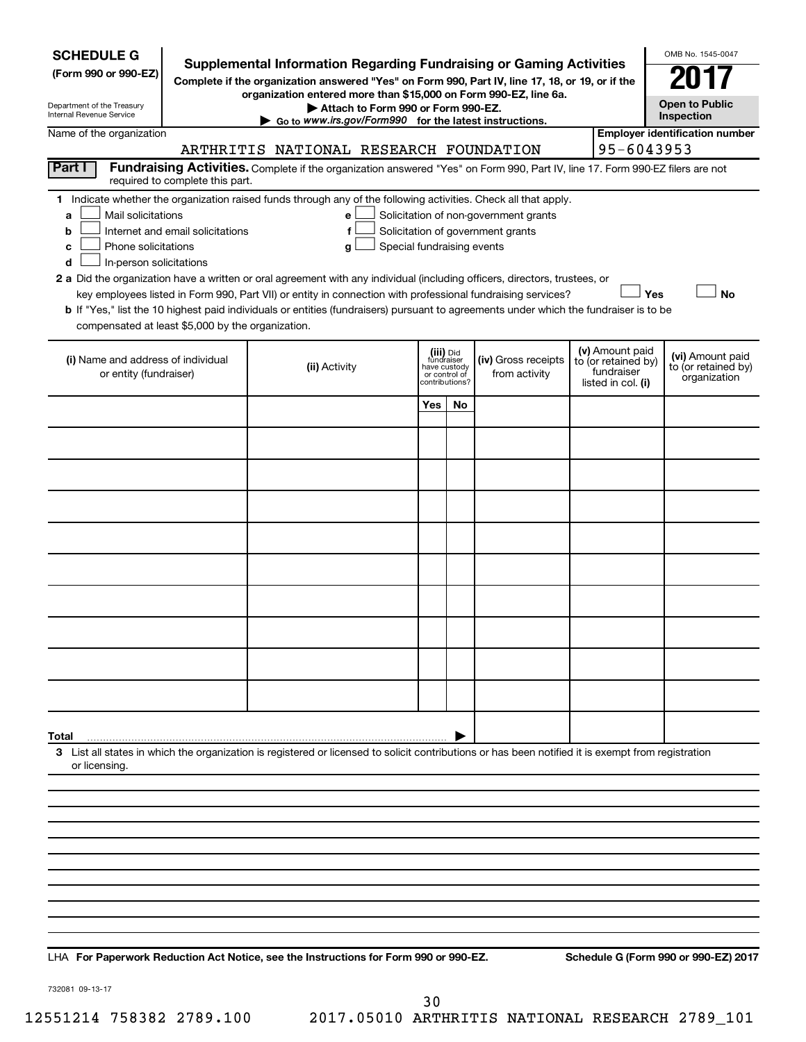| <b>SCHEDULE G</b><br>(Form 990 or 990-EZ)<br>Department of the Treasury<br>Internal Revenue Service                                           |                                                                     | <b>Supplemental Information Regarding Fundraising or Gaming Activities</b><br>Complete if the organization answered "Yes" on Form 990, Part IV, line 17, 18, or 19, or if the<br>organization entered more than \$15,000 on Form 990-EZ, line 6a.<br>Attach to Form 990 or Form 990-EZ.<br>$\triangleright$ Go to www.irs.gov/Form990 for the latest instructions.                                                                                                                                                                                 |                               |                                           |                                                                            |                                                                            | OMB No. 1545-0047<br><b>Open to Public</b><br>Inspection |
|-----------------------------------------------------------------------------------------------------------------------------------------------|---------------------------------------------------------------------|----------------------------------------------------------------------------------------------------------------------------------------------------------------------------------------------------------------------------------------------------------------------------------------------------------------------------------------------------------------------------------------------------------------------------------------------------------------------------------------------------------------------------------------------------|-------------------------------|-------------------------------------------|----------------------------------------------------------------------------|----------------------------------------------------------------------------|----------------------------------------------------------|
| Name of the organization                                                                                                                      |                                                                     | ARTHRITIS NATIONAL RESEARCH FOUNDATION                                                                                                                                                                                                                                                                                                                                                                                                                                                                                                             |                               |                                           |                                                                            | 95-6043953                                                                 | <b>Employer identification number</b>                    |
| Part I                                                                                                                                        |                                                                     | Fundraising Activities. Complete if the organization answered "Yes" on Form 990, Part IV, line 17. Form 990-EZ filers are not                                                                                                                                                                                                                                                                                                                                                                                                                      |                               |                                           |                                                                            |                                                                            |                                                          |
| Mail solicitations<br>a<br>b<br>Phone solicitations<br>с<br>In-person solicitations<br>d<br>compensated at least \$5,000 by the organization. | required to complete this part.<br>Internet and email solicitations | 1 Indicate whether the organization raised funds through any of the following activities. Check all that apply.<br>e<br>f<br>Special fundraising events<br>g<br>2 a Did the organization have a written or oral agreement with any individual (including officers, directors, trustees, or<br>key employees listed in Form 990, Part VII) or entity in connection with professional fundraising services?<br>b If "Yes," list the 10 highest paid individuals or entities (fundraisers) pursuant to agreements under which the fundraiser is to be |                               |                                           | Solicitation of non-government grants<br>Solicitation of government grants | Yes                                                                        | <b>No</b>                                                |
| (i) Name and address of individual<br>or entity (fundraiser)                                                                                  |                                                                     | (ii) Activity                                                                                                                                                                                                                                                                                                                                                                                                                                                                                                                                      | have custody<br>or control of | (iii) Did<br>fundraiser<br>contributions? | (iv) Gross receipts<br>from activity                                       | (v) Amount paid<br>to (or retained by)<br>fundraiser<br>listed in col. (i) | (vi) Amount paid<br>to (or retained by)<br>organization  |
|                                                                                                                                               |                                                                     |                                                                                                                                                                                                                                                                                                                                                                                                                                                                                                                                                    | Yes                           | No.                                       |                                                                            |                                                                            |                                                          |
|                                                                                                                                               |                                                                     |                                                                                                                                                                                                                                                                                                                                                                                                                                                                                                                                                    |                               |                                           |                                                                            |                                                                            |                                                          |
|                                                                                                                                               |                                                                     |                                                                                                                                                                                                                                                                                                                                                                                                                                                                                                                                                    |                               |                                           |                                                                            |                                                                            |                                                          |
|                                                                                                                                               |                                                                     |                                                                                                                                                                                                                                                                                                                                                                                                                                                                                                                                                    |                               |                                           |                                                                            |                                                                            |                                                          |
|                                                                                                                                               |                                                                     |                                                                                                                                                                                                                                                                                                                                                                                                                                                                                                                                                    |                               |                                           |                                                                            |                                                                            |                                                          |
|                                                                                                                                               |                                                                     |                                                                                                                                                                                                                                                                                                                                                                                                                                                                                                                                                    |                               |                                           |                                                                            |                                                                            |                                                          |
|                                                                                                                                               |                                                                     |                                                                                                                                                                                                                                                                                                                                                                                                                                                                                                                                                    |                               |                                           |                                                                            |                                                                            |                                                          |
|                                                                                                                                               |                                                                     |                                                                                                                                                                                                                                                                                                                                                                                                                                                                                                                                                    |                               |                                           |                                                                            |                                                                            |                                                          |
|                                                                                                                                               |                                                                     |                                                                                                                                                                                                                                                                                                                                                                                                                                                                                                                                                    |                               |                                           |                                                                            |                                                                            |                                                          |
|                                                                                                                                               |                                                                     |                                                                                                                                                                                                                                                                                                                                                                                                                                                                                                                                                    |                               |                                           |                                                                            |                                                                            |                                                          |
| Total                                                                                                                                         |                                                                     |                                                                                                                                                                                                                                                                                                                                                                                                                                                                                                                                                    |                               |                                           |                                                                            |                                                                            |                                                          |
| or licensing.                                                                                                                                 |                                                                     | 3 List all states in which the organization is registered or licensed to solicit contributions or has been notified it is exempt from registration                                                                                                                                                                                                                                                                                                                                                                                                 |                               |                                           |                                                                            |                                                                            |                                                          |
|                                                                                                                                               |                                                                     |                                                                                                                                                                                                                                                                                                                                                                                                                                                                                                                                                    |                               |                                           |                                                                            |                                                                            |                                                          |
|                                                                                                                                               |                                                                     |                                                                                                                                                                                                                                                                                                                                                                                                                                                                                                                                                    |                               |                                           |                                                                            |                                                                            |                                                          |
|                                                                                                                                               |                                                                     |                                                                                                                                                                                                                                                                                                                                                                                                                                                                                                                                                    |                               |                                           |                                                                            |                                                                            |                                                          |
|                                                                                                                                               |                                                                     |                                                                                                                                                                                                                                                                                                                                                                                                                                                                                                                                                    |                               |                                           |                                                                            |                                                                            |                                                          |
|                                                                                                                                               |                                                                     |                                                                                                                                                                                                                                                                                                                                                                                                                                                                                                                                                    |                               |                                           |                                                                            |                                                                            |                                                          |
|                                                                                                                                               |                                                                     |                                                                                                                                                                                                                                                                                                                                                                                                                                                                                                                                                    |                               |                                           |                                                                            |                                                                            |                                                          |
|                                                                                                                                               |                                                                     |                                                                                                                                                                                                                                                                                                                                                                                                                                                                                                                                                    |                               |                                           |                                                                            |                                                                            |                                                          |

**For Paperwork Reduction Act Notice, see the Instructions for Form 990 or 990-EZ. Schedule G (Form 990 or 990-EZ) 2017** LHA

732081 09-13-17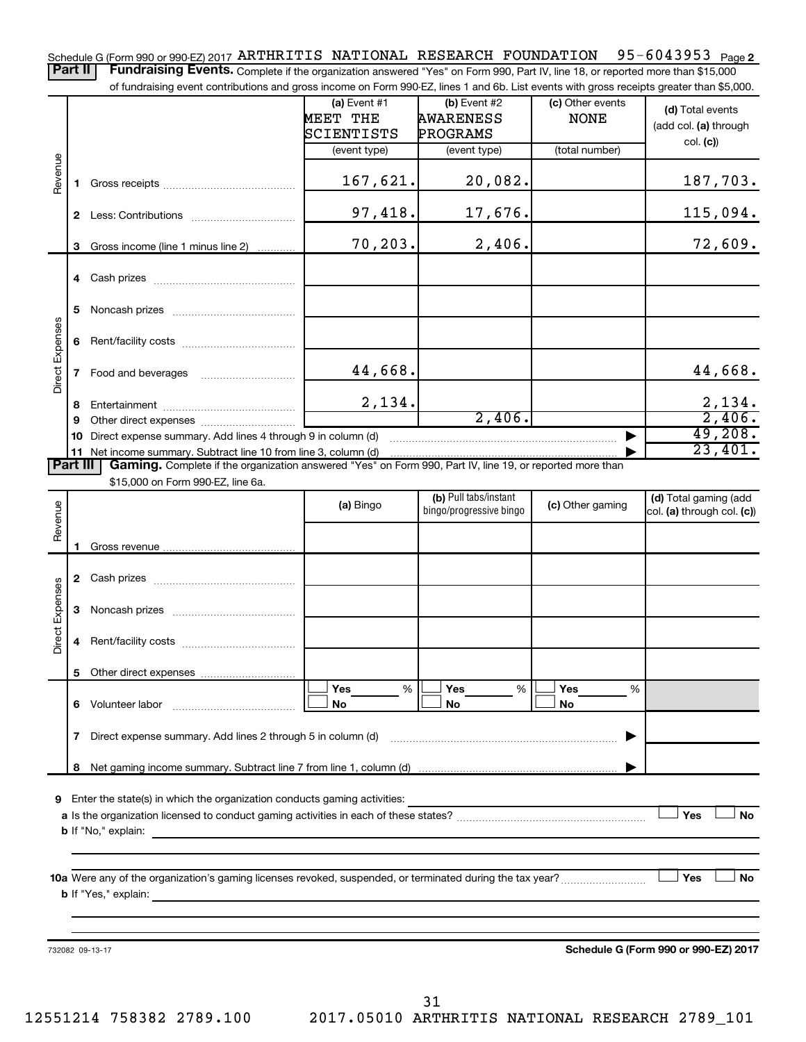Schedule G (Form 990 or 990-EZ) 2017 ARTHRITIS NATIONAL RESEARCH FOUNDATION 95-6043953 <sub>Page 2</sub>

Part II | Fundraising Events. Complete if the organization answered "Yes" on Form 990, Part IV, line 18, or reported more than \$15,000 of fundraising event contributions and gross income on Form 990-EZ, lines 1 and 6b. List events with gross receipts greater than \$5,000.

|                        |              | OFfundraising event continuutions and gross income on Form 990-EZ, illies T and OD. Elst events with gross receipts greater than \$0,000.     |                                          |                                                  |                                 |                                                     |
|------------------------|--------------|-----------------------------------------------------------------------------------------------------------------------------------------------|------------------------------------------|--------------------------------------------------|---------------------------------|-----------------------------------------------------|
|                        |              |                                                                                                                                               | (a) Event $#1$<br>MEET THE<br>SCIENTISTS | $(b)$ Event #2<br><b>AWARENESS</b><br>PROGRAMS   | (c) Other events<br><b>NONE</b> | (d) Total events<br>(add col. (a) through           |
|                        |              |                                                                                                                                               | (event type)                             | (event type)                                     | (total number)                  | col. (c)                                            |
| Revenue                | 1.           |                                                                                                                                               | 167,621.                                 | 20,082.                                          |                                 | 187,703.                                            |
|                        |              |                                                                                                                                               | 97,418.                                  | 17,676.                                          |                                 | 115,094.                                            |
|                        | 3            | Gross income (line 1 minus line 2)                                                                                                            | 70,203.                                  | 2,406.                                           |                                 | 72,609.                                             |
|                        |              |                                                                                                                                               |                                          |                                                  |                                 |                                                     |
|                        | 5.           |                                                                                                                                               |                                          |                                                  |                                 |                                                     |
| <b>Direct Expenses</b> |              |                                                                                                                                               |                                          |                                                  |                                 |                                                     |
|                        |              |                                                                                                                                               | 44,668.                                  |                                                  |                                 | 44,668.                                             |
|                        | 8            |                                                                                                                                               | 2,134.                                   |                                                  |                                 | $\frac{2,134}{2,406}$ .                             |
|                        | 9            |                                                                                                                                               |                                          | 2,406.                                           |                                 |                                                     |
|                        | 10           | Direct expense summary. Add lines 4 through 9 in column (d)                                                                                   |                                          |                                                  |                                 | 49,208.                                             |
|                        |              | 11 Net income summary. Subtract line 10 from line 3, column (d)                                                                               |                                          |                                                  |                                 | 23,401.                                             |
| Part III               |              | Gaming. Complete if the organization answered "Yes" on Form 990, Part IV, line 19, or reported more than<br>\$15,000 on Form 990-EZ, line 6a. |                                          |                                                  |                                 |                                                     |
| Revenue                |              |                                                                                                                                               | (a) Bingo                                | (b) Pull tabs/instant<br>bingo/progressive bingo | (c) Other gaming                | (d) Total gaming (add<br>col. (a) through col. (c)) |
|                        | 1.           |                                                                                                                                               |                                          |                                                  |                                 |                                                     |
|                        |              |                                                                                                                                               |                                          |                                                  |                                 |                                                     |
|                        |              |                                                                                                                                               |                                          |                                                  |                                 |                                                     |
| <b>Direct Expenses</b> | 3            |                                                                                                                                               |                                          |                                                  |                                 |                                                     |
|                        | 4            |                                                                                                                                               |                                          |                                                  |                                 |                                                     |
|                        |              |                                                                                                                                               |                                          |                                                  |                                 |                                                     |
|                        |              | 6 Volunteer labor                                                                                                                             | Yes<br>%<br>No                           | Yes<br>%<br>No                                   | Yes<br>%<br>No                  |                                                     |
|                        | $\mathbf{7}$ | Direct expense summary. Add lines 2 through 5 in column (d)                                                                                   |                                          |                                                  |                                 |                                                     |
|                        | 8            |                                                                                                                                               |                                          |                                                  |                                 |                                                     |
|                        |              |                                                                                                                                               |                                          |                                                  |                                 |                                                     |
| 9                      |              | Enter the state(s) in which the organization conducts gaming activities:                                                                      |                                          |                                                  |                                 | Yes<br>No                                           |
|                        |              | <b>b</b> If "No," explain:                                                                                                                    |                                          |                                                  |                                 |                                                     |
|                        |              |                                                                                                                                               |                                          |                                                  |                                 |                                                     |
|                        |              | 10a Were any of the organization's gaming licenses revoked, suspended, or terminated during the tax year?<br><b>b</b> If "Yes," explain:      |                                          |                                                  |                                 | Yes<br><b>No</b>                                    |
|                        |              |                                                                                                                                               |                                          |                                                  |                                 |                                                     |
|                        |              | 732082 09-13-17                                                                                                                               |                                          |                                                  |                                 | Schedule G (Form 990 or 990-EZ) 2017                |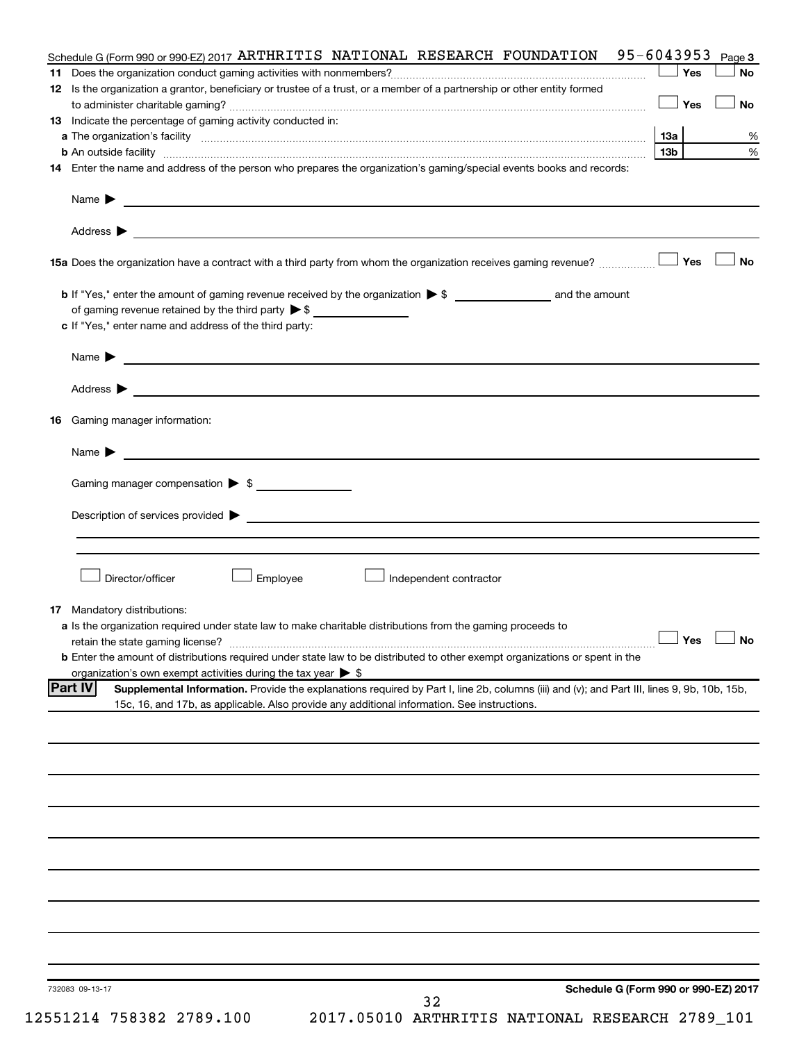|    | Schedule G (Form 990 or 990-EZ) 2017 ARTHRITIS NATIONAL RESEARCH FOUNDATION                                                                                                                                                                                           | 95-6043953      | Page 3               |
|----|-----------------------------------------------------------------------------------------------------------------------------------------------------------------------------------------------------------------------------------------------------------------------|-----------------|----------------------|
|    |                                                                                                                                                                                                                                                                       | Yes             | <b>No</b>            |
|    | 12 Is the organization a grantor, beneficiary or trustee of a trust, or a member of a partnership or other entity formed                                                                                                                                              |                 |                      |
|    |                                                                                                                                                                                                                                                                       | Yes             | <b>No</b>            |
|    | 13 Indicate the percentage of gaming activity conducted in:                                                                                                                                                                                                           |                 |                      |
|    |                                                                                                                                                                                                                                                                       | 1За             | %                    |
|    | <b>b</b> An outside facility <i>www.communicality www.communicality.communicality www.communicality www.communicality.communicality www.communicality.com</i>                                                                                                         | 13 <sub>b</sub> | %                    |
|    | 14 Enter the name and address of the person who prepares the organization's gaming/special events books and records:                                                                                                                                                  |                 |                      |
|    | Name $\blacktriangleright$<br><u> 1989 - Johann Barbara, martxa alemaniar arg</u>                                                                                                                                                                                     |                 |                      |
|    |                                                                                                                                                                                                                                                                       |                 |                      |
|    |                                                                                                                                                                                                                                                                       |                 |                      |
|    |                                                                                                                                                                                                                                                                       |                 |                      |
|    | 15a Does the organization have a contract with a third party from whom the organization receives gaming revenue?                                                                                                                                                      | Yes             | <b>No</b>            |
|    |                                                                                                                                                                                                                                                                       |                 |                      |
|    |                                                                                                                                                                                                                                                                       |                 |                      |
|    | of gaming revenue retained by the third party $\triangleright$ \$                                                                                                                                                                                                     |                 |                      |
|    | c If "Yes," enter name and address of the third party:                                                                                                                                                                                                                |                 |                      |
|    |                                                                                                                                                                                                                                                                       |                 |                      |
|    | <u>and the contract of the contract of the contract of the contract of the contract of the contract of the contract of</u><br>Name $\blacktriangleright$                                                                                                              |                 |                      |
|    | Address $\blacktriangleright$<br><u>and the state of the state of the state of the state of the state of the state of the state of the state of the state of the state of the state of the state of the state of the state of the state of the state of the state</u> |                 |                      |
|    |                                                                                                                                                                                                                                                                       |                 |                      |
| 16 | Gaming manager information:                                                                                                                                                                                                                                           |                 |                      |
|    |                                                                                                                                                                                                                                                                       |                 |                      |
|    | Name $\blacktriangleright$                                                                                                                                                                                                                                            |                 |                      |
|    |                                                                                                                                                                                                                                                                       |                 |                      |
|    | Gaming manager compensation > \$                                                                                                                                                                                                                                      |                 |                      |
|    |                                                                                                                                                                                                                                                                       |                 |                      |
|    |                                                                                                                                                                                                                                                                       |                 |                      |
|    |                                                                                                                                                                                                                                                                       |                 |                      |
|    |                                                                                                                                                                                                                                                                       |                 |                      |
|    | Director/officer<br>Employee<br>Independent contractor                                                                                                                                                                                                                |                 |                      |
|    |                                                                                                                                                                                                                                                                       |                 |                      |
|    | <b>17</b> Mandatory distributions:                                                                                                                                                                                                                                    |                 |                      |
|    | a Is the organization required under state law to make charitable distributions from the gaming proceeds to                                                                                                                                                           |                 |                      |
|    |                                                                                                                                                                                                                                                                       |                 | $\Box$ Yes $\Box$ No |
|    | <b>b</b> Enter the amount of distributions required under state law to be distributed to other exempt organizations or spent in the                                                                                                                                   |                 |                      |
|    | organization's own exempt activities during the tax year $\triangleright$ \$                                                                                                                                                                                          |                 |                      |
|    | <b>Part IV</b><br>Supplemental Information. Provide the explanations required by Part I, line 2b, columns (iii) and (v); and Part III, lines 9, 9b, 10b, 15b,<br>15c, 16, and 17b, as applicable. Also provide any additional information. See instructions.          |                 |                      |
|    |                                                                                                                                                                                                                                                                       |                 |                      |
|    |                                                                                                                                                                                                                                                                       |                 |                      |
|    |                                                                                                                                                                                                                                                                       |                 |                      |
|    |                                                                                                                                                                                                                                                                       |                 |                      |
|    |                                                                                                                                                                                                                                                                       |                 |                      |
|    |                                                                                                                                                                                                                                                                       |                 |                      |
|    |                                                                                                                                                                                                                                                                       |                 |                      |
|    |                                                                                                                                                                                                                                                                       |                 |                      |
|    |                                                                                                                                                                                                                                                                       |                 |                      |
|    |                                                                                                                                                                                                                                                                       |                 |                      |
|    |                                                                                                                                                                                                                                                                       |                 |                      |
|    |                                                                                                                                                                                                                                                                       |                 |                      |
|    |                                                                                                                                                                                                                                                                       |                 |                      |
|    |                                                                                                                                                                                                                                                                       |                 |                      |
|    |                                                                                                                                                                                                                                                                       |                 |                      |
|    |                                                                                                                                                                                                                                                                       |                 |                      |
|    | Schedule G (Form 990 or 990-EZ) 2017<br>732083 09-13-17                                                                                                                                                                                                               |                 |                      |
|    | 32                                                                                                                                                                                                                                                                    |                 |                      |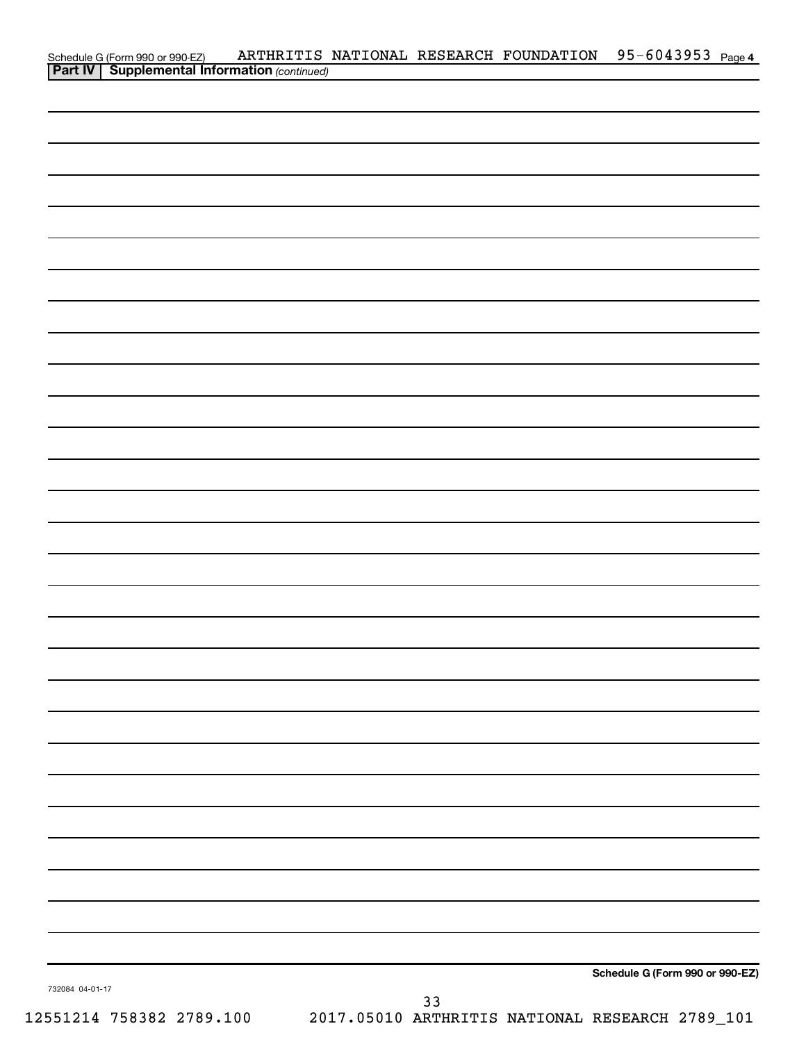|                 |                                                                                                    |  |    | ARTHRITIS NATIONAL RESEARCH FOUNDATION 95-6043953 Page 4 |                                 |  |
|-----------------|----------------------------------------------------------------------------------------------------|--|----|----------------------------------------------------------|---------------------------------|--|
|                 | Schedule G (Form 990 or 990-EZ) ARTHRITIS<br><b>Part IV   Supplemental Information</b> (continued) |  |    |                                                          |                                 |  |
|                 |                                                                                                    |  |    |                                                          |                                 |  |
|                 |                                                                                                    |  |    |                                                          |                                 |  |
|                 |                                                                                                    |  |    |                                                          |                                 |  |
|                 |                                                                                                    |  |    |                                                          |                                 |  |
|                 |                                                                                                    |  |    |                                                          |                                 |  |
|                 |                                                                                                    |  |    |                                                          |                                 |  |
|                 |                                                                                                    |  |    |                                                          |                                 |  |
|                 |                                                                                                    |  |    |                                                          |                                 |  |
|                 |                                                                                                    |  |    |                                                          |                                 |  |
|                 |                                                                                                    |  |    |                                                          |                                 |  |
|                 |                                                                                                    |  |    |                                                          |                                 |  |
|                 |                                                                                                    |  |    |                                                          |                                 |  |
|                 |                                                                                                    |  |    |                                                          |                                 |  |
|                 |                                                                                                    |  |    |                                                          |                                 |  |
|                 |                                                                                                    |  |    |                                                          |                                 |  |
|                 |                                                                                                    |  |    |                                                          |                                 |  |
|                 |                                                                                                    |  |    |                                                          |                                 |  |
|                 |                                                                                                    |  |    |                                                          |                                 |  |
|                 |                                                                                                    |  |    |                                                          |                                 |  |
|                 |                                                                                                    |  |    |                                                          |                                 |  |
|                 |                                                                                                    |  |    |                                                          |                                 |  |
|                 |                                                                                                    |  |    |                                                          |                                 |  |
|                 |                                                                                                    |  |    |                                                          |                                 |  |
|                 |                                                                                                    |  |    |                                                          |                                 |  |
|                 |                                                                                                    |  |    |                                                          |                                 |  |
|                 |                                                                                                    |  |    |                                                          |                                 |  |
|                 |                                                                                                    |  |    |                                                          |                                 |  |
|                 |                                                                                                    |  |    |                                                          |                                 |  |
|                 |                                                                                                    |  |    |                                                          |                                 |  |
|                 |                                                                                                    |  |    |                                                          |                                 |  |
|                 |                                                                                                    |  |    |                                                          |                                 |  |
|                 |                                                                                                    |  |    |                                                          |                                 |  |
|                 |                                                                                                    |  |    |                                                          |                                 |  |
|                 |                                                                                                    |  |    |                                                          |                                 |  |
|                 |                                                                                                    |  |    |                                                          |                                 |  |
|                 |                                                                                                    |  |    |                                                          |                                 |  |
|                 |                                                                                                    |  |    |                                                          |                                 |  |
|                 |                                                                                                    |  |    |                                                          |                                 |  |
|                 |                                                                                                    |  |    |                                                          |                                 |  |
|                 |                                                                                                    |  |    |                                                          |                                 |  |
|                 |                                                                                                    |  |    |                                                          |                                 |  |
|                 |                                                                                                    |  |    |                                                          | Schedule G (Form 990 or 990-EZ) |  |
| 732084 04-01-17 |                                                                                                    |  |    |                                                          |                                 |  |
|                 |                                                                                                    |  | 33 |                                                          |                                 |  |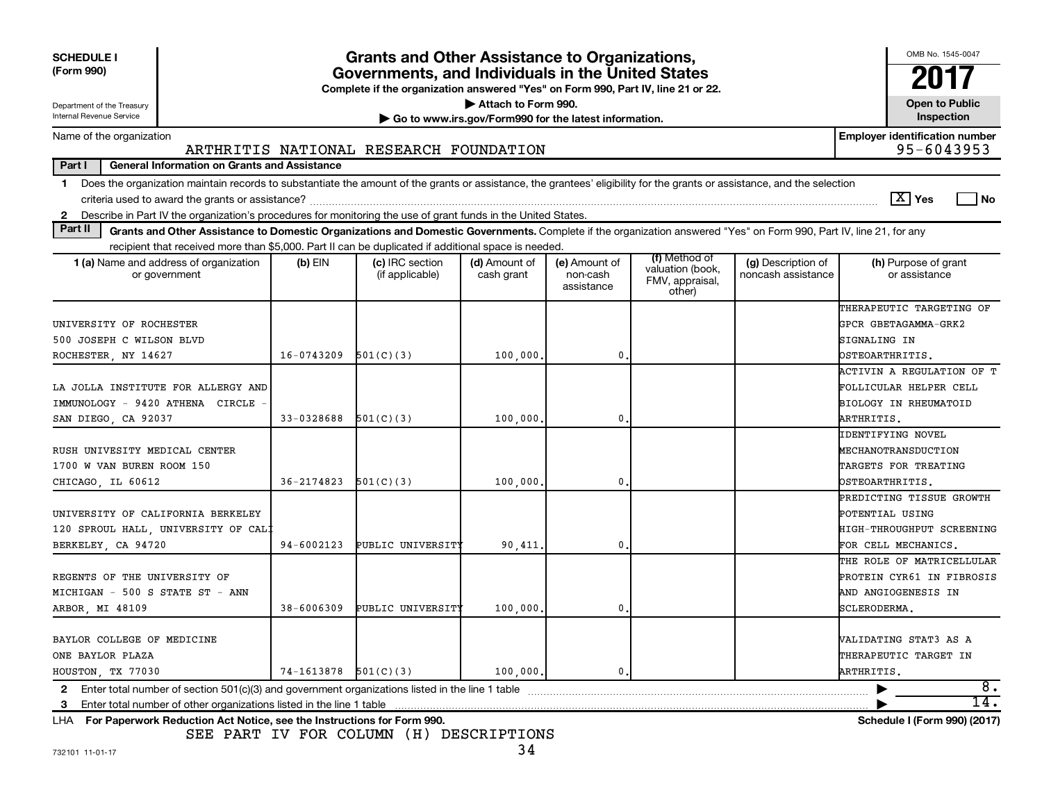| <b>SCHEDULE I</b><br>(Form 990)<br>Department of the Treasury<br>Internal Revenue Service                                                                                                                                                                                 |                          | Grants and Other Assistance to Organizations,<br>Governments, and Individuals in the United States<br>Complete if the organization answered "Yes" on Form 990, Part IV, line 21 or 22. | Attach to Form 990.<br>Go to www.irs.gov/Form990 for the latest information. |                                         |                                                                |                                          | OMB No. 1545-0047<br>2017<br><b>Open to Public</b><br>Inspection                                |
|---------------------------------------------------------------------------------------------------------------------------------------------------------------------------------------------------------------------------------------------------------------------------|--------------------------|----------------------------------------------------------------------------------------------------------------------------------------------------------------------------------------|------------------------------------------------------------------------------|-----------------------------------------|----------------------------------------------------------------|------------------------------------------|-------------------------------------------------------------------------------------------------|
| Name of the organization                                                                                                                                                                                                                                                  |                          |                                                                                                                                                                                        |                                                                              |                                         |                                                                |                                          | <b>Employer identification number</b>                                                           |
|                                                                                                                                                                                                                                                                           |                          | ARTHRITIS NATIONAL RESEARCH FOUNDATION                                                                                                                                                 |                                                                              |                                         |                                                                |                                          | 95-6043953                                                                                      |
| Part I<br><b>General Information on Grants and Assistance</b>                                                                                                                                                                                                             |                          |                                                                                                                                                                                        |                                                                              |                                         |                                                                |                                          |                                                                                                 |
| Does the organization maintain records to substantiate the amount of the grants or assistance, the grantees' eligibility for the grants or assistance, and the selection<br>$\mathbf 1$                                                                                   |                          |                                                                                                                                                                                        |                                                                              |                                         |                                                                |                                          | $\boxed{\text{X}}$ Yes<br>l No                                                                  |
| Describe in Part IV the organization's procedures for monitoring the use of grant funds in the United States.<br>2<br>Part II                                                                                                                                             |                          |                                                                                                                                                                                        |                                                                              |                                         |                                                                |                                          |                                                                                                 |
| Grants and Other Assistance to Domestic Organizations and Domestic Governments. Complete if the organization answered "Yes" on Form 990, Part IV, line 21, for any<br>recipient that received more than \$5,000. Part II can be duplicated if additional space is needed. |                          |                                                                                                                                                                                        |                                                                              |                                         |                                                                |                                          |                                                                                                 |
| 1 (a) Name and address of organization<br>or government                                                                                                                                                                                                                   | $(b)$ EIN                | (c) IRC section<br>(if applicable)                                                                                                                                                     | (d) Amount of<br>cash grant                                                  | (e) Amount of<br>non-cash<br>assistance | (f) Method of<br>valuation (book,<br>FMV, appraisal,<br>other) | (g) Description of<br>noncash assistance | (h) Purpose of grant<br>or assistance                                                           |
| UNIVERSITY OF ROCHESTER<br>500 JOSEPH C WILSON BLVD                                                                                                                                                                                                                       |                          |                                                                                                                                                                                        |                                                                              |                                         |                                                                |                                          | THERAPEUTIC TARGETING OF<br>GPCR GBETAGAMMA-GRK2<br>SIGNALING IN                                |
| ROCHESTER, NY 14627                                                                                                                                                                                                                                                       | $16 - 0743209$           | 501(C)(3)                                                                                                                                                                              | 100,000                                                                      | 0                                       |                                                                |                                          | OSTEOARTHRITIS.                                                                                 |
| LA JOLLA INSTITUTE FOR ALLERGY AND<br>IMMUNOLOGY - 9420 ATHENA CIRCLE<br>SAN DIEGO, CA 92037                                                                                                                                                                              | 33-0328688               | 501(C)(3)                                                                                                                                                                              | 100,000                                                                      | 0                                       |                                                                |                                          | ACTIVIN A REGULATION OF T<br>FOLLICULAR HELPER CELL<br>BIOLOGY IN RHEUMATOID<br>ARTHRITIS.      |
| RUSH UNIVESITY MEDICAL CENTER<br>1700 W VAN BUREN ROOM 150<br>CHICAGO, IL 60612                                                                                                                                                                                           | 36-2174823               | 501(C)(3)                                                                                                                                                                              | 100,000                                                                      | 0                                       |                                                                |                                          | IDENTIFYING NOVEL<br>MECHANOTRANSDUCTION<br>TARGETS FOR TREATING<br>OSTEOARTHRITIS.             |
| UNIVERSITY OF CALIFORNIA BERKELEY<br>120 SPROUL HALL, UNIVERSITY OF CAL!<br>BERKELEY CA 94720                                                                                                                                                                             | 94-6002123               | PUBLIC UNIVERSITY                                                                                                                                                                      | 90,411,                                                                      | $\mathbf{0}$                            |                                                                |                                          | PREDICTING TISSUE GROWTH<br>POTENTIAL USING<br>HIGH-THROUGHPUT SCREENING<br>FOR CELL MECHANICS. |
| REGENTS OF THE UNIVERSITY OF<br>MICHIGAN - 500 S STATE ST - ANN<br>ARBOR, MI 48109                                                                                                                                                                                        | $38 - 6006309$           | PUBLIC UNIVERSITY                                                                                                                                                                      | 100,000,                                                                     | $\mathbf{0}$                            |                                                                |                                          | THE ROLE OF MATRICELLULAR<br>PROTEIN CYR61 IN FIBROSIS<br>AND ANGIOGENESIS IN<br>SCLERODERMA.   |
| BAYLOR COLLEGE OF MEDICINE<br>ONE BAYLOR PLAZA<br>HOUSTON, TX 77030                                                                                                                                                                                                       | $74-1613878$ $501(C)(3)$ |                                                                                                                                                                                        | 100,000,                                                                     | $\mathbf{0}$ .                          |                                                                |                                          | VALIDATING STAT3 AS A<br>THERAPEUTIC TARGET IN<br>ARTHRITIS.                                    |
| Enter total number of section 501(c)(3) and government organizations listed in the line 1 table<br>$\mathbf{2}$                                                                                                                                                           |                          |                                                                                                                                                                                        |                                                                              |                                         |                                                                |                                          | 8.                                                                                              |
| Enter total number of other organizations listed in the line 1 table<br>3<br>LHA For Paperwork Reduction Act Notice, see the Instructions for Form 990.                                                                                                                   |                          |                                                                                                                                                                                        |                                                                              |                                         |                                                                |                                          | 14.<br>Schedule I (Form 990) (2017)                                                             |

SEE PART IV FOR COLUMN (H) DESCRIPTIONS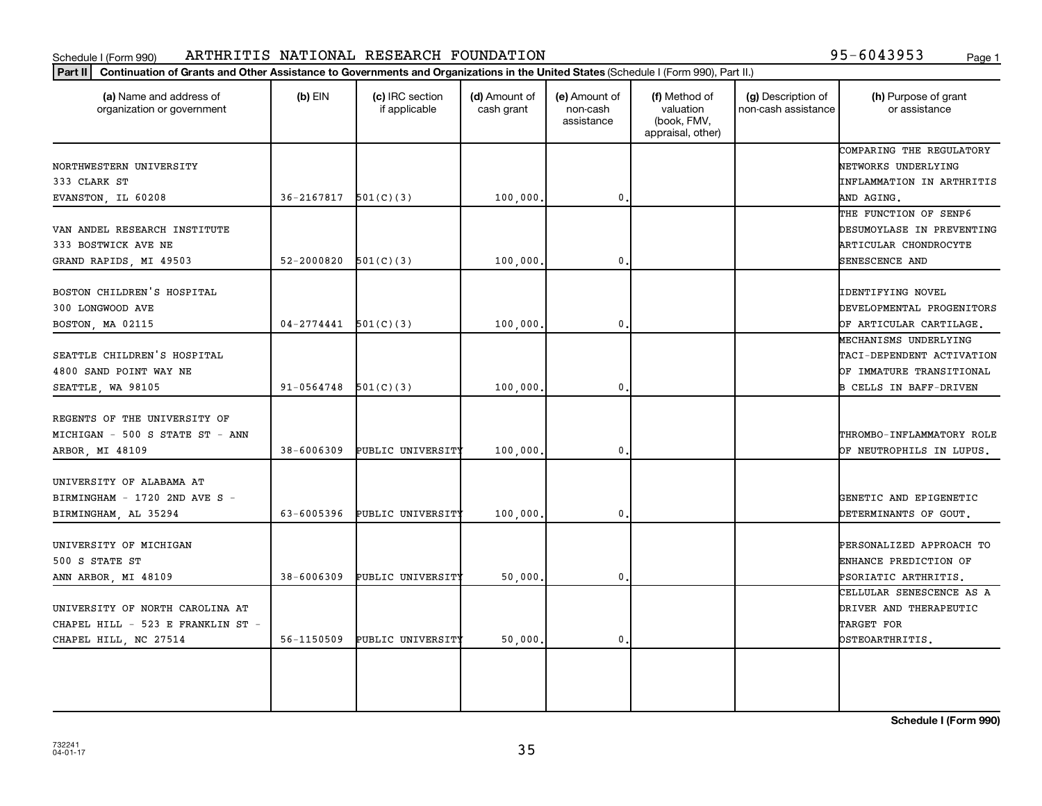#### Schedule I (Form 990) Page 1 ARTHRITIS NATIONAL RESEARCH FOUNDATION 95-6043953

| (a) Name and address of<br>organization or government                                               | $(b)$ EIN                    | (c) IRC section<br>if applicable | (d) Amount of<br>cash grant | (e) Amount of<br>non-cash<br>assistance | (f) Method of<br>valuation<br>(book, FMV,<br>appraisal, other) | (g) Description of<br>non-cash assistance | (h) Purpose of grant<br>or assistance                                                                           |
|-----------------------------------------------------------------------------------------------------|------------------------------|----------------------------------|-----------------------------|-----------------------------------------|----------------------------------------------------------------|-------------------------------------------|-----------------------------------------------------------------------------------------------------------------|
| NORTHWESTERN UNIVERSITY<br>333 CLARK ST                                                             |                              |                                  |                             | 0                                       |                                                                |                                           | COMPARING THE REGULATORY<br>NETWORKS UNDERLYING<br>INFLAMMATION IN ARTHRITIS                                    |
| EVANSTON, IL 60208<br>VAN ANDEL RESEARCH INSTITUTE<br>333 BOSTWICK AVE NE<br>GRAND RAPIDS, MI 49503 | 36-2167817<br>$52 - 2000820$ | 501(C)(3)<br>501(C)(3)           | 100,000<br>100,000          | 0                                       |                                                                |                                           | AND AGING.<br>THE FUNCTION OF SENP6<br>DESUMOYLASE IN PREVENTING<br>ARTICULAR CHONDROCYTE<br>SENESCENCE AND     |
| BOSTON CHILDREN'S HOSPITAL<br>300 LONGWOOD AVE<br>BOSTON, MA 02115                                  | 04-2774441                   | 501(C)(3)                        | 100,000                     | 0.                                      |                                                                |                                           | IDENTIFYING NOVEL<br>DEVELOPMENTAL PROGENITORS<br>OF ARTICULAR CARTILAGE.                                       |
| SEATTLE CHILDREN'S HOSPITAL<br>4800 SAND POINT WAY NE<br>SEATTLE, WA 98105                          | 91-0564748                   | 501(C)(3)                        | 100,000.                    | 0.                                      |                                                                |                                           | MECHANISMS UNDERLYING<br>TACI-DEPENDENT ACTIVATION<br>OF IMMATURE TRANSITIONAL<br><b>B CELLS IN BAFF-DRIVEN</b> |
| REGENTS OF THE UNIVERSITY OF<br>MICHIGAN - 500 S STATE ST - ANN<br>ARBOR, MI 48109                  | $38 - 6006309$               | PUBLIC UNIVERSITY                | 100,000.                    | $\mathbf{0}$ .                          |                                                                |                                           | THROMBO-INFLAMMATORY ROLE<br>OF NEUTROPHILS IN LUPUS.                                                           |
| UNIVERSITY OF ALABAMA AT<br>BIRMINGHAM - 1720 2ND AVE S -<br>BIRMINGHAM, AL 35294                   | 63-6005396                   | PUBLIC UNIVERSITY                | 100,000                     | 0                                       |                                                                |                                           | GENETIC AND EPIGENETIC<br>DETERMINANTS OF GOUT,                                                                 |
| UNIVERSITY OF MICHIGAN<br>500 S STATE ST<br>ANN ARBOR, MI 48109                                     | $38 - 6006309$               | PUBLIC UNIVERSITY                | 50,000                      | $\mathbf{0}$                            |                                                                |                                           | PERSONALIZED APPROACH TO<br>ENHANCE PREDICTION OF<br>PSORIATIC ARTHRITIS.                                       |
| UNIVERSITY OF NORTH CAROLINA AT<br>CHAPEL HILL - 523 E FRANKLIN ST -<br>CHAPEL HILL, NC 27514       | 56-1150509                   | PUBLIC UNIVERSITY                | 50,000.                     | 0.                                      |                                                                |                                           | CELLULAR SENESCENCE AS A<br>DRIVER AND THERAPEUTIC<br>TARGET FOR<br>OSTEOARTHRITIS.                             |
|                                                                                                     |                              |                                  |                             |                                         |                                                                |                                           |                                                                                                                 |

**Schedule I (Form 990)**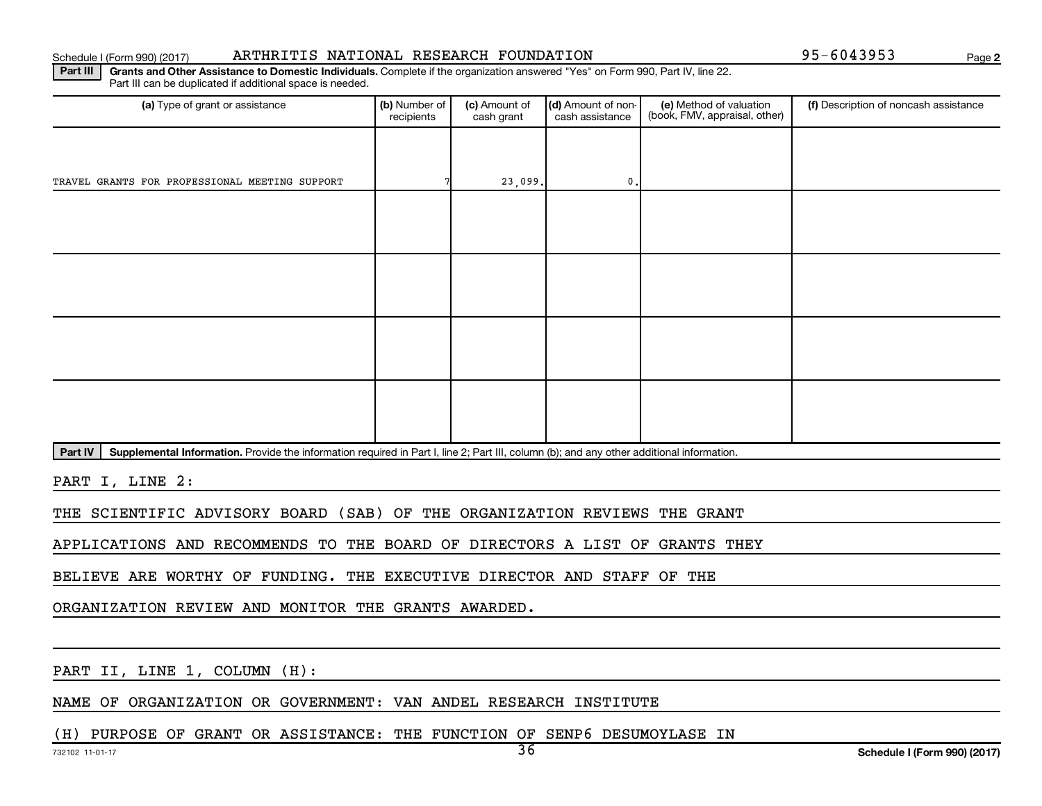### Schedule I (Form 990) (2017) Page ARTHRITIS NATIONAL RESEARCH FOUNDATION 95-6043953

**2**

Part III | Grants and Other Assistance to Domestic Individuals. Complete if the organization answered "Yes" on Form 990, Part IV, line 22. Part III can be duplicated if additional space is needed.

| (a) Type of grant or assistance                | (b) Number of<br>recipients | (c) Amount of<br>cash grant | (d) Amount of non-<br>cash assistance | (e) Method of valuation<br>(book, FMV, appraisal, other) | (f) Description of noncash assistance |
|------------------------------------------------|-----------------------------|-----------------------------|---------------------------------------|----------------------------------------------------------|---------------------------------------|
|                                                |                             |                             |                                       |                                                          |                                       |
| TRAVEL GRANTS FOR PROFESSIONAL MEETING SUPPORT |                             | 23,099.                     | $\mathbf{0}$ .                        |                                                          |                                       |
|                                                |                             |                             |                                       |                                                          |                                       |
|                                                |                             |                             |                                       |                                                          |                                       |
|                                                |                             |                             |                                       |                                                          |                                       |
|                                                |                             |                             |                                       |                                                          |                                       |
|                                                |                             |                             |                                       |                                                          |                                       |
|                                                |                             |                             |                                       |                                                          |                                       |
|                                                |                             |                             |                                       |                                                          |                                       |
|                                                |                             |                             |                                       |                                                          |                                       |

Part IV | Supplemental Information. Provide the information required in Part I, line 2; Part III, column (b); and any other additional information.

PART I, LINE 2:

THE SCIENTIFIC ADVISORY BOARD (SAB) OF THE ORGANIZATION REVIEWS THE GRANT

APPLICATIONS AND RECOMMENDS TO THE BOARD OF DIRECTORS A LIST OF GRANTS THEY

BELIEVE ARE WORTHY OF FUNDING. THE EXECUTIVE DIRECTOR AND STAFF OF THE

ORGANIZATION REVIEW AND MONITOR THE GRANTS AWARDED.

PART II, LINE 1, COLUMN (H):

NAME OF ORGANIZATION OR GOVERNMENT: VAN ANDEL RESEARCH INSTITUTE

(H) PURPOSE OF GRANT OR ASSISTANCE: THE FUNCTION OF SENP6 DESUMOYLASE IN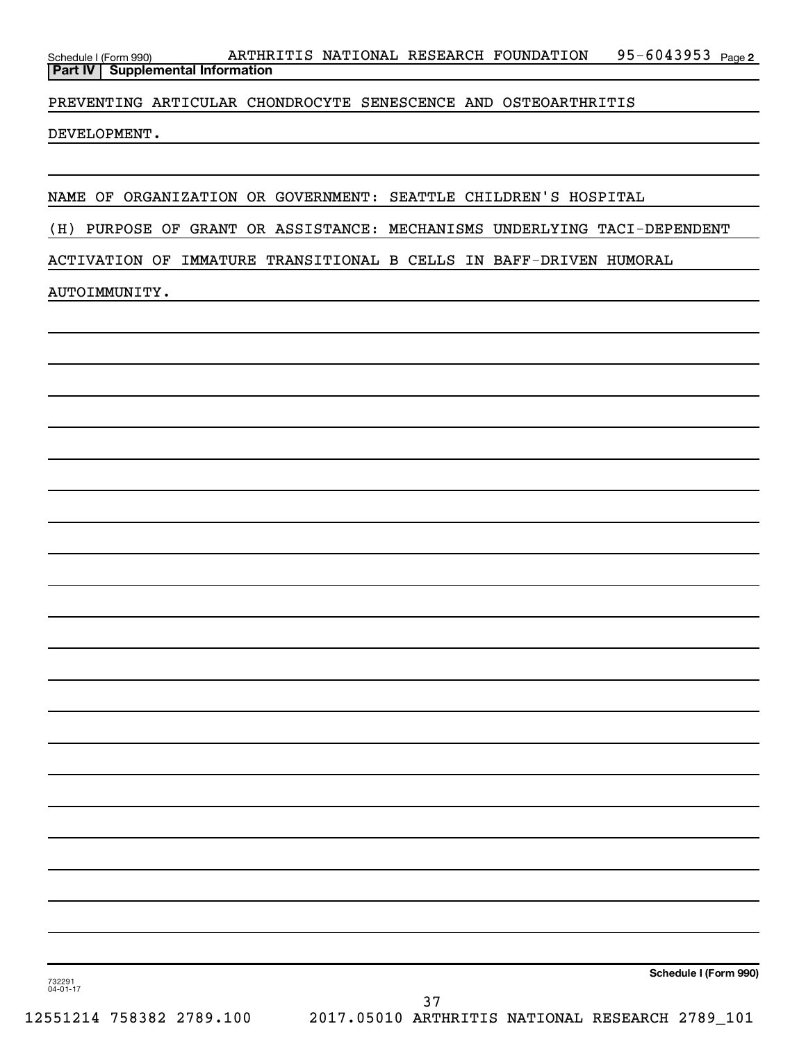95-6043953 Page 2 Schedule I (Form 990) ARTHRITIS NATIONAL RESEARCH FOUNDATION 95-6043953 Page **Part IV Supplemental Information**

PREVENTING ARTICULAR CHONDROCYTE SENESCENCE AND OSTEOARTHRITIS

DEVELOPMENT.

NAME OF ORGANIZATION OR GOVERNMENT: SEATTLE CHILDREN'S HOSPITAL

(H) PURPOSE OF GRANT OR ASSISTANCE: MECHANISMS UNDERLYING TACI-DEPENDENT

ACTIVATION OF IMMATURE TRANSITIONAL B CELLS IN BAFF-DRIVEN HUMORAL

### AUTOIMMUNITY.

**Schedule I (Form 990)**

732291 04-01-17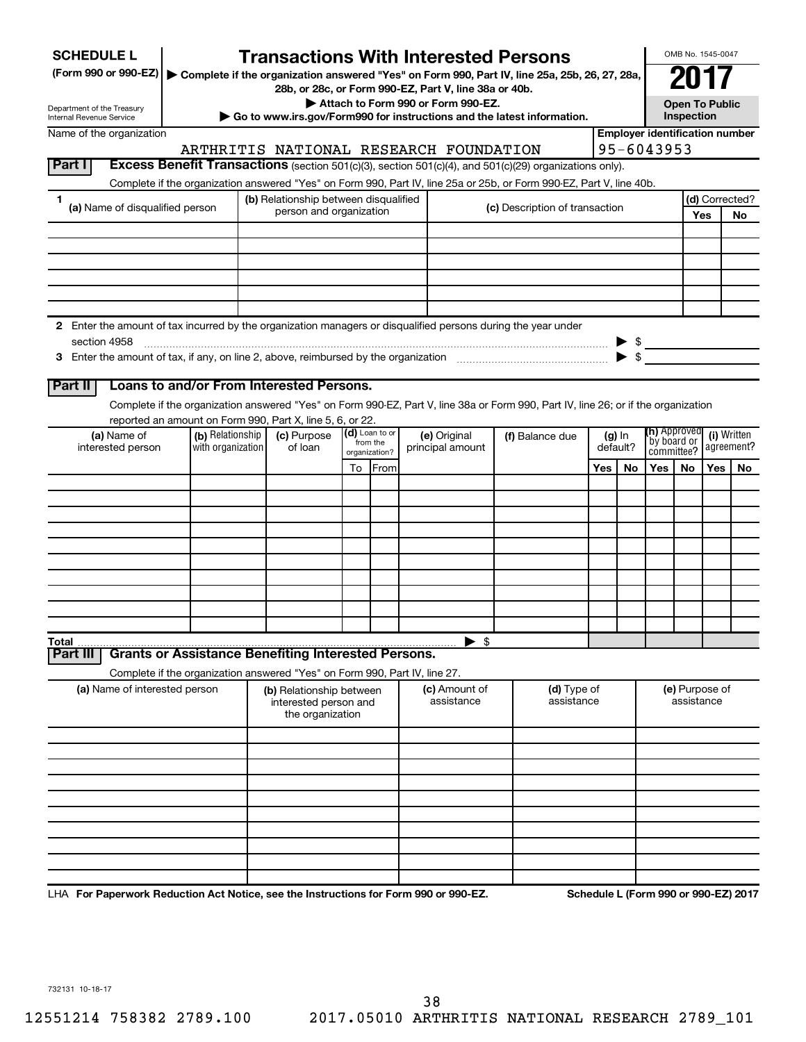| <b>SCHEDULE L</b>                                                                                                    |                   | <b>Transactions With Interested Persons</b>                                                                                                      |    |                           |                                    |                                |     |                          |                           | OMB No. 1545-0047            |            |                                       |
|----------------------------------------------------------------------------------------------------------------------|-------------------|--------------------------------------------------------------------------------------------------------------------------------------------------|----|---------------------------|------------------------------------|--------------------------------|-----|--------------------------|---------------------------|------------------------------|------------|---------------------------------------|
| (Form 990 or 990-EZ)   Complete if the organization answered "Yes" on Form 990, Part IV, line 25a, 25b, 26, 27, 28a, |                   |                                                                                                                                                  |    |                           |                                    |                                |     |                          |                           |                              |            |                                       |
|                                                                                                                      |                   | 28b, or 28c, or Form 990-EZ, Part V, line 38a or 40b.                                                                                            |    |                           | Attach to Form 990 or Form 990-EZ. |                                |     |                          |                           | <b>Open To Public</b>        |            |                                       |
| Department of the Treasury<br>Internal Revenue Service                                                               |                   | Go to www.irs.gov/Form990 for instructions and the latest information.                                                                           |    |                           |                                    |                                |     |                          |                           | Inspection                   |            |                                       |
| Name of the organization                                                                                             |                   |                                                                                                                                                  |    |                           |                                    |                                |     |                          |                           |                              |            | <b>Employer identification number</b> |
| Part I                                                                                                               |                   | ARTHRITIS NATIONAL RESEARCH FOUNDATION<br>Excess Benefit Transactions (section 501(c)(3), section 501(c)(4), and 501(c)(29) organizations only). |    |                           |                                    |                                |     |                          | 95-6043953                |                              |            |                                       |
|                                                                                                                      |                   | Complete if the organization answered "Yes" on Form 990, Part IV, line 25a or 25b, or Form 990-EZ, Part V, line 40b.                             |    |                           |                                    |                                |     |                          |                           |                              |            |                                       |
| 1                                                                                                                    |                   | (b) Relationship between disqualified                                                                                                            |    |                           |                                    |                                |     |                          |                           |                              |            | (d) Corrected?                        |
| (a) Name of disqualified person                                                                                      |                   | person and organization                                                                                                                          |    |                           |                                    | (c) Description of transaction |     |                          |                           |                              | Yes        | <b>No</b>                             |
|                                                                                                                      |                   |                                                                                                                                                  |    |                           |                                    |                                |     |                          |                           |                              |            |                                       |
|                                                                                                                      |                   |                                                                                                                                                  |    |                           |                                    |                                |     |                          |                           |                              |            |                                       |
|                                                                                                                      |                   |                                                                                                                                                  |    |                           |                                    |                                |     |                          |                           |                              |            |                                       |
|                                                                                                                      |                   |                                                                                                                                                  |    |                           |                                    |                                |     |                          |                           |                              |            |                                       |
|                                                                                                                      |                   |                                                                                                                                                  |    |                           |                                    |                                |     |                          |                           |                              |            |                                       |
| 2 Enter the amount of tax incurred by the organization managers or disqualified persons during the year under        |                   |                                                                                                                                                  |    |                           |                                    |                                |     |                          |                           |                              |            |                                       |
| section 4958                                                                                                         |                   |                                                                                                                                                  |    |                           |                                    |                                |     | $\blacktriangleright$ \$ | $\triangleright$ \$       |                              |            |                                       |
|                                                                                                                      |                   |                                                                                                                                                  |    |                           |                                    |                                |     |                          |                           |                              |            |                                       |
| Part II                                                                                                              |                   | Loans to and/or From Interested Persons.                                                                                                         |    |                           |                                    |                                |     |                          |                           |                              |            |                                       |
|                                                                                                                      |                   | Complete if the organization answered "Yes" on Form 990-EZ, Part V, line 38a or Form 990, Part IV, line 26; or if the organization               |    |                           |                                    |                                |     |                          |                           |                              |            |                                       |
|                                                                                                                      | (b) Relationship  | reported an amount on Form 990, Part X, line 5, 6, or 22.<br>(c) Purpose                                                                         |    | (d) Loan to or            |                                    |                                |     |                          | <b>(h)</b> Approved       |                              |            | (i) Written                           |
| (a) Name of<br>interested person                                                                                     | with organization | of loan                                                                                                                                          |    | from the<br>organization? | (e) Original<br>principal amount   | (f) Balance due                |     | $(g)$ In<br>default?     | by board or<br>committee? |                              | agreement? |                                       |
|                                                                                                                      |                   |                                                                                                                                                  | To | <b>IFrom</b>              |                                    |                                | Yes | No                       | Yes                       | <b>No</b>                    | Yes        | No.                                   |
|                                                                                                                      |                   |                                                                                                                                                  |    |                           |                                    |                                |     |                          |                           |                              |            |                                       |
|                                                                                                                      |                   |                                                                                                                                                  |    |                           |                                    |                                |     |                          |                           |                              |            |                                       |
|                                                                                                                      |                   |                                                                                                                                                  |    |                           |                                    |                                |     |                          |                           |                              |            |                                       |
|                                                                                                                      |                   |                                                                                                                                                  |    |                           |                                    |                                |     |                          |                           |                              |            |                                       |
|                                                                                                                      |                   |                                                                                                                                                  |    |                           |                                    |                                |     |                          |                           |                              |            |                                       |
|                                                                                                                      |                   |                                                                                                                                                  |    |                           |                                    |                                |     |                          |                           |                              |            |                                       |
|                                                                                                                      |                   |                                                                                                                                                  |    |                           |                                    |                                |     |                          |                           |                              |            |                                       |
|                                                                                                                      |                   |                                                                                                                                                  |    |                           |                                    |                                |     |                          |                           |                              |            |                                       |
| Total                                                                                                                |                   |                                                                                                                                                  |    |                           | $\blacktriangleright$ \$           |                                |     |                          |                           |                              |            |                                       |
| Part II                                                                                                              |                   | <b>Grants or Assistance Benefiting Interested Persons.</b>                                                                                       |    |                           |                                    |                                |     |                          |                           |                              |            |                                       |
|                                                                                                                      |                   | Complete if the organization answered "Yes" on Form 990, Part IV, line 27.                                                                       |    |                           |                                    |                                |     |                          |                           |                              |            |                                       |
| (a) Name of interested person                                                                                        |                   | (b) Relationship between<br>interested person and<br>the organization                                                                            |    |                           | (c) Amount of<br>assistance        | (d) Type of<br>assistance      |     |                          |                           | (e) Purpose of<br>assistance |            |                                       |
|                                                                                                                      |                   |                                                                                                                                                  |    |                           |                                    |                                |     |                          |                           |                              |            |                                       |
|                                                                                                                      |                   |                                                                                                                                                  |    |                           |                                    |                                |     |                          |                           |                              |            |                                       |
|                                                                                                                      |                   |                                                                                                                                                  |    |                           |                                    |                                |     |                          |                           |                              |            |                                       |
|                                                                                                                      |                   |                                                                                                                                                  |    |                           |                                    |                                |     |                          |                           |                              |            |                                       |
|                                                                                                                      |                   |                                                                                                                                                  |    |                           |                                    |                                |     |                          |                           |                              |            |                                       |
|                                                                                                                      |                   |                                                                                                                                                  |    |                           |                                    |                                |     |                          |                           |                              |            |                                       |
|                                                                                                                      |                   |                                                                                                                                                  |    |                           |                                    |                                |     |                          |                           |                              |            |                                       |
|                                                                                                                      |                   |                                                                                                                                                  |    |                           |                                    |                                |     |                          |                           |                              |            |                                       |
|                                                                                                                      |                   |                                                                                                                                                  |    |                           | 000F7                              |                                |     |                          |                           |                              |            |                                       |

LHA For Paperwork Reduction Act Notice, see the Instructions for Form 990 or 990-EZ. Schedule L (Form 990 or 990-EZ) 2017

732131 10-18-17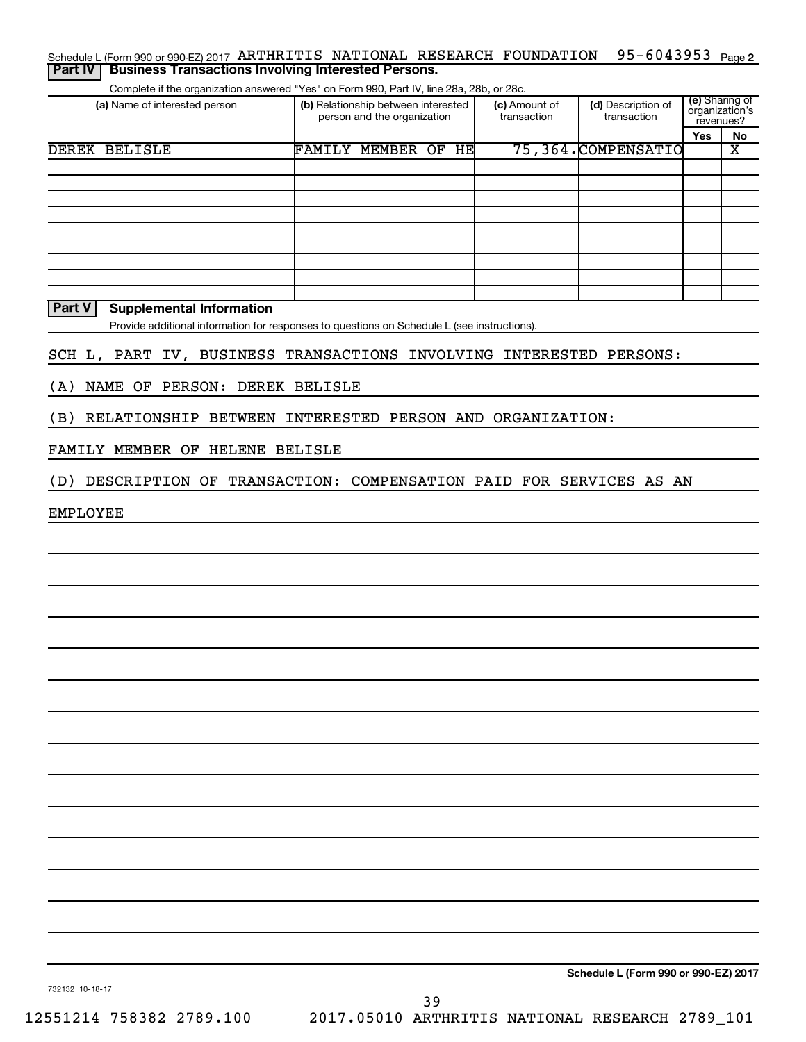| <b>Part IV</b>       | Schedule L (Form 990 or 990-EZ) 2017 ARTHRITIS NATIONAL RESEARCH FOUNDATION<br><b>Business Transactions Involving Interested Persons.</b> |                                                                    |    |                              | 95-6043953                        |     | Page 2                                        |
|----------------------|-------------------------------------------------------------------------------------------------------------------------------------------|--------------------------------------------------------------------|----|------------------------------|-----------------------------------|-----|-----------------------------------------------|
|                      |                                                                                                                                           |                                                                    |    |                              |                                   |     |                                               |
|                      | Complete if the organization answered "Yes" on Form 990, Part IV, line 28a, 28b, or 28c.<br>(a) Name of interested person                 | (b) Relationship between interested<br>person and the organization |    | (c) Amount of<br>transaction | (d) Description of<br>transaction |     | (e) Sharing of<br>organization's<br>revenues? |
|                      |                                                                                                                                           |                                                                    |    |                              |                                   | Yes | No                                            |
| <b>DEREK BELISLE</b> |                                                                                                                                           | <b>FAMILY MEMBER OF</b>                                            | HE |                              | 75,364.COMPENSATIO                |     | $\overline{\textbf{x}}$                       |
|                      |                                                                                                                                           |                                                                    |    |                              |                                   |     |                                               |
|                      |                                                                                                                                           |                                                                    |    |                              |                                   |     |                                               |
|                      |                                                                                                                                           |                                                                    |    |                              |                                   |     |                                               |
|                      |                                                                                                                                           |                                                                    |    |                              |                                   |     |                                               |
|                      |                                                                                                                                           |                                                                    |    |                              |                                   |     |                                               |
|                      |                                                                                                                                           |                                                                    |    |                              |                                   |     |                                               |
|                      |                                                                                                                                           |                                                                    |    |                              |                                   |     |                                               |
|                      |                                                                                                                                           |                                                                    |    |                              |                                   |     |                                               |
| Part V               | <b>Supplemental Information</b>                                                                                                           |                                                                    |    |                              |                                   |     |                                               |
|                      | Provide additional information for responses to questions on Schedule L (see instructions).                                               |                                                                    |    |                              |                                   |     |                                               |
|                      |                                                                                                                                           |                                                                    |    |                              |                                   |     |                                               |
|                      | SCH L, PART IV, BUSINESS TRANSACTIONS INVOLVING INTERESTED PERSONS:                                                                       |                                                                    |    |                              |                                   |     |                                               |
| (A)                  | NAME OF PERSON: DEREK BELISLE                                                                                                             |                                                                    |    |                              |                                   |     |                                               |
| (B)                  | RELATIONSHIP BETWEEN INTERESTED PERSON AND ORGANIZATION:                                                                                  |                                                                    |    |                              |                                   |     |                                               |
|                      | FAMILY MEMBER OF HELENE BELISLE                                                                                                           |                                                                    |    |                              |                                   |     |                                               |
| (D)                  | DESCRIPTION OF TRANSACTION: COMPENSATION PAID FOR SERVICES AS AN                                                                          |                                                                    |    |                              |                                   |     |                                               |
| <b>EMPLOYEE</b>      |                                                                                                                                           |                                                                    |    |                              |                                   |     |                                               |
|                      |                                                                                                                                           |                                                                    |    |                              |                                   |     |                                               |
|                      |                                                                                                                                           |                                                                    |    |                              |                                   |     |                                               |
|                      |                                                                                                                                           |                                                                    |    |                              |                                   |     |                                               |
|                      |                                                                                                                                           |                                                                    |    |                              |                                   |     |                                               |
|                      |                                                                                                                                           |                                                                    |    |                              |                                   |     |                                               |
|                      |                                                                                                                                           |                                                                    |    |                              |                                   |     |                                               |
|                      |                                                                                                                                           |                                                                    |    |                              |                                   |     |                                               |
|                      |                                                                                                                                           |                                                                    |    |                              |                                   |     |                                               |
|                      |                                                                                                                                           |                                                                    |    |                              |                                   |     |                                               |
|                      |                                                                                                                                           |                                                                    |    |                              |                                   |     |                                               |
|                      |                                                                                                                                           |                                                                    |    |                              |                                   |     |                                               |
|                      |                                                                                                                                           |                                                                    |    |                              |                                   |     |                                               |
|                      |                                                                                                                                           |                                                                    |    |                              |                                   |     |                                               |
|                      |                                                                                                                                           |                                                                    |    |                              |                                   |     |                                               |

**Schedule L (Form 990 or 990-EZ) 2017**

732132 10-18-17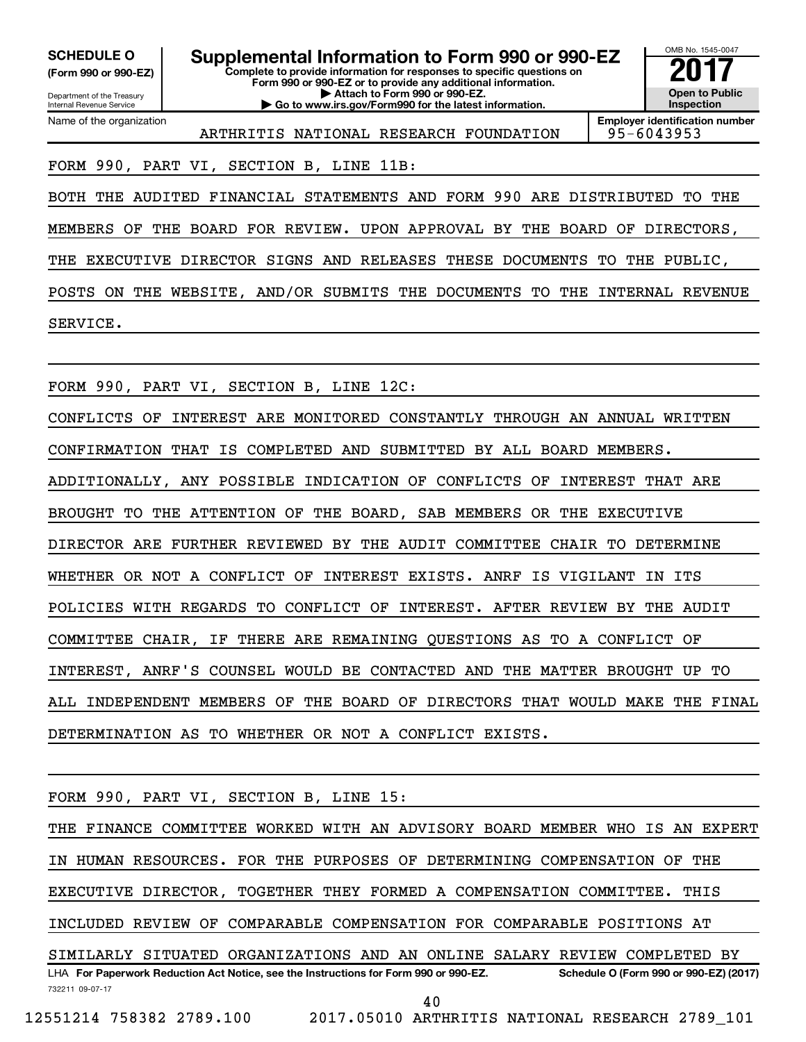**(Form 990 or 990-EZ)**

Department of the Treasury Internal Revenue Service Name of the organization

**Complete to provide information for responses to specific questions on Form 990 or 990-EZ or to provide any additional information. | Attach to Form 990 or 990-EZ. | Go to www.irs.gov/Form990 for the latest information. SCHEDULE O Supplemental Information to Form 990 or 990-EZ** <br>(Form 990 or 990-EZ) Complete to provide information for responses to specific questions on



ARTHRITIS NATIONAL RESEARCH FOUNDATION 95-6043953

**Employer identification number**

FORM 990, PART VI, SECTION B, LINE 11B:

BOTH THE AUDITED FINANCIAL STATEMENTS AND FORM 990 ARE DISTRIBUTED TO THE MEMBERS OF THE BOARD FOR REVIEW. UPON APPROVAL BY THE BOARD OF DIRECTORS, THE EXECUTIVE DIRECTOR SIGNS AND RELEASES THESE DOCUMENTS TO THE PUBLIC, POSTS ON THE WEBSITE, AND/OR SUBMITS THE DOCUMENTS TO THE INTERNAL REVENUE SERVICE.

FORM 990, PART VI, SECTION B, LINE 12C:

CONFLICTS OF INTEREST ARE MONITORED CONSTANTLY THROUGH AN ANNUAL WRITTEN CONFIRMATION THAT IS COMPLETED AND SUBMITTED BY ALL BOARD MEMBERS. ADDITIONALLY, ANY POSSIBLE INDICATION OF CONFLICTS OF INTEREST THAT ARE BROUGHT TO THE ATTENTION OF THE BOARD, SAB MEMBERS OR THE EXECUTIVE DIRECTOR ARE FURTHER REVIEWED BY THE AUDIT COMMITTEE CHAIR TO DETERMINE WHETHER OR NOT A CONFLICT OF INTEREST EXISTS. ANRF IS VIGILANT IN ITS POLICIES WITH REGARDS TO CONFLICT OF INTEREST. AFTER REVIEW BY THE AUDIT COMMITTEE CHAIR, IF THERE ARE REMAINING QUESTIONS AS TO A CONFLICT OF INTEREST, ANRF'S COUNSEL WOULD BE CONTACTED AND THE MATTER BROUGHT UP TO ALL INDEPENDENT MEMBERS OF THE BOARD OF DIRECTORS THAT WOULD MAKE THE FINAL DETERMINATION AS TO WHETHER OR NOT A CONFLICT EXISTS.

FORM 990, PART VI, SECTION B, LINE 15:

732211 09-07-17 LHA For Paperwork Reduction Act Notice, see the Instructions for Form 990 or 990-EZ. Schedule O (Form 990 or 990-EZ) (2017) THE FINANCE COMMITTEE WORKED WITH AN ADVISORY BOARD MEMBER WHO IS AN EXPERT IN HUMAN RESOURCES. FOR THE PURPOSES OF DETERMINING COMPENSATION OF THE EXECUTIVE DIRECTOR, TOGETHER THEY FORMED A COMPENSATION COMMITTEE. THIS INCLUDED REVIEW OF COMPARABLE COMPENSATION FOR COMPARABLE POSITIONS AT SIMILARLY SITUATED ORGANIZATIONS AND AN ONLINE SALARY REVIEW COMPLETED BY 40

12551214 758382 2789.100 2017.05010 ARTHRITIS NATIONAL RESEARCH 2789\_101